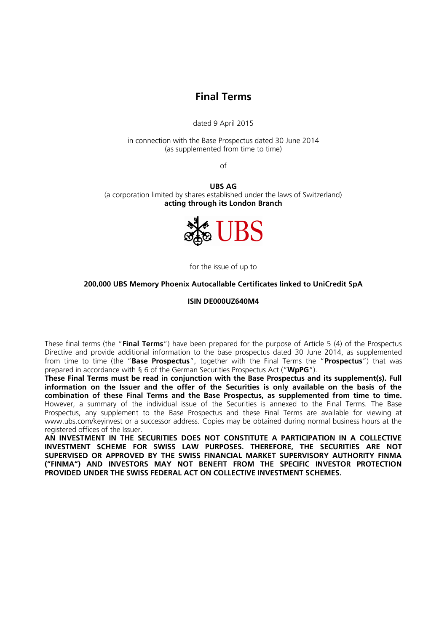# **Final Terms**

dated 9 April 2015

in connection with the Base Prospectus dated 30 June 2014 (as supplemented from time to time)

of

**UBS AG** (a corporation limited by shares established under the laws of Switzerland) **acting through its London Branch**



for the issue of up to

#### **200,000 UBS Memory Phoenix Autocallable Certificates linked to UniCredit SpA**

**ISIN DE000UZ640M4**

These final terms (the "**Final Terms**") have been prepared for the purpose of Article 5 (4) of the Prospectus Directive and provide additional information to the base prospectus dated 30 June 2014, as supplemented from time to time (the "**Base Prospectus**", together with the Final Terms the "**Prospectus**") that was prepared in accordance with § 6 of the German Securities Prospectus Act ("**WpPG**").

**These Final Terms must be read in conjunction with the Base Prospectus and its supplement(s). Full information on the Issuer and the offer of the Securities is only available on the basis of the combination of these Final Terms and the Base Prospectus, as supplemented from time to time.**  However, a summary of the individual issue of the Securities is annexed to the Final Terms. The Base Prospectus, any supplement to the Base Prospectus and these Final Terms are available for viewing at www.ubs.com/keyinvest or a successor address. Copies may be obtained during normal business hours at the registered offices of the Issuer.

**AN INVESTMENT IN THE SECURITIES DOES NOT CONSTITUTE A PARTICIPATION IN A COLLECTIVE INVESTMENT SCHEME FOR SWISS LAW PURPOSES. THEREFORE, THE SECURITIES ARE NOT SUPERVISED OR APPROVED BY THE SWISS FINANCIAL MARKET SUPERVISORY AUTHORITY FINMA ("FINMA") AND INVESTORS MAY NOT BENEFIT FROM THE SPECIFIC INVESTOR PROTECTION PROVIDED UNDER THE SWISS FEDERAL ACT ON COLLECTIVE INVESTMENT SCHEMES.**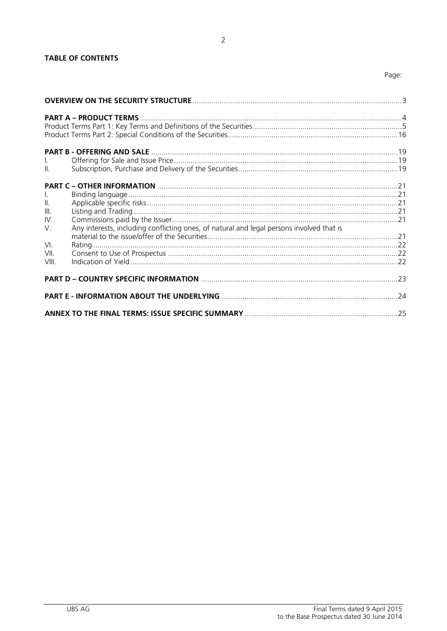| $\mathbf{L}$<br>$\mathbb{L}$                       |                                                                                          |     |
|----------------------------------------------------|------------------------------------------------------------------------------------------|-----|
| $\mathbf{L}$<br>$\parallel$ .<br>III.<br>IV.<br>V. | Any interests, including conflicting ones, of natural and legal persons involved that is |     |
| VI.<br>VII.<br>VIII.                               |                                                                                          |     |
|                                                    |                                                                                          |     |
|                                                    |                                                                                          |     |
|                                                    |                                                                                          | .25 |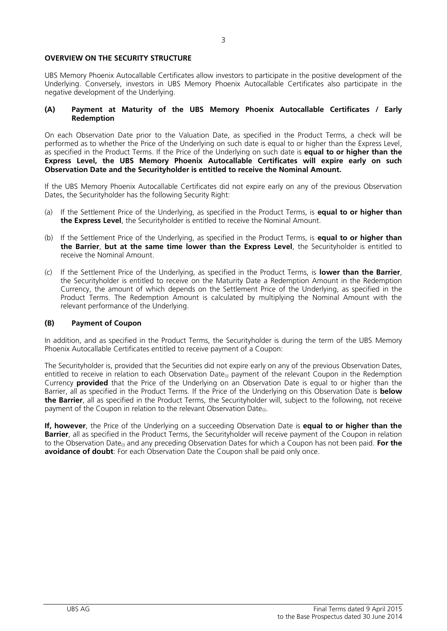#### **OVERVIEW ON THE SECURITY STRUCTURE**

UBS Memory Phoenix Autocallable Certificates allow investors to participate in the positive development of the Underlying. Conversely, investors in UBS Memory Phoenix Autocallable Certificates also participate in the negative development of the Underlying.

#### **(A) Payment at Maturity of the UBS Memory Phoenix Autocallable Certificates / Early Redemption**

On each Observation Date prior to the Valuation Date, as specified in the Product Terms, a check will be performed as to whether the Price of the Underlying on such date is equal to or higher than the Express Level, as specified in the Product Terms. If the Price of the Underlying on such date is **equal to or higher than the Express Level, the UBS Memory Phoenix Autocallable Certificates will expire early on such Observation Date and the Securityholder is entitled to receive the Nominal Amount.** 

If the UBS Memory Phoenix Autocallable Certificates did not expire early on any of the previous Observation Dates, the Securityholder has the following Security Right:

- (a) If the Settlement Price of the Underlying, as specified in the Product Terms, is **equal to or higher than the Express Level**, the Securityholder is entitled to receive the Nominal Amount.
- (b) If the Settlement Price of the Underlying, as specified in the Product Terms, is **equal to or higher than the Barrier**, **but at the same time lower than the Express Level**, the Securityholder is entitled to receive the Nominal Amount.
- (c) If the Settlement Price of the Underlying, as specified in the Product Terms, is **lower than the Barrier**, the Securityholder is entitled to receive on the Maturity Date a Redemption Amount in the Redemption Currency, the amount of which depends on the Settlement Price of the Underlying, as specified in the Product Terms. The Redemption Amount is calculated by multiplying the Nominal Amount with the relevant performance of the Underlying.

### **(B) Payment of Coupon**

In addition, and as specified in the Product Terms, the Securityholder is during the term of the UBS Memory Phoenix Autocallable Certificates entitled to receive payment of a Coupon:

The Securityholder is, provided that the Securities did not expire early on any of the previous Observation Dates, entitled to receive in relation to each Observation Date $_{0}$  payment of the relevant Coupon in the Redemption Currency **provided** that the Price of the Underlying on an Observation Date is equal to or higher than the Barrier, all as specified in the Product Terms. If the Price of the Underlying on this Observation Date is **below the Barrier**, all as specified in the Product Terms, the Securityholder will, subject to the following, not receive payment of the Coupon in relation to the relevant Observation Date $_{(i)}$ .

**If, however**, the Price of the Underlying on a succeeding Observation Date is **equal to or higher than the Barrier**, all as specified in the Product Terms, the Securityholder will receive payment of the Coupon in relation to the Observation Date(i) and any preceding Observation Dates for which a Coupon has not been paid. **For the avoidance of doubt**: For each Observation Date the Coupon shall be paid only once.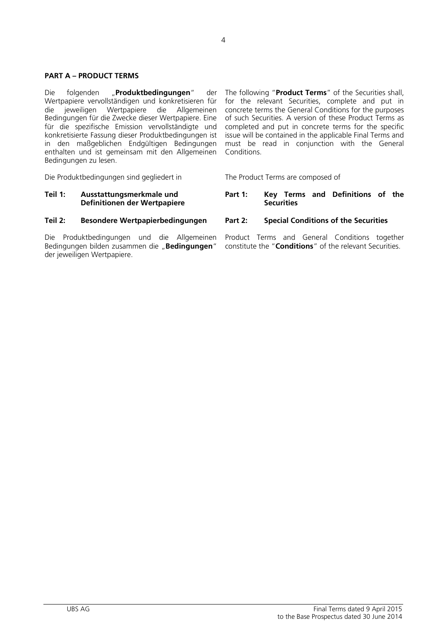#### **PART A – PRODUCT TERMS**

Die folgenden "**Produktbedingungen**" der Wertpapiere vervollständigen und konkretisieren für<br>die vieweiligen Wertpapiere die Allgemeinen jeweiligen Wertpapiere die Allgemeinen Bedingungen für die Zwecke dieser Wertpapiere. Eine für die spezifische Emission vervollständigte und konkretisierte Fassung dieser Produktbedingungen ist in den maßgeblichen Endgültigen Bedingungen enthalten und ist gemeinsam mit den Allgemeinen Conditions. Bedingungen zu lesen.

Die Produktbedingungen sind gegliedert in The Product Terms are composed of

#### **Teil 1: Ausstattungsmerkmale und Definitionen der Wertpapiere**

#### **Teil 2: Besondere Wertpapierbedingungen Part 2: Special Conditions of the Securities**

Die Produktbedingungen und die Allgemeinen Bedingungen bilden zusammen die "**Bedingungen**" der jeweiligen Wertpapiere.

The following "**Product Terms**" of the Securities shall, for the relevant Securities, complete and put in concrete terms the General Conditions for the purposes of such Securities. A version of these Product Terms as completed and put in concrete terms for the specific issue will be contained in the applicable Final Terms and must be read in conjunction with the General

#### **Part 1: Key Terms and Definitions of the Securities**

Product Terms and General Conditions together constitute the "**Conditions**" of the relevant Securities.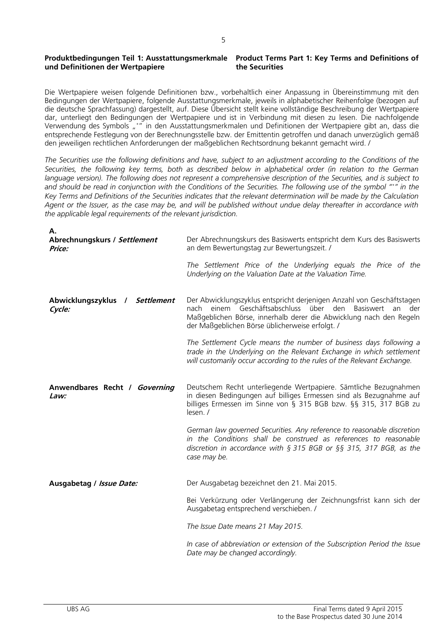#### **Produktbedingungen Teil 1: Ausstattungsmerkmale und Definitionen der Wertpapiere Product Terms Part 1: Key Terms and Definitions of the Securities**

Die Wertpapiere weisen folgende Definitionen bzw., vorbehaltlich einer Anpassung in Übereinstimmung mit den Bedingungen der Wertpapiere, folgende Ausstattungsmerkmale, jeweils in alphabetischer Reihenfolge (bezogen auf die deutsche Sprachfassung) dargestellt, auf. Diese Übersicht stellt keine vollständige Beschreibung der Wertpapiere dar, unterliegt den Bedingungen der Wertpapiere und ist in Verbindung mit diesen zu lesen. Die nachfolgende Verwendung des Symbols "\*" in den Ausstattungsmerkmalen und Definitionen der Wertpapiere gibt an, dass die entsprechende Festlegung von der Berechnungsstelle bzw. der Emittentin getroffen und danach unverzüglich gemäß den jeweiligen rechtlichen Anforderungen der maßgeblichen Rechtsordnung bekannt gemacht wird. /

*The Securities use the following definitions and have, subject to an adjustment according to the Conditions of the Securities, the following key terms, both as described below in alphabetical order (in relation to the German language version). The following does not represent a comprehensive description of the Securities, and is subject to and should be read in conjunction with the Conditions of the Securities. The following use of the symbol " \*" in the Key Terms and Definitions of the Securities indicates that the relevant determination will be made by the Calculation Agent or the Issuer, as the case may be, and will be published without undue delay thereafter in accordance with the applicable legal requirements of the relevant jurisdiction.*

| Α.                                       |                                                                                                                                                                                                                                                                           |
|------------------------------------------|---------------------------------------------------------------------------------------------------------------------------------------------------------------------------------------------------------------------------------------------------------------------------|
| Abrechnungskurs / Settlement<br>Price:   | Der Abrechnungskurs des Basiswerts entspricht dem Kurs des Basiswerts<br>an dem Bewertungstag zur Bewertungszeit. /                                                                                                                                                       |
|                                          | The Settlement Price of the Underlying equals the Price of the<br>Underlying on the Valuation Date at the Valuation Time.                                                                                                                                                 |
| Abwicklungszyklus / Settlement<br>Cycle: | Der Abwicklungszyklus entspricht derjenigen Anzahl von Geschäftstagen<br>nach einem Geschäftsabschluss über den<br><b>Basiswert</b><br>an<br>der<br>Maßgeblichen Börse, innerhalb derer die Abwicklung nach den Regeln<br>der Maßgeblichen Börse üblicherweise erfolgt. / |
|                                          | The Settlement Cycle means the number of business days following a<br>trade in the Underlying on the Relevant Exchange in which settlement<br>will customarily occur according to the rules of the Relevant Exchange.                                                     |
| Anwendbares Recht / Governing<br>Law:    | Deutschem Recht unterliegende Wertpapiere. Sämtliche Bezugnahmen<br>in diesen Bedingungen auf billiges Ermessen sind als Bezugnahme auf<br>billiges Ermessen im Sinne von § 315 BGB bzw. §§ 315, 317 BGB zu<br>lesen. /                                                   |
|                                          | German law governed Securities. Any reference to reasonable discretion<br>in the Conditions shall be construed as references to reasonable<br>discretion in accordance with $\S 315$ BGB or $\S 5$ 315, 317 BGB, as the<br>case may be.                                   |
| Ausgabetag / Issue Date:                 | Der Ausgabetag bezeichnet den 21. Mai 2015.                                                                                                                                                                                                                               |
|                                          | Bei Verkürzung oder Verlängerung der Zeichnungsfrist kann sich der<br>Ausgabetag entsprechend verschieben. /                                                                                                                                                              |
|                                          | The Issue Date means 21 May 2015.                                                                                                                                                                                                                                         |
|                                          | In case of abbreviation or extension of the Subscription Period the Issue<br>Date may be changed accordingly.                                                                                                                                                             |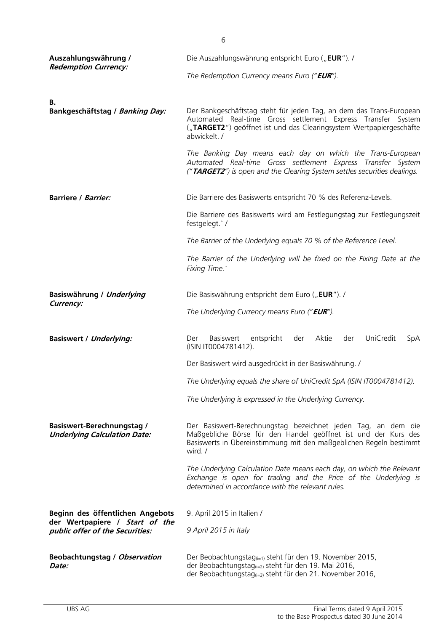| Auszahlungswährung /                                                     | Die Auszahlungswährung entspricht Euro ("EUR"). /                                                                                                                                                                          |
|--------------------------------------------------------------------------|----------------------------------------------------------------------------------------------------------------------------------------------------------------------------------------------------------------------------|
| <b>Redemption Currency:</b>                                              | The Redemption Currency means Euro ("EUR").                                                                                                                                                                                |
| В.                                                                       |                                                                                                                                                                                                                            |
| Bankgeschäftstag / Banking Day:                                          | Der Bankgeschäftstag steht für jeden Tag, an dem das Trans-European<br>Automated Real-time Gross settlement Express Transfer System<br>("TARGET2") geöffnet ist und das Clearingsystem Wertpapiergeschäfte<br>abwickelt. / |
|                                                                          | The Banking Day means each day on which the Trans-European<br>Automated Real-time Gross settlement Express Transfer System<br>("TARGET2") is open and the Clearing System settles securities dealings.                     |
| <b>Barriere / Barrier:</b>                                               | Die Barriere des Basiswerts entspricht 70 % des Referenz-Levels.                                                                                                                                                           |
|                                                                          | Die Barriere des Basiswerts wird am Festlegungstag zur Festlegungszeit<br>festgelegt.*/                                                                                                                                    |
|                                                                          | The Barrier of the Underlying equals 70 % of the Reference Level.                                                                                                                                                          |
|                                                                          | The Barrier of the Underlying will be fixed on the Fixing Date at the<br>Fixing Time.*                                                                                                                                     |
| Basiswährung / Underlying                                                | Die Basiswährung entspricht dem Euro ("EUR"). /                                                                                                                                                                            |
| Currency:                                                                | The Underlying Currency means Euro ("EUR").                                                                                                                                                                                |
| <b>Basiswert / Underlying:</b>                                           | Basiswert<br>entspricht<br>Aktie<br>UniCredit<br>Der<br>der<br>der<br>SpA<br>(ISIN IT0004781412).                                                                                                                          |
|                                                                          | Der Basiswert wird ausgedrückt in der Basiswährung. /                                                                                                                                                                      |
|                                                                          | The Underlying equals the share of UniCredit SpA (ISIN IT0004781412).                                                                                                                                                      |
|                                                                          | The Underlying is expressed in the Underlying Currency.                                                                                                                                                                    |
| <b>Basiswert-Berechnungstag /</b><br><b>Underlying Calculation Date:</b> | Der Basiswert-Berechnungstag bezeichnet jeden Tag, an dem die<br>Maßgebliche Börse für den Handel geöffnet ist und der Kurs des<br>Basiswerts in Übereinstimmung mit den maßgeblichen Regeln bestimmt<br>wird. /           |
|                                                                          | The Underlying Calculation Date means each day, on which the Relevant<br>Exchange is open for trading and the Price of the Underlying is<br>determined in accordance with the relevant rules.                              |
| Beginn des öffentlichen Angebots                                         | 9. April 2015 in Italien /                                                                                                                                                                                                 |
| der Wertpapiere / Start of the<br>public offer of the Securities:        | 9 April 2015 in Italy                                                                                                                                                                                                      |
| <b>Beobachtungstag / Observation</b><br>Date:                            | Der Beobachtungstag <sub>(i=1)</sub> steht für den 19. November 2015,<br>der Beobachtungstag <sub>(i=2)</sub> steht für den 19. Mai 2016,<br>der Beobachtungstag <sub>(i=3)</sub> steht für den 21. November 2016,         |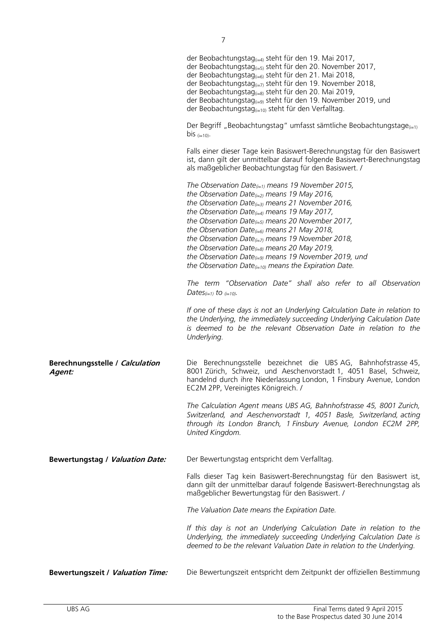|                                           | der Beobachtungstag <sub>(i=4)</sub> steht für den 19. Mai 2017,<br>der Beobachtungstag <sub>(i=5)</sub> steht für den 20. November 2017,<br>der Beobachtungstag <sub>(i=6)</sub> steht für den 21. Mai 2018,<br>der Beobachtungstag $_{(i=7)}$ steht für den 19. November 2018,<br>der Beobachtungstag <sub>(i=8)</sub> steht für den 20. Mai 2019,<br>der Beobachtungstag <sub>(i=9)</sub> steht für den 19. November 2019, und<br>der Beobachtungstag <sub>(i=10)</sub> steht für den Verfalltag.                                                                                           |
|-------------------------------------------|------------------------------------------------------------------------------------------------------------------------------------------------------------------------------------------------------------------------------------------------------------------------------------------------------------------------------------------------------------------------------------------------------------------------------------------------------------------------------------------------------------------------------------------------------------------------------------------------|
|                                           | Der Begriff "Beobachtungstag" umfasst sämtliche Beobachtungstage $_{(i=1)}$<br>bis $(i=10)$ .                                                                                                                                                                                                                                                                                                                                                                                                                                                                                                  |
|                                           | Falls einer dieser Tage kein Basiswert-Berechnungstag für den Basiswert<br>ist, dann gilt der unmittelbar darauf folgende Basiswert-Berechnungstag<br>als maßgeblicher Beobachtungstag für den Basiswert. /                                                                                                                                                                                                                                                                                                                                                                                    |
|                                           | The Observation Date $_{(i=1)}$ means 19 November 2015,<br>the Observation Date $_{(i=2)}$ means 19 May 2016,<br>the Observation Date $_{(i=3)}$ means 21 November 2016,<br>the Observation Date $_{(i=4)}$ means 19 May 2017,<br>the Observation Date $_{(i=5)}$ means 20 November 2017,<br>the Observation Date $_{(i=6)}$ means 21 May 2018,<br>the Observation Date $_{(i=7)}$ means 19 November 2018,<br>the Observation Date $_{(i=8)}$ means 20 May 2019,<br>the Observation Date $_{(i=9)}$ means 19 November 2019, und<br>the Observation Date $_{(i=10)}$ means the Expiration Date. |
|                                           | The term "Observation Date" shall also refer to all Observation<br>Dates $_{(i=1)}$ to $_{(i=10)}$ .                                                                                                                                                                                                                                                                                                                                                                                                                                                                                           |
|                                           | If one of these days is not an Underlying Calculation Date in relation to<br>the Underlying, the immediately succeeding Underlying Calculation Date<br>is deemed to be the relevant Observation Date in relation to the<br>Underlying.                                                                                                                                                                                                                                                                                                                                                         |
| Berechnungsstelle / Calculation<br>Agent: | Die Berechnungsstelle bezeichnet die UBS AG, Bahnhofstrasse 45,<br>8001 Zürich, Schweiz, und Aeschenvorstadt 1, 4051 Basel, Schweiz,<br>handelnd durch ihre Niederlassung London, 1 Finsbury Avenue, London<br>EC2M 2PP, Vereinigtes Königreich. /                                                                                                                                                                                                                                                                                                                                             |
|                                           | The Calculation Agent means UBS AG, Bahnhofstrasse 45, 8001 Zurich,<br>Switzerland, and Aeschenvorstadt 1, 4051 Basle, Switzerland, acting<br>through its London Branch, 1 Finsbury Avenue, London EC2M 2PP,<br>United Kingdom.                                                                                                                                                                                                                                                                                                                                                                |
| <b>Bewertungstag / Valuation Date:</b>    | Der Bewertungstag entspricht dem Verfalltag.                                                                                                                                                                                                                                                                                                                                                                                                                                                                                                                                                   |
|                                           | Falls dieser Tag kein Basiswert-Berechnungstag für den Basiswert ist,<br>dann gilt der unmittelbar darauf folgende Basiswert-Berechnungstag als<br>maßgeblicher Bewertungstag für den Basiswert. /                                                                                                                                                                                                                                                                                                                                                                                             |
|                                           | The Valuation Date means the Expiration Date.                                                                                                                                                                                                                                                                                                                                                                                                                                                                                                                                                  |
|                                           | If this day is not an Underlying Calculation Date in relation to the<br>Underlying, the immediately succeeding Underlying Calculation Date is<br>deemed to be the relevant Valuation Date in relation to the Underlying.                                                                                                                                                                                                                                                                                                                                                                       |
| <b>Bewertungszeit / Valuation Time:</b>   | Die Bewertungszeit entspricht dem Zeitpunkt der offiziellen Bestimmung                                                                                                                                                                                                                                                                                                                                                                                                                                                                                                                         |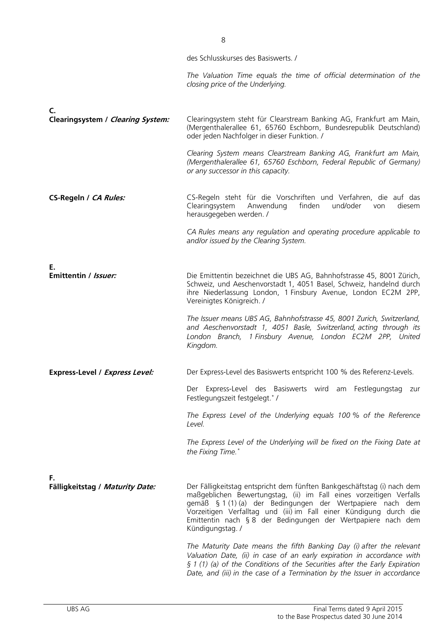|                                         | des Schlusskurses des Basiswerts. /                                                                                                                                                                                                                                                                                                                                    |
|-----------------------------------------|------------------------------------------------------------------------------------------------------------------------------------------------------------------------------------------------------------------------------------------------------------------------------------------------------------------------------------------------------------------------|
|                                         | The Valuation Time equals the time of official determination of the<br>closing price of the Underlying.                                                                                                                                                                                                                                                                |
| C.<br>Clearingsystem / Clearing System: | Clearingsystem steht für Clearstream Banking AG, Frankfurt am Main,                                                                                                                                                                                                                                                                                                    |
|                                         | (Mergenthalerallee 61, 65760 Eschborn, Bundesrepublik Deutschland)<br>oder jeden Nachfolger in dieser Funktion. /                                                                                                                                                                                                                                                      |
|                                         | Clearing System means Clearstream Banking AG, Frankfurt am Main,<br>(Mergenthalerallee 61, 65760 Eschborn, Federal Republic of Germany)<br>or any successor in this capacity.                                                                                                                                                                                          |
| CS-Regeln / CA Rules:                   | CS-Regeln steht für die Vorschriften und Verfahren, die auf das<br>Clearingsystem<br>Anwendung<br>finden<br>und/oder<br>diesem<br>von<br>herausgegeben werden. /                                                                                                                                                                                                       |
|                                         | CA Rules means any regulation and operating procedure applicable to<br>and/or issued by the Clearing System.                                                                                                                                                                                                                                                           |
| Е.<br>Emittentin / <i>Issuer:</i>       | Die Emittentin bezeichnet die UBS AG, Bahnhofstrasse 45, 8001 Zürich,                                                                                                                                                                                                                                                                                                  |
|                                         | Schweiz, und Aeschenvorstadt 1, 4051 Basel, Schweiz, handelnd durch<br>ihre Niederlassung London, 1 Finsbury Avenue, London EC2M 2PP,<br>Vereinigtes Königreich. /                                                                                                                                                                                                     |
|                                         | The Issuer means UBS AG, Bahnhofstrasse 45, 8001 Zurich, Switzerland,<br>and Aeschenvorstadt 1, 4051 Basle, Switzerland, acting through its<br>London Branch, 1 Finsbury Avenue, London EC2M 2PP, United<br>Kingdom.                                                                                                                                                   |
| Express-Level / Express Level:          | Der Express-Level des Basiswerts entspricht 100 % des Referenz-Levels.                                                                                                                                                                                                                                                                                                 |
|                                         | Der Express-Level des Basiswerts wird am Festlegungstag zur<br>Festlegungszeit festgelegt.*/                                                                                                                                                                                                                                                                           |
|                                         | The Express Level of the Underlying equals 100 % of the Reference<br>Level.                                                                                                                                                                                                                                                                                            |
|                                         | The Express Level of the Underlying will be fixed on the Fixing Date at<br>the Fixing Time.*                                                                                                                                                                                                                                                                           |
| F.<br>Fälligkeitstag / Maturity Date:   | Der Fälligkeitstag entspricht dem fünften Bankgeschäftstag (i) nach dem<br>maßgeblichen Bewertungstag, (ii) im Fall eines vorzeitigen Verfalls<br>gemäß § 1 (1) (a) der Bedingungen der Wertpapiere nach dem<br>Vorzeitigen Verfalltag und (iii) im Fall einer Kündigung durch die<br>Emittentin nach § 8 der Bedingungen der Wertpapiere nach dem<br>Kündigungstag. / |
|                                         | The Maturity Date means the fifth Banking Day (i) after the relevant<br>Valuation Date, (ii) in case of an early expiration in accordance with<br>$\S$ 1 (1) (a) of the Conditions of the Securities after the Early Expiration<br>Date, and (iii) in the case of a Termination by the Issuer in accordance                                                            |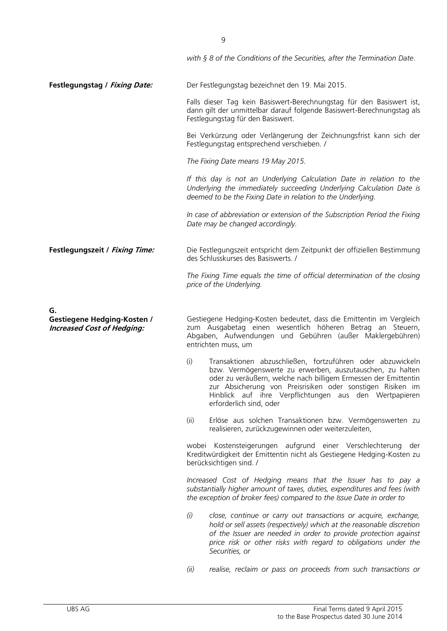|                                                                         | with $\S 8$ of the Conditions of the Securities, after the Termination Date.                                                                                                                                                                                                                                                                         |
|-------------------------------------------------------------------------|------------------------------------------------------------------------------------------------------------------------------------------------------------------------------------------------------------------------------------------------------------------------------------------------------------------------------------------------------|
| Festlegungstag / Fixing Date:                                           | Der Festlegungstag bezeichnet den 19. Mai 2015.                                                                                                                                                                                                                                                                                                      |
|                                                                         | Falls dieser Tag kein Basiswert-Berechnungstag für den Basiswert ist,<br>dann gilt der unmittelbar darauf folgende Basiswert-Berechnungstag als<br>Festlegungstag für den Basiswert.                                                                                                                                                                 |
|                                                                         | Bei Verkürzung oder Verlängerung der Zeichnungsfrist kann sich der<br>Festlegungstag entsprechend verschieben. /                                                                                                                                                                                                                                     |
|                                                                         | The Fixing Date means 19 May 2015.                                                                                                                                                                                                                                                                                                                   |
|                                                                         | If this day is not an Underlying Calculation Date in relation to the<br>Underlying the immediately succeeding Underlying Calculation Date is<br>deemed to be the Fixing Date in relation to the Underlying.                                                                                                                                          |
|                                                                         | In case of abbreviation or extension of the Subscription Period the Fixing<br>Date may be changed accordingly.                                                                                                                                                                                                                                       |
| Festlegungszeit / Fixing Time:                                          | Die Festlegungszeit entspricht dem Zeitpunkt der offiziellen Bestimmung<br>des Schlusskurses des Basiswerts. /                                                                                                                                                                                                                                       |
|                                                                         | The Fixing Time equals the time of official determination of the closing<br>price of the Underlying.                                                                                                                                                                                                                                                 |
| G.                                                                      |                                                                                                                                                                                                                                                                                                                                                      |
| <b>Gestiegene Hedging-Kosten /</b><br><b>Increased Cost of Hedging:</b> | Gestiegene Hedging-Kosten bedeutet, dass die Emittentin im Vergleich<br>zum Ausgabetag einen wesentlich höheren Betrag an Steuern,<br>Abgaben, Aufwendungen und Gebühren (außer Maklergebühren)<br>entrichten muss, um                                                                                                                               |
|                                                                         | Transaktionen abzuschließen, fortzuführen oder abzuwickeln<br>(i)<br>bzw. Vermögenswerte zu erwerben, auszutauschen, zu halten<br>oder zu veräußern, welche nach billigem Ermessen der Emittentin<br>zur Absicherung von Preisrisiken oder sonstigen Risiken im<br>Hinblick auf ihre Verpflichtungen aus den Wertpapieren<br>erforderlich sind, oder |
|                                                                         | Erlöse aus solchen Transaktionen bzw. Vermögenswerten zu<br>(ii)<br>realisieren, zurückzugewinnen oder weiterzuleiten,                                                                                                                                                                                                                               |
|                                                                         | wobei Kostensteigerungen aufgrund einer Verschlechterung der<br>Kreditwürdigkeit der Emittentin nicht als Gestiegene Hedging-Kosten zu<br>berücksichtigen sind. /                                                                                                                                                                                    |
|                                                                         | Increased Cost of Hedging means that the Issuer has to pay a<br>substantially higher amount of taxes, duties, expenditures and fees (with<br>the exception of broker fees) compared to the Issue Date in order to                                                                                                                                    |
|                                                                         | (i)<br>close, continue or carry out transactions or acquire, exchange,<br>hold or sell assets (respectively) which at the reasonable discretion<br>of the Issuer are needed in order to provide protection against<br>price risk or other risks with regard to obligations under the<br>Securities, or                                               |
|                                                                         | (ii)<br>realise, reclaim or pass on proceeds from such transactions or                                                                                                                                                                                                                                                                               |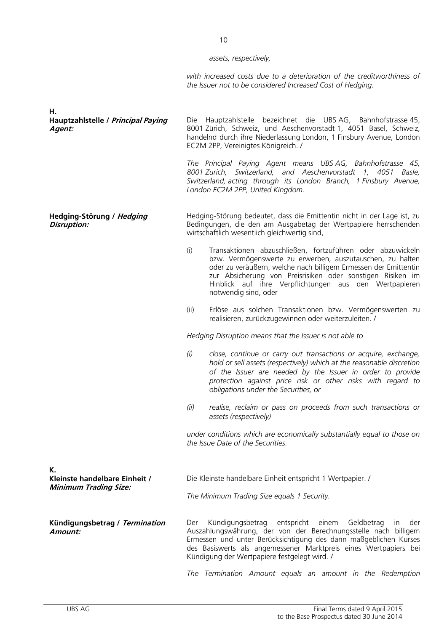10

*assets, respectively,* 

*with increased costs due to a deterioration of the creditworthiness of the Issuer not to be considered Increased Cost of Hedging.*

| Н.<br>Hauptzahlstelle / Principal Paying<br>Agent:                  |                                                                                                           | Die Hauptzahlstelle bezeichnet die UBSAG, Bahnhofstrasse 45,<br>8001 Zürich, Schweiz, und Aeschenvorstadt 1, 4051 Basel, Schweiz,<br>handelnd durch ihre Niederlassung London, 1 Finsbury Avenue, London<br>EC2M 2PP, Vereinigtes Königreich. /                                                                                            |
|---------------------------------------------------------------------|-----------------------------------------------------------------------------------------------------------|--------------------------------------------------------------------------------------------------------------------------------------------------------------------------------------------------------------------------------------------------------------------------------------------------------------------------------------------|
|                                                                     |                                                                                                           | The Principal Paying Agent means UBS AG, Bahnhofstrasse 45,<br>8001 Zurich, Switzerland, and Aeschenvorstadt 1, 4051 Basle,<br>Switzerland, acting through its London Branch, 1 Finsbury Avenue,<br>London EC2M 2PP, United Kingdom.                                                                                                       |
| Hedging-Störung / Hedging<br>Disruption:                            |                                                                                                           | Hedging-Störung bedeutet, dass die Emittentin nicht in der Lage ist, zu<br>Bedingungen, die den am Ausgabetag der Wertpapiere herrschenden<br>wirtschaftlich wesentlich gleichwertig sind,                                                                                                                                                 |
|                                                                     | (i)                                                                                                       | Transaktionen abzuschließen, fortzuführen oder abzuwickeln<br>bzw. Vermögenswerte zu erwerben, auszutauschen, zu halten<br>oder zu veräußern, welche nach billigem Ermessen der Emittentin<br>zur Absicherung von Preisrisiken oder sonstigen Risiken im<br>Hinblick auf ihre Verpflichtungen aus den Wertpapieren<br>notwendig sind, oder |
|                                                                     | (ii)                                                                                                      | Erlöse aus solchen Transaktionen bzw. Vermögenswerten zu<br>realisieren, zurückzugewinnen oder weiterzuleiten. /                                                                                                                                                                                                                           |
|                                                                     |                                                                                                           | Hedging Disruption means that the Issuer is not able to                                                                                                                                                                                                                                                                                    |
|                                                                     | (i)                                                                                                       | close, continue or carry out transactions or acquire, exchange,<br>hold or sell assets (respectively) which at the reasonable discretion<br>of the Issuer are needed by the Issuer in order to provide<br>protection against price risk or other risks with regard to<br>obligations under the Securities, or                              |
|                                                                     | (ii)                                                                                                      | realise, reclaim or pass on proceeds from such transactions or<br>assets (respectively)                                                                                                                                                                                                                                                    |
|                                                                     |                                                                                                           | under conditions which are economically substantially equal to those on<br>the Issue Date of the Securities.                                                                                                                                                                                                                               |
| К.<br>Kleinste handelbare Einheit /<br><b>Minimum Trading Size:</b> | Die Kleinste handelbare Einheit entspricht 1 Wertpapier. /<br>The Minimum Trading Size equals 1 Security. |                                                                                                                                                                                                                                                                                                                                            |
| Kündigungsbetrag / Termination<br>Amount:                           | Der                                                                                                       | Kündigungsbetrag<br>entspricht<br>einem<br>Geldbetrag<br>der<br>In<br>Auszahlungswährung, der von der Berechnungsstelle nach billigem<br>Ermessen und unter Berücksichtigung des dann maßgeblichen Kurses<br>des Basiswerts als angemessener Marktpreis eines Wertpapiers bei<br>Kündigung der Wertpapiere festgelegt wird. /              |

*The Termination Amount equals an amount in the Redemption*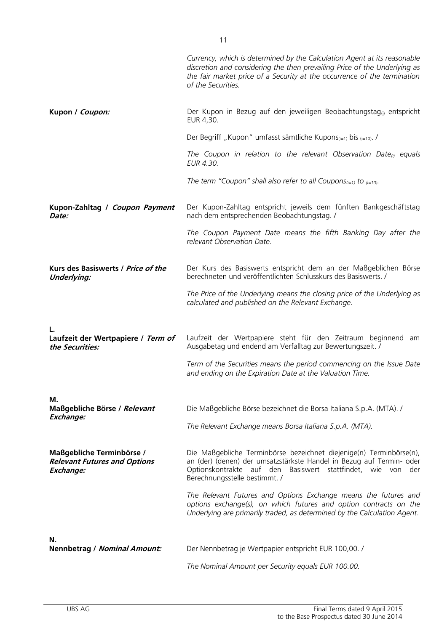|                                                                               | Currency, which is determined by the Calculation Agent at its reasonable<br>discretion and considering the then prevailing Price of the Underlying as<br>the fair market price of a Security at the occurrence of the termination<br>of the Securities. |
|-------------------------------------------------------------------------------|---------------------------------------------------------------------------------------------------------------------------------------------------------------------------------------------------------------------------------------------------------|
| Kupon / Coupon:                                                               | Der Kupon in Bezug auf den jeweiligen Beobachtungstag <sub>(i)</sub> entspricht<br>EUR 4,30.                                                                                                                                                            |
|                                                                               | Der Begriff "Kupon" umfasst sämtliche Kupons $_{(i=1)}$ bis $_{(i=10)}$ .                                                                                                                                                                               |
|                                                                               | The Coupon in relation to the relevant Observation Date <sub>(i)</sub> equals<br>EUR 4.30.                                                                                                                                                              |
|                                                                               | The term "Coupon" shall also refer to all Coupons $(i=1)$ to $(i=10)$ .                                                                                                                                                                                 |
| Kupon-Zahltag / Coupon Payment<br><i>Date:</i>                                | Der Kupon-Zahltag entspricht jeweils dem fünften Bankgeschäftstag<br>nach dem entsprechenden Beobachtungstag. /                                                                                                                                         |
|                                                                               | The Coupon Payment Date means the fifth Banking Day after the<br>relevant Observation Date.                                                                                                                                                             |
| Kurs des Basiswerts / Price of the<br><b>Underlying:</b>                      | Der Kurs des Basiswerts entspricht dem an der Maßgeblichen Börse<br>berechneten und veröffentlichten Schlusskurs des Basiswerts. /                                                                                                                      |
|                                                                               | The Price of the Underlying means the closing price of the Underlying as<br>calculated and published on the Relevant Exchange.                                                                                                                          |
| Laufzeit der Wertpapiere / Term of<br>the Securities:                         | Laufzeit der Wertpapiere steht für den Zeitraum beginnend am<br>Ausgabetag und endend am Verfalltag zur Bewertungszeit. /                                                                                                                               |
|                                                                               | Term of the Securities means the period commencing on the Issue Date<br>and ending on the Expiration Date at the Valuation Time.                                                                                                                        |
| М.                                                                            |                                                                                                                                                                                                                                                         |
| Maßgebliche Börse / Relevant<br>Exchange:                                     | Die Maßgebliche Börse bezeichnet die Borsa Italiana S.p.A. (MTA). /                                                                                                                                                                                     |
|                                                                               | The Relevant Exchange means Borsa Italiana S.p.A. (MTA).                                                                                                                                                                                                |
| Maßgebliche Terminbörse /<br><b>Relevant Futures and Options</b><br>Exchange: | Die Maßgebliche Terminbörse bezeichnet diejenige(n) Terminbörse(n),<br>an (der) (denen) der umsatzstärkste Handel in Bezug auf Termin- oder<br>Optionskontrakte auf den Basiswert stattfindet, wie von<br>der<br>Berechnungsstelle bestimmt. /          |
|                                                                               | The Relevant Futures and Options Exchange means the futures and<br>options exchange(s), on which futures and option contracts on the<br>Underlying are primarily traded, as determined by the Calculation Agent.                                        |
| N.<br><b>Nennbetrag / Nominal Amount:</b>                                     | Der Nennbetrag je Wertpapier entspricht EUR 100,00. /                                                                                                                                                                                                   |
|                                                                               | The Nominal Amount per Security equals EUR 100.00.                                                                                                                                                                                                      |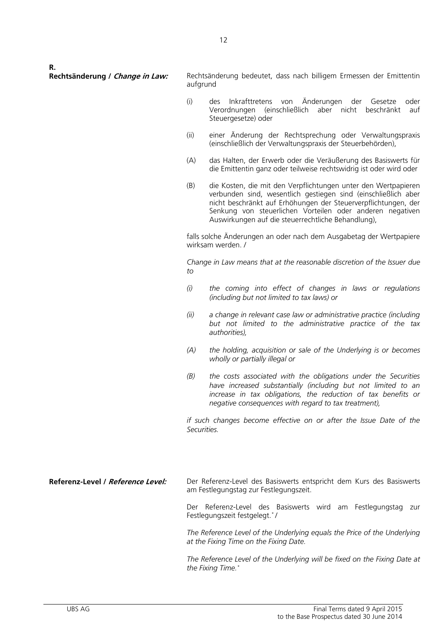**R.**

**Rechtsänderung / Change in Law:** Rechtsänderung bedeutet, dass nach billigem Ermessen der Emittentin aufgrund

- (i) des Inkrafttretens von Änderungen der Gesetze oder Verordnungen (einschließlich aber nicht beschränkt auf Steuergesetze) oder
- (ii) einer Änderung der Rechtsprechung oder Verwaltungspraxis (einschließlich der Verwaltungspraxis der Steuerbehörden),
- (A) das Halten, der Erwerb oder die Veräußerung des Basiswerts für die Emittentin ganz oder teilweise rechtswidrig ist oder wird oder
- (B) die Kosten, die mit den Verpflichtungen unter den Wertpapieren verbunden sind, wesentlich gestiegen sind (einschließlich aber nicht beschränkt auf Erhöhungen der Steuerverpflichtungen, der Senkung von steuerlichen Vorteilen oder anderen negativen Auswirkungen auf die steuerrechtliche Behandlung),

falls solche Änderungen an oder nach dem Ausgabetag der Wertpapiere wirksam werden. /

*Change in Law means that at the reasonable discretion of the Issuer due to*

- *(i) the coming into effect of changes in laws or regulations (including but not limited to tax laws) or*
- *(ii) a change in relevant case law or administrative practice (including but not limited to the administrative practice of the tax authorities),*
- *(A) the holding, acquisition or sale of the Underlying is or becomes wholly or partially illegal or*
- *(B) the costs associated with the obligations under the Securities have increased substantially (including but not limited to an increase in tax obligations, the reduction of tax benefits or negative consequences with regard to tax treatment),*

*if such changes become effective on or after the Issue Date of the Securities.*

**Referenz-Level / Reference Level:** Der Referenz-Level des Basiswerts entspricht dem Kurs des Basiswerts am Festlegungstag zur Festlegungszeit.

Der Referenz-Level des Basiswerts wird am Festlegungstag zur Festlegungszeit festgelegt.\* /

*The Reference Level of the Underlying equals the Price of the Underlying at the Fixing Time on the Fixing Date.*

*The Reference Level of the Underlying will be fixed on the Fixing Date at the Fixing Time.\**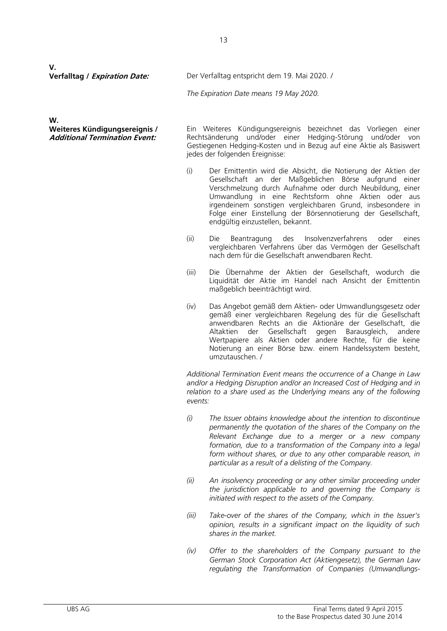**V.**

**Verfalltag / Expiration Date:** Der Verfalltag entspricht dem 19. Mai 2020. /

*The Expiration Date means 19 May 2020.*

**W.**

**Weiteres Kündigungsereignis / Additional Termination Event:** 

Ein Weiteres Kündigungsereignis bezeichnet das Vorliegen einer Rechtsänderung und/oder einer Hedging-Störung und/oder von Gestiegenen Hedging-Kosten und in Bezug auf eine Aktie als Basiswert jedes der folgenden Ereignisse:

- (i) Der Emittentin wird die Absicht, die Notierung der Aktien der Gesellschaft an der Maßgeblichen Börse aufgrund einer Verschmelzung durch Aufnahme oder durch Neubildung, einer Umwandlung in eine Rechtsform ohne Aktien oder aus irgendeinem sonstigen vergleichbaren Grund, insbesondere in Folge einer Einstellung der Börsennotierung der Gesellschaft, endgültig einzustellen, bekannt.
- (ii) Die Beantragung des Insolvenzverfahrens oder eines vergleichbaren Verfahrens über das Vermögen der Gesellschaft nach dem für die Gesellschaft anwendbaren Recht.
- (iii) Die Übernahme der Aktien der Gesellschaft, wodurch die Liquidität der Aktie im Handel nach Ansicht der Emittentin maßgeblich beeinträchtigt wird.
- (iv) Das Angebot gemäß dem Aktien- oder Umwandlungsgesetz oder gemäß einer vergleichbaren Regelung des für die Gesellschaft anwendbaren Rechts an die Aktionäre der Gesellschaft, die Altaktien der Gesellschaft gegen Barausgleich, andere Wertpapiere als Aktien oder andere Rechte, für die keine Notierung an einer Börse bzw. einem Handelssystem besteht, umzutauschen. /

*Additional Termination Event means the occurrence of a Change in Law and/or a Hedging Disruption and/or an Increased Cost of Hedging and in*  relation to a share used as the Underlying means any of the following *events:*

- *(i) The Issuer obtains knowledge about the intention to discontinue permanently the quotation of the shares of the Company on the Relevant Exchange due to a merger or a new company formation, due to a transformation of the Company into a legal form without shares, or due to any other comparable reason, in particular as a result of a delisting of the Company.*
- *(ii) An insolvency proceeding or any other similar proceeding under the jurisdiction applicable to and governing the Company is initiated with respect to the assets of the Company.*
- *(iii) Take-over of the shares of the Company, which in the Issuer's opinion, results in a significant impact on the liquidity of such shares in the market.*
- *(iv) Offer to the shareholders of the Company pursuant to the German Stock Corporation Act (Aktiengesetz), the German Law regulating the Transformation of Companies (Umwandlungs-*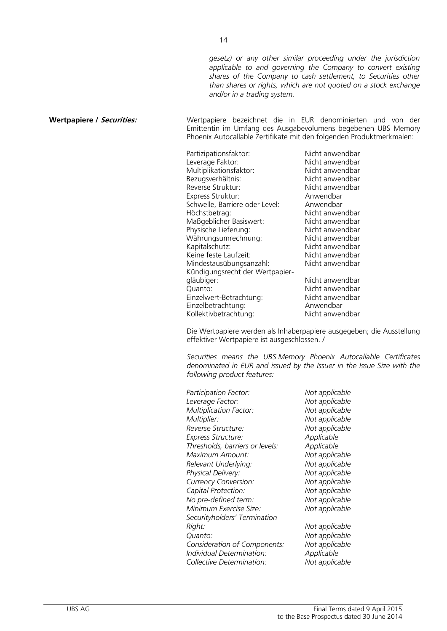*gesetz) or any other similar proceeding under the jurisdiction applicable to and governing the Company to convert existing shares of the Company to cash settlement, to Securities other than shares or rights, which are not quoted on a stock exchange and/or in a trading system.*

**Wertpapiere / Securities:** Wertpapiere bezeichnet die in EUR denominierten und von der Emittentin im Umfang des Ausgabevolumens begebenen UBS Memory Phoenix Autocallable Zertifikate mit den folgenden Produktmerkmalen:

| Nicht anwendbar |
|-----------------|
| Nicht anwendbar |
| Nicht anwendbar |
|                 |
| Nicht anwendbar |
| Nicht anwendbar |
|                 |
|                 |
| Nicht anwendbar |
| Nicht anwendbar |
| Nicht anwendbar |
| Nicht anwendbar |
| Nicht anwendbar |
| Nicht anwendbar |
| Nicht anwendbar |
|                 |
| Nicht anwendbar |
| Nicht anwendbar |
| Nicht anwendbar |
|                 |
| Nicht anwendbar |
|                 |

Die Wertpapiere werden als Inhaberpapiere ausgegeben; die Ausstellung effektiver Wertpapiere ist ausgeschlossen. /

*Securities means the UBS Memory Phoenix Autocallable Certificates denominated in EUR and issued by the Issuer in the Issue Size with the following product features:*

| Participation Factor:           | Not applicable |
|---------------------------------|----------------|
| Leverage Factor:                | Not applicable |
| <b>Multiplication Factor:</b>   | Not applicable |
| Multiplier:                     | Not applicable |
| Reverse Structure:              | Not applicable |
| Express Structure:              | Applicable     |
| Thresholds, barriers or levels: | Applicable     |
| Maximum Amount:                 | Not applicable |
| Relevant Underlying:            | Not applicable |
| Physical Delivery:              | Not applicable |
| <b>Currency Conversion:</b>     | Not applicable |
| Capital Protection:             | Not applicable |
| No pre-defined term:            | Not applicable |
| Minimum Exercise Size:          | Not applicable |
| Securityholders' Termination    |                |
| Right:                          | Not applicable |
| Quanto:                         | Not applicable |
| Consideration of Components:    | Not applicable |
| Individual Determination:       | Applicable     |
| Collective Determination:       | Not applicable |
|                                 |                |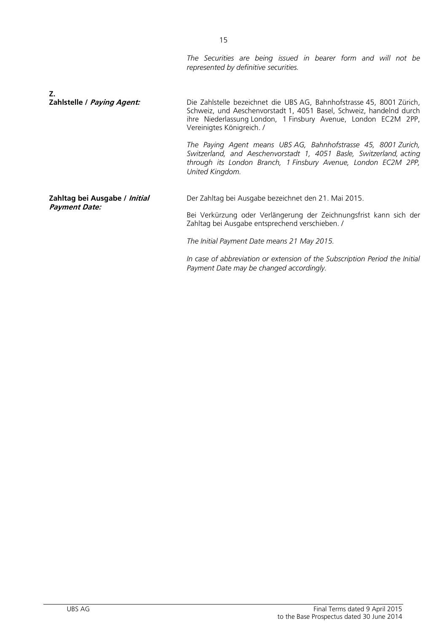*The Securities are being issued in bearer form and will not be represented by definitive securities.*

| Z.                            |                                                                                                                                                                                                                                             |
|-------------------------------|---------------------------------------------------------------------------------------------------------------------------------------------------------------------------------------------------------------------------------------------|
| Zahlstelle / Paying Agent:    | Die Zahlstelle bezeichnet die UBS AG, Bahnhofstrasse 45, 8001 Zürich,<br>Schweiz, und Aeschenvorstadt 1, 4051 Basel, Schweiz, handelnd durch<br>ihre Niederlassung London, 1 Finsbury Avenue, London EC2M 2PP,<br>Vereinigtes Königreich. / |
|                               | The Paying Agent means UBS AG, Bahnhofstrasse 45, 8001 Zurich,<br>Switzerland, and Aeschenvorstadt 1, 4051 Basle, Switzerland, acting<br>through its London Branch, 1 Finsbury Avenue, London EC2M 2PP,<br>United Kingdom.                  |
| Zahltag bei Ausgabe / Initial | Der Zahltag bei Ausgabe bezeichnet den 21. Mai 2015.                                                                                                                                                                                        |
| Payment Date:                 | Bei Verkürzung oder Verlängerung der Zeichnungsfrist kann sich der<br>Zahltag bei Ausgabe entsprechend verschieben. /                                                                                                                       |
|                               | The Initial Payment Date means 21 May 2015.                                                                                                                                                                                                 |
|                               | In case of abbreviation or extension of the Subscription Period the Initial                                                                                                                                                                 |

*Payment Date may be changed accordingly.*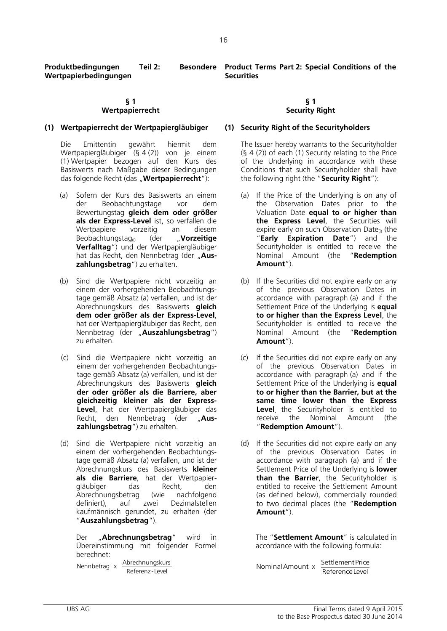**Produktbedingungen** Teil 2: **Wertpapierbedingungen**

#### **§ 1 Wertpapierrecht**

#### **(1) Wertpapierrecht der Wertpapiergläubiger (1) Security Right of the Securityholders**

Die Emittentin gewährt hiermit dem Wertpapiergläubiger (§ 4 (2)) von je einem (1) Wertpapier bezogen auf den Kurs des Basiswerts nach Maßgabe dieser Bedingungen das folgende Recht (das "**Wertpapierrecht**"):

- (a) Sofern der Kurs des Basiswerts an einem der Beobachtungstage vor dem Bewertungstag **gleich dem oder größer als der Express-Level** ist, so verfallen die Wertpapiere vorzeitig an diesem<br>Beobachtungstag<sub>©</sub> (der "**Vorzeitige** Beobachtungstag(i) (der "**Vorzeitige Verfalltag**") und der Wertpapiergläubiger hat das Recht, den Nennbetrag (der "Aus**zahlungsbetrag**") zu erhalten.
- (b) Sind die Wertpapiere nicht vorzeitig an einem der vorhergehenden Beobachtungstage gemäß Absatz (a) verfallen, und ist der Abrechnungskurs des Basiswerts **gleich dem oder größer als der Express-Level**, hat der Wertpapiergläubiger das Recht, den Nennbetrag (der "**Auszahlungsbetrag**") zu erhalten.
- (c) Sind die Wertpapiere nicht vorzeitig an einem der vorhergehenden Beobachtungstage gemäß Absatz (a) verfallen, und ist der Abrechnungskurs des Basiswerts **gleich der oder größer als die Barriere, aber gleichzeitig kleiner als der Express-Level**, hat der Wertpapiergläubiger das Recht, den Nennbetrag (der "Aus**zahlungsbetrag**") zu erhalten.
- (d) Sind die Wertpapiere nicht vorzeitig an einem der vorhergehenden Beobachtungstage gemäß Absatz (a) verfallen, und ist der Abrechnungskurs des Basiswerts **kleiner als die Barriere**, hat der Wertpapiergläubiger das Recht, den<br>Abrechnungsbetrag (wie nachfolgend Abrechnungsbetrag (wie nachfolgend definiert), auf zwei Dezimalstellen kaufmännisch gerundet, zu erhalten (der "**Auszahlungsbetrag**").

Der "**Abrechnungsbetrag**" wird in Übereinstimmung mit folgender Formel berechnet:

Referenz-Level Nennbetrag x Abrechnungskurs **Besondere** Product Terms Part 2: Special Conditions of the **Securities**

#### **§ 1 Security Right**

The Issuer hereby warrants to the Securityholder (§ 4 (2)) of each (1) Security relating to the Price of the Underlying in accordance with these Conditions that such Securityholder shall have the following right (the "**Security Right**"):

- (a) If the Price of the Underlying is on any of the Observation Dates prior to the Valuation Date **equal to or higher than the Express Level**, the Securities will expire early on such Observation Date $_{(i)}$  (the "**Early Expiration Date**") and the Securityholder is entitled to receive the Nominal Amount (the "**Redemption Amount**").
- (b) If the Securities did not expire early on any of the previous Observation Dates in accordance with paragraph (a) and if the Settlement Price of the Underlying is **equal to or higher than the Express Level**, the Securityholder is entitled to receive the Nominal Amount (the "**Redemption Amount**").
- (c) If the Securities did not expire early on any of the previous Observation Dates in accordance with paragraph (a) and if the Settlement Price of the Underlying is **equal to or higher than the Barrier, but at the same time lower than the Express Level**, the Securityholder is entitled to receive the Nominal Amount (the receive the Nominal Amount (the "**Redemption Amount**").
- (d) If the Securities did not expire early on any of the previous Observation Dates in accordance with paragraph (a) and if the Settlement Price of the Underlying is **lower than the Barrier**, the Securityholder is entitled to receive the Settlement Amount (as defined below), commercially rounded to two decimal places (the "**Redemption Amount**").

The "**Settlement Amount**" is calculated in accordance with the following formula:

ReferenceLevel Nominal Amount  $x = \frac{\text{Settlement Price}}{x}$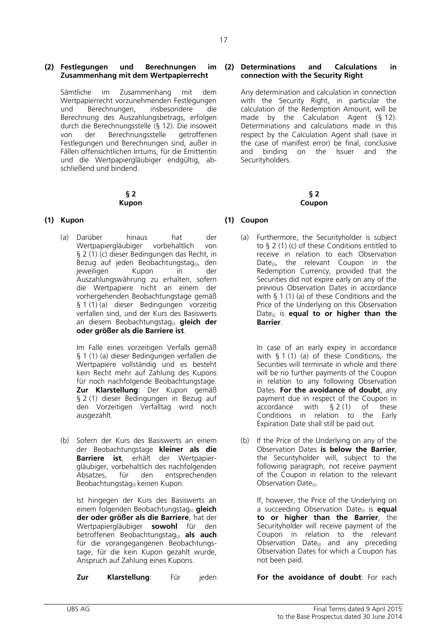#### **(2) Festlegungen und Berechnungen im Zusammenhang mit dem Wertpapierrecht**

Sämtliche im Zusammenhang mit dem Wertpapierrecht vorzunehmenden Festlegungen und Berechnungen, insbesondere die Berechnung des Auszahlungsbetrags, erfolgen durch die Berechnungsstelle (§ 12). Die insoweit von der Berechnungsstelle Festlegungen und Berechnungen sind, außer in Fällen offensichtlichen Irrtums, für die Emittentin und die Wertpapiergläubiger endgültig, abschließend und bindend.

#### **§ 2 Kupon**

(a) Darüber hinaus hat der Wertpapiergläubiger vorbehaltlich von § 2 (1) (c) dieser Bedingungen das Recht, in Bezug auf jeden Beobachtungstag $_{(i)}$ , den jeweiligen Kupon in der Auszahlungswährung zu erhalten, sofern die Wertpapiere nicht an einem der vorhergehenden Beobachtungstage gemäß § 1 (1) (a) dieser Bedingungen vorzeitig verfallen sind, und der Kurs des Basiswerts an diesem Beobachtungstag(i) **gleich der oder größer als die Barriere ist**.

Im Falle eines vorzeitigen Verfalls gemäß § 1 (1) (a) dieser Bedingungen verfallen die Wertpapiere vollständig und es besteht kein Recht mehr auf Zahlung des Kupons für noch nachfolgende Beobachtungstage. **Zur Klarstellung**: Der Kupon gemäß § 2 (1) dieser Bedingungen in Bezug auf den Vorzeitigen Verfalltag wird noch ausgezahlt.

(b) Sofern der Kurs des Basiswerts an einem der Beobachtungstage **kleiner als die Barriere ist**, erhält der Wertpapiergläubiger, vorbehaltlich des nachfolgenden Absatzes, für den entsprechenden Beobachtungstag<sub>(i)</sub> keinen Kupon.

> Ist hingegen der Kurs des Basiswerts an einem folgenden Beobachtungstag(i) **gleich der oder größer als die Barriere**, hat der Wertpapiergläubiger **sowohl** für den betroffenen Beobachtungstag(i) **als auch**  für die vorangegangenen Beobachtungstage, für die kein Kupon gezahlt wurde, Anspruch auf Zahlung eines Kupons.

**Zur Klarstellung**: Für jeden **For the avoidance of doubt**: For each

#### **(2) Determinations and Calculations in connection with the Security Right**

Any determination and calculation in connection with the Security Right, in particular the calculation of the Redemption Amount, will be made by the Calculation Agent (§ 12). Determinations and calculations made in this respect by the Calculation Agent shall (save in the case of manifest error) be final, conclusive<br>and binding on the Issuer and the and binding on the Issuer and the Securityholders.

> **§ 2 Coupon**

#### **(1) Kupon (1) Coupon**

(a) Furthermore, the Securityholder is subject to § 2 (1) (c) of these Conditions entitled to receive in relation to each Observation Date $_{(i)}$ , the relevant Coupon in the Redemption Currency, provided that the Securities did not expire early on any of the previous Observation Dates in accordance with § 1 (1) (a) of these Conditions and the Price of the Underlying on this Observation Date(i) is **equal to or higher than the Barrier**.

In case of an early expiry in accordance with § 1 (1) (a) of these Conditions, the Securities will terminate in whole and there will be no further payments of the Coupon in relation to any following Observation Dates. **For the avoidance of doubt**, any payment due in respect of the Coupon in<br>accordance with  $\frac{52(1)}{2}$  of these accordance with § 2 (1) of these Conditions in relation to the Early Expiration Date shall still be paid out.

(b) If the Price of the Underlying on any of the Observation Dates **is below the Barrier**, the Securityholder will, subject to the following paragraph, not receive payment of the Coupon in relation to the relevant Observation Date $(i)$ .

If, however, the Price of the Underlying on a succeeding Observation Date(i) is **equal to or higher than the Barrier**, the Securityholder will receive payment of the Coupon in relation to the relevant Observation Date(i) and any preceding Observation Dates for which a Coupon has not been paid.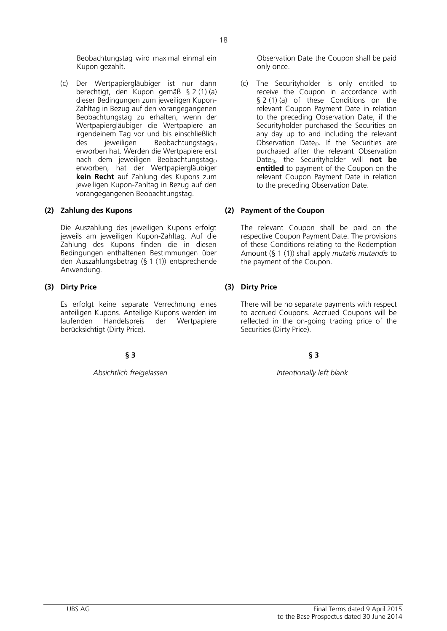Beobachtungstag wird maximal einmal ein Kupon gezahlt.

(c) Der Wertpapiergläubiger ist nur dann berechtigt, den Kupon gemäß § 2 (1) (a) dieser Bedingungen zum jeweiligen Kupon-Zahltag in Bezug auf den vorangegangenen Beobachtungstag zu erhalten, wenn der Wertpapiergläubiger die Wertpapiere an irgendeinem Tag vor und bis einschließlich<br>des ieweiligen Beobachtungstags Beobachtungstags<sub>(i)</sub> erworben hat. Werden die Wertpapiere erst nach dem jeweiligen Beobachtungstag<sub>(i)</sub> erworben, hat der Wertpapiergläubiger **kein Recht** auf Zahlung des Kupons zum jeweiligen Kupon-Zahltag in Bezug auf den vorangegangenen Beobachtungstag.

Die Auszahlung des jeweiligen Kupons erfolgt jeweils am jeweiligen Kupon-Zahltag. Auf die Zahlung des Kupons finden die in diesen Bedingungen enthaltenen Bestimmungen über den Auszahlungsbetrag (§ 1 (1)) entsprechende Anwendung.

### **(3) Dirty Price (3) Dirty Price**

Es erfolgt keine separate Verrechnung eines anteiligen Kupons. Anteilige Kupons werden im laufenden Handelspreis der Wertpapiere berücksichtigt (Dirty Price).

### **§ 3 § 3**

#### *Absichtlich freigelassen Intentionally left blank*

Observation Date the Coupon shall be paid only once.

(c) The Securityholder is only entitled to receive the Coupon in accordance with § 2 (1) (a) of these Conditions on the relevant Coupon Payment Date in relation to the preceding Observation Date, if the Securityholder purchased the Securities on any day up to and including the relevant Observation Date(i). If the Securities are purchased after the relevant Observation Date(i), the Securityholder will **not be entitled** to payment of the Coupon on the relevant Coupon Payment Date in relation to the preceding Observation Date.

### **(2) Zahlung des Kupons (2) Payment of the Coupon**

The relevant Coupon shall be paid on the respective Coupon Payment Date. The provisions of these Conditions relating to the Redemption Amount (§ 1 (1)) shall apply *mutatis mutandis* to the payment of the Coupon.

There will be no separate payments with respect to accrued Coupons. Accrued Coupons will be reflected in the on-going trading price of the Securities (Dirty Price).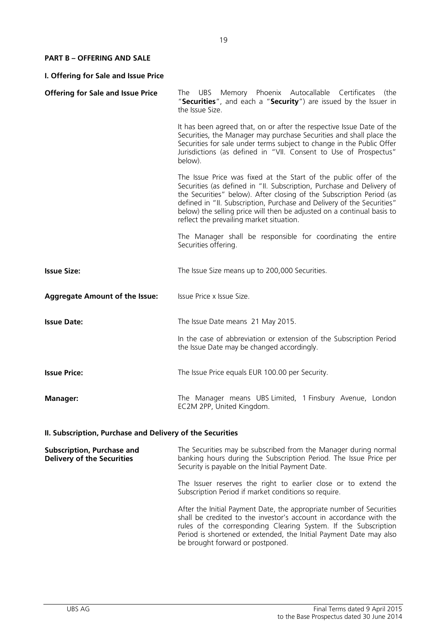### **PART B – OFFERING AND SALE**

| I. Offering for Sale and Issue Price     |                                                                                                                                                                                                                                                                                                                                                                                                                    |  |
|------------------------------------------|--------------------------------------------------------------------------------------------------------------------------------------------------------------------------------------------------------------------------------------------------------------------------------------------------------------------------------------------------------------------------------------------------------------------|--|
| <b>Offering for Sale and Issue Price</b> | UBS Memory Phoenix Autocallable Certificates<br>The<br>(the<br>"Securities", and each a "Security") are issued by the Issuer in<br>the Issue Size.                                                                                                                                                                                                                                                                 |  |
|                                          | It has been agreed that, on or after the respective Issue Date of the<br>Securities, the Manager may purchase Securities and shall place the<br>Securities for sale under terms subject to change in the Public Offer<br>Jurisdictions (as defined in "VII. Consent to Use of Prospectus"<br>below).                                                                                                               |  |
|                                          | The Issue Price was fixed at the Start of the public offer of the<br>Securities (as defined in "II. Subscription, Purchase and Delivery of<br>the Securities" below). After closing of the Subscription Period (as<br>defined in "II. Subscription, Purchase and Delivery of the Securities"<br>below) the selling price will then be adjusted on a continual basis to<br>reflect the prevailing market situation. |  |
|                                          | The Manager shall be responsible for coordinating the entire<br>Securities offering.                                                                                                                                                                                                                                                                                                                               |  |
| <b>Issue Size:</b>                       | The Issue Size means up to 200,000 Securities.                                                                                                                                                                                                                                                                                                                                                                     |  |
| <b>Aggregate Amount of the Issue:</b>    | Issue Price x Issue Size.                                                                                                                                                                                                                                                                                                                                                                                          |  |
| <b>Issue Date:</b>                       | The Issue Date means 21 May 2015.                                                                                                                                                                                                                                                                                                                                                                                  |  |
|                                          | In the case of abbreviation or extension of the Subscription Period<br>the Issue Date may be changed accordingly.                                                                                                                                                                                                                                                                                                  |  |
| <b>Issue Price:</b>                      | The Issue Price equals EUR 100.00 per Security.                                                                                                                                                                                                                                                                                                                                                                    |  |
| <b>Manager:</b>                          | The Manager means UBS Limited, 1 Finsbury Avenue, London<br>EC2M 2PP, United Kingdom.                                                                                                                                                                                                                                                                                                                              |  |

# **II. Subscription, Purchase and Delivery of the Securities**

| <b>Subscription, Purchase and</b><br><b>Delivery of the Securities</b> | The Securities may be subscribed from the Manager during normal<br>banking hours during the Subscription Period. The Issue Price per<br>Security is payable on the Initial Payment Date.                                                                                                                                |
|------------------------------------------------------------------------|-------------------------------------------------------------------------------------------------------------------------------------------------------------------------------------------------------------------------------------------------------------------------------------------------------------------------|
|                                                                        | The Issuer reserves the right to earlier close or to extend the<br>Subscription Period if market conditions so require.                                                                                                                                                                                                 |
|                                                                        | After the Initial Payment Date, the appropriate number of Securities<br>shall be credited to the investor's account in accordance with the<br>rules of the corresponding Clearing System. If the Subscription<br>Period is shortened or extended, the Initial Payment Date may also<br>be brought forward or postponed. |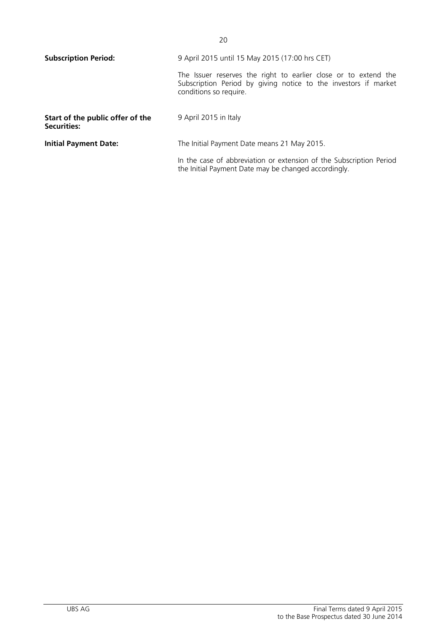| <b>Subscription Period:</b>                            | 9 April 2015 until 15 May 2015 (17:00 hrs CET)                                                                                                               |
|--------------------------------------------------------|--------------------------------------------------------------------------------------------------------------------------------------------------------------|
|                                                        | The Issuer reserves the right to earlier close or to extend the<br>Subscription Period by giving notice to the investors if market<br>conditions so require. |
| Start of the public offer of the<br><b>Securities:</b> | 9 April 2015 in Italy                                                                                                                                        |
| <b>Initial Payment Date:</b>                           | The Initial Payment Date means 21 May 2015.                                                                                                                  |
|                                                        | In the case of abbreviation or extension of the Subscription Period<br>the Initial Payment Date may be changed accordingly.                                  |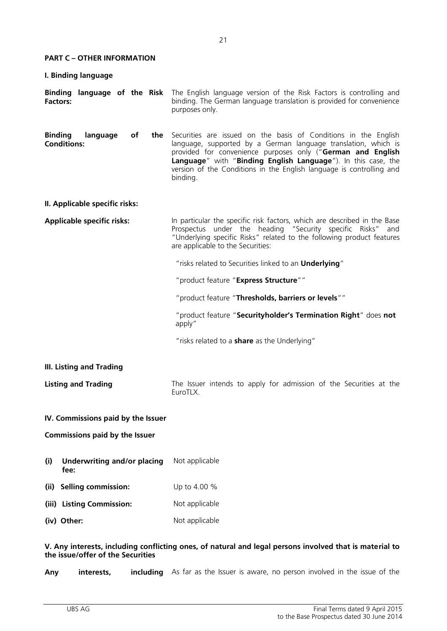#### **PART C – OTHER INFORMATION**

| I. Binding language                             |                                    |           |                                                                                                                                                                                                                                                                                                                                                       |
|-------------------------------------------------|------------------------------------|-----------|-------------------------------------------------------------------------------------------------------------------------------------------------------------------------------------------------------------------------------------------------------------------------------------------------------------------------------------------------------|
| Binding language of the Risk<br><b>Factors:</b> |                                    |           | The English language version of the Risk Factors is controlling and<br>binding. The German language translation is provided for convenience<br>purposes only.                                                                                                                                                                                         |
| <b>Binding</b><br><b>Conditions:</b>            | language                           | of<br>the | Securities are issued on the basis of Conditions in the English<br>language, supported by a German language translation, which is<br>provided for convenience purposes only ("German and English<br>Language" with "Binding English Language"). In this case, the<br>version of the Conditions in the English language is controlling and<br>binding. |
| II. Applicable specific risks:                  |                                    |           |                                                                                                                                                                                                                                                                                                                                                       |
| <b>Applicable specific risks:</b>               |                                    |           | In particular the specific risk factors, which are described in the Base<br>Prospectus under the heading "Security specific Risks"<br>and<br>"Underlying specific Risks" related to the following product features<br>are applicable to the Securities:                                                                                               |
|                                                 |                                    |           | "risks related to Securities linked to an Underlying"                                                                                                                                                                                                                                                                                                 |
|                                                 |                                    |           | "product feature "Express Structure""                                                                                                                                                                                                                                                                                                                 |
|                                                 |                                    |           | "product feature "Thresholds, barriers or levels""                                                                                                                                                                                                                                                                                                    |
|                                                 |                                    |           | "product feature "Securityholder's Termination Right" does not<br>apply"                                                                                                                                                                                                                                                                              |
|                                                 |                                    |           | "risks related to a <b>share</b> as the Underlying"                                                                                                                                                                                                                                                                                                   |
| <b>III. Listing and Trading</b>                 |                                    |           |                                                                                                                                                                                                                                                                                                                                                       |
| <b>Listing and Trading</b>                      |                                    |           | The Issuer intends to apply for admission of the Securities at the<br>EuroTLX.                                                                                                                                                                                                                                                                        |
| IV. Commissions paid by the Issuer              |                                    |           |                                                                                                                                                                                                                                                                                                                                                       |
| <b>Commissions paid by the Issuer</b>           |                                    |           |                                                                                                                                                                                                                                                                                                                                                       |
| (i)<br>fee:                                     | <b>Underwriting and/or placing</b> |           | Not applicable                                                                                                                                                                                                                                                                                                                                        |
| (ii)                                            | <b>Selling commission:</b>         |           | Up to 4.00 %                                                                                                                                                                                                                                                                                                                                          |
| (iii) Listing Commission:                       |                                    |           | Not applicable                                                                                                                                                                                                                                                                                                                                        |
| (iv) Other:                                     |                                    |           | Not applicable                                                                                                                                                                                                                                                                                                                                        |

### **V. Any interests, including conflicting ones, of natural and legal persons involved that is material to the issue/offer of the Securities**

Any interests, including As far as the Issuer is aware, no person involved in the issue of the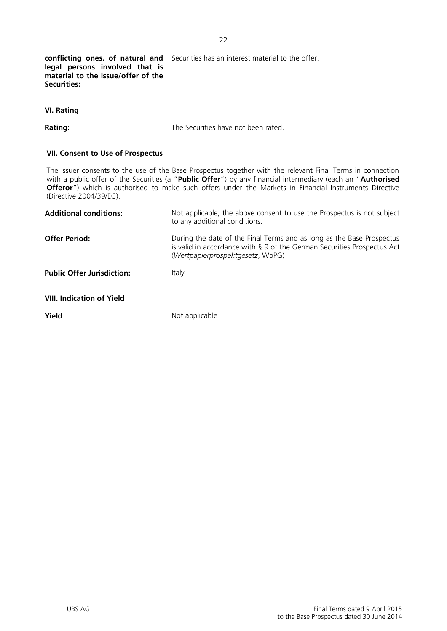**conflicting ones, of natural and**  Securities has an interest material to the offer.

**legal persons involved that is material to the issue/offer of the Securities:**

**Rating:** The Securities have not been rated.

22

### **VII. Consent to Use of Prospectus**

The Issuer consents to the use of the Base Prospectus together with the relevant Final Terms in connection with a public offer of the Securities (a "**Public Offer**") by any financial intermediary (each an "**Authorised Offeror**") which is authorised to make such offers under the Markets in Financial Instruments Directive (Directive 2004/39/EC).

| <b>Additional conditions:</b>     | Not applicable, the above consent to use the Prospectus is not subject<br>to any additional conditions.                                                                              |
|-----------------------------------|--------------------------------------------------------------------------------------------------------------------------------------------------------------------------------------|
| <b>Offer Period:</b>              | During the date of the Final Terms and as long as the Base Prospectus<br>is valid in accordance with § 9 of the German Securities Prospectus Act<br>(Wertpapierprospektgesetz, WpPG) |
| <b>Public Offer Jurisdiction:</b> | Italy                                                                                                                                                                                |
| <b>VIII. Indication of Yield</b>  |                                                                                                                                                                                      |
| Yield                             | Not applicable                                                                                                                                                                       |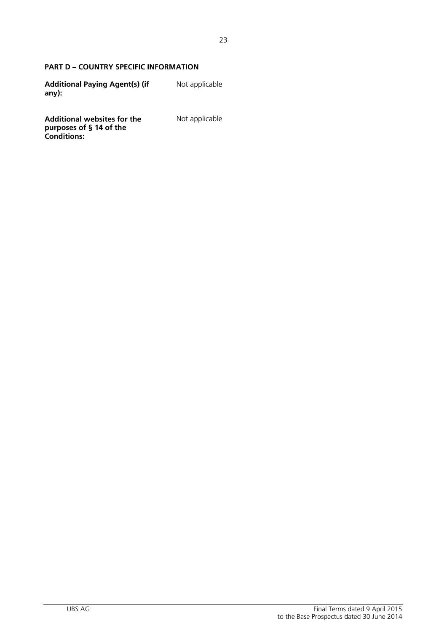## **PART D – COUNTRY SPECIFIC INFORMATION**

| <b>Additional Paying Agent(s) (if</b> | Not applicable |
|---------------------------------------|----------------|
| $any)$ :                              |                |

**Additional websites for the purposes of § 14 of the Conditions:**

Not applicable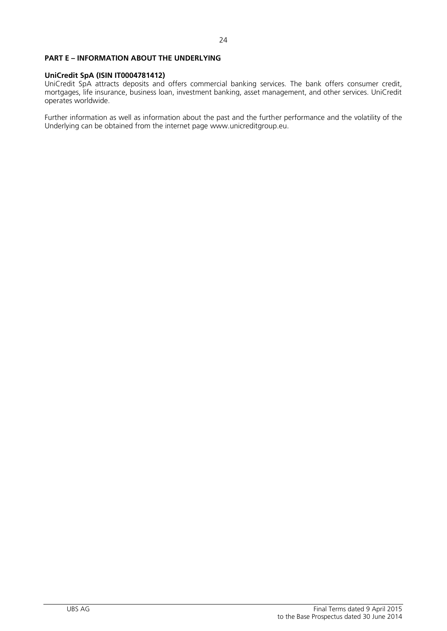#### **PART E – INFORMATION ABOUT THE UNDERLYING**

#### **UniCredit SpA (ISIN IT0004781412)**

UniCredit SpA attracts deposits and offers commercial banking services. The bank offers consumer credit, mortgages, life insurance, business loan, investment banking, asset management, and other services. UniCredit operates worldwide.

Further information as well as information about the past and the further performance and the volatility of the Underlying can be obtained from the internet page www.unicreditgroup.eu.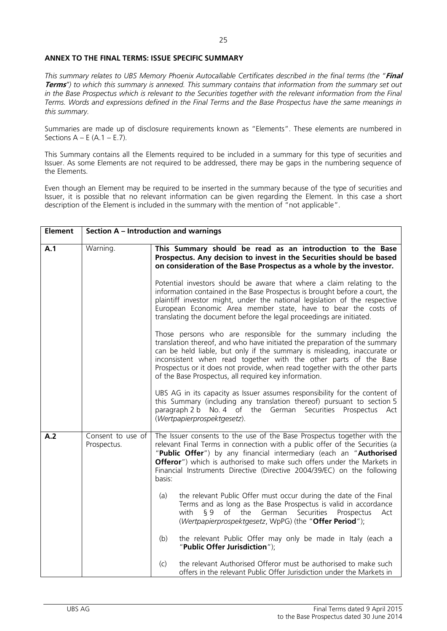#### **ANNEX TO THE FINAL TERMS: ISSUE SPECIFIC SUMMARY**

*This summary relates to UBS Memory Phoenix Autocallable Certificates described in the final terms (the "***Final Terms***") to which this summary is annexed. This summary contains that information from the summary set out in the Base Prospectus which is relevant to the Securities together with the relevant information from the Final Terms. Words and expressions defined in the Final Terms and the Base Prospectus have the same meanings in this summary.*

Summaries are made up of disclosure requirements known as "Elements". These elements are numbered in Sections  $A - E(A, 1 - E, 7)$ .

This Summary contains all the Elements required to be included in a summary for this type of securities and Issuer. As some Elements are not required to be addressed, there may be gaps in the numbering sequence of the Elements.

Even though an Element may be required to be inserted in the summary because of the type of securities and Issuer, it is possible that no relevant information can be given regarding the Element. In this case a short description of the Element is included in the summary with the mention of "not applicable".

| <b>Element</b> |                                  | <b>Section A - Introduction and warnings</b>                                                                                                                                                                                                                                                                                                                                                                                         |  |  |
|----------------|----------------------------------|--------------------------------------------------------------------------------------------------------------------------------------------------------------------------------------------------------------------------------------------------------------------------------------------------------------------------------------------------------------------------------------------------------------------------------------|--|--|
| A.1            | Warning.                         | This Summary should be read as an introduction to the Base<br>Prospectus. Any decision to invest in the Securities should be based<br>on consideration of the Base Prospectus as a whole by the investor.                                                                                                                                                                                                                            |  |  |
|                |                                  | Potential investors should be aware that where a claim relating to the<br>information contained in the Base Prospectus is brought before a court, the<br>plaintiff investor might, under the national legislation of the respective<br>European Economic Area member state, have to bear the costs of<br>translating the document before the legal proceedings are initiated.                                                        |  |  |
|                |                                  | Those persons who are responsible for the summary including the<br>translation thereof, and who have initiated the preparation of the summary<br>can be held liable, but only if the summary is misleading, inaccurate or<br>inconsistent when read together with the other parts of the Base<br>Prospectus or it does not provide, when read together with the other parts<br>of the Base Prospectus, all required key information. |  |  |
|                |                                  | UBS AG in its capacity as Issuer assumes responsibility for the content of<br>this Summary (including any translation thereof) pursuant to section 5<br>paragraph 2 b No. 4 of the German<br>Securities<br>Prospectus Act<br>(Wertpapierprospektgesetz).                                                                                                                                                                             |  |  |
| A.2            | Consent to use of<br>Prospectus. | The Issuer consents to the use of the Base Prospectus together with the<br>relevant Final Terms in connection with a public offer of the Securities (a<br>"Public Offer") by any financial intermediary (each an "Authorised<br><b>Offeror</b> ") which is authorised to make such offers under the Markets in<br>Financial Instruments Directive (Directive 2004/39/EC) on the following<br>basis:                                  |  |  |
|                |                                  | the relevant Public Offer must occur during the date of the Final<br>(a)<br>Terms and as long as the Base Prospectus is valid in accordance<br>of the German<br>Securities<br>with<br><b>ξ9</b><br>Prospectus<br>Act<br>(Wertpapierprospektgesetz, WpPG) (the "Offer Period");                                                                                                                                                       |  |  |
|                |                                  | the relevant Public Offer may only be made in Italy (each a<br>(b)<br>"Public Offer Jurisdiction");                                                                                                                                                                                                                                                                                                                                  |  |  |
|                |                                  | (c)<br>the relevant Authorised Offeror must be authorised to make such<br>offers in the relevant Public Offer Jurisdiction under the Markets in                                                                                                                                                                                                                                                                                      |  |  |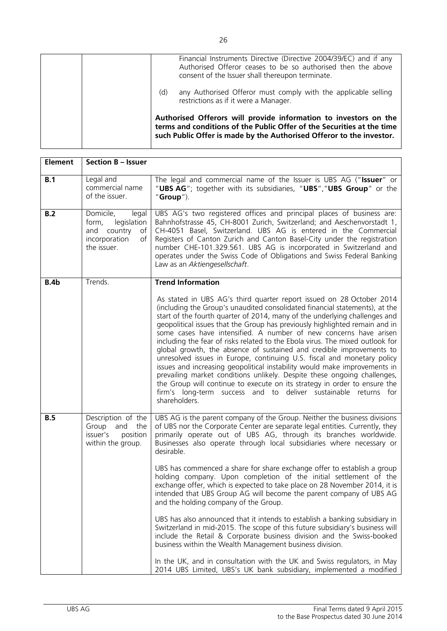|     | Financial Instruments Directive (Directive 2004/39/EC) and if any<br>Authorised Offeror ceases to be so authorised then the above<br>consent of the Issuer shall thereupon terminate.                              |
|-----|--------------------------------------------------------------------------------------------------------------------------------------------------------------------------------------------------------------------|
| (d) | any Authorised Offeror must comply with the applicable selling<br>restrictions as if it were a Manager.                                                                                                            |
|     | Authorised Offerors will provide information to investors on the<br>terms and conditions of the Public Offer of the Securities at the time<br>such Public Offer is made by the Authorised Offeror to the investor. |

| <b>Element</b> | <b>Section B - Issuer</b>                                                                             |                                                                                                                                                                                                                                                                                                                                                                                                                                                                                                                                                                                                                                                                                                                                                                                                                                                                                                                                                                                                                                                                                                                         |
|----------------|-------------------------------------------------------------------------------------------------------|-------------------------------------------------------------------------------------------------------------------------------------------------------------------------------------------------------------------------------------------------------------------------------------------------------------------------------------------------------------------------------------------------------------------------------------------------------------------------------------------------------------------------------------------------------------------------------------------------------------------------------------------------------------------------------------------------------------------------------------------------------------------------------------------------------------------------------------------------------------------------------------------------------------------------------------------------------------------------------------------------------------------------------------------------------------------------------------------------------------------------|
| B.1            | Legal and<br>commercial name<br>of the issuer.                                                        | The legal and commercial name of the Issuer is UBS AG ("Issuer" or<br>"UBS AG"; together with its subsidiaries, "UBS", "UBS Group" or the<br>" $Group'$ ).                                                                                                                                                                                                                                                                                                                                                                                                                                                                                                                                                                                                                                                                                                                                                                                                                                                                                                                                                              |
| B.2            | Domicile,<br>legal<br>legislation<br>form,<br>and country<br>of<br>incorporation<br>of<br>the issuer. | UBS AG's two registered offices and principal places of business are:<br>Bahnhofstrasse 45, CH-8001 Zurich, Switzerland; and Aeschenvorstadt 1,<br>CH-4051 Basel, Switzerland. UBS AG is entered in the Commercial<br>Registers of Canton Zurich and Canton Basel-City under the registration<br>number CHE-101.329.561. UBS AG is incorporated in Switzerland and<br>operates under the Swiss Code of Obligations and Swiss Federal Banking<br>Law as an Aktiengesellschaft.                                                                                                                                                                                                                                                                                                                                                                                                                                                                                                                                                                                                                                           |
| B.4b           | Trends.                                                                                               | <b>Trend Information</b>                                                                                                                                                                                                                                                                                                                                                                                                                                                                                                                                                                                                                                                                                                                                                                                                                                                                                                                                                                                                                                                                                                |
|                |                                                                                                       | As stated in UBS AG's third quarter report issued on 28 October 2014<br>(including the Group's unaudited consolidated financial statements), at the<br>start of the fourth quarter of 2014, many of the underlying challenges and<br>geopolitical issues that the Group has previously highlighted remain and in<br>some cases have intensified. A number of new concerns have arisen<br>including the fear of risks related to the Ebola virus. The mixed outlook for<br>global growth, the absence of sustained and credible improvements to<br>unresolved issues in Europe, continuing U.S. fiscal and monetary policy<br>issues and increasing geopolitical instability would make improvements in<br>prevailing market conditions unlikely. Despite these ongoing challenges,<br>the Group will continue to execute on its strategy in order to ensure the<br>firm's long-term success and to deliver sustainable returns for<br>shareholders.                                                                                                                                                                     |
| B.5            | Description of the<br>Group<br>and the<br>issuer's<br>position<br>within the group.                   | UBS AG is the parent company of the Group. Neither the business divisions<br>of UBS nor the Corporate Center are separate legal entities. Currently, they<br>primarily operate out of UBS AG, through its branches worldwide.<br>Businesses also operate through local subsidiaries where necessary or<br>desirable.<br>UBS has commenced a share for share exchange offer to establish a group<br>holding company. Upon completion of the initial settlement of the<br>exchange offer, which is expected to take place on 28 November 2014, it is<br>intended that UBS Group AG will become the parent company of UBS AG<br>and the holding company of the Group.<br>UBS has also announced that it intends to establish a banking subsidiary in<br>Switzerland in mid-2015. The scope of this future subsidiary's business will<br>include the Retail & Corporate business division and the Swiss-booked<br>business within the Wealth Management business division.<br>In the UK, and in consultation with the UK and Swiss regulators, in May<br>2014 UBS Limited, UBS's UK bank subsidiary, implemented a modified |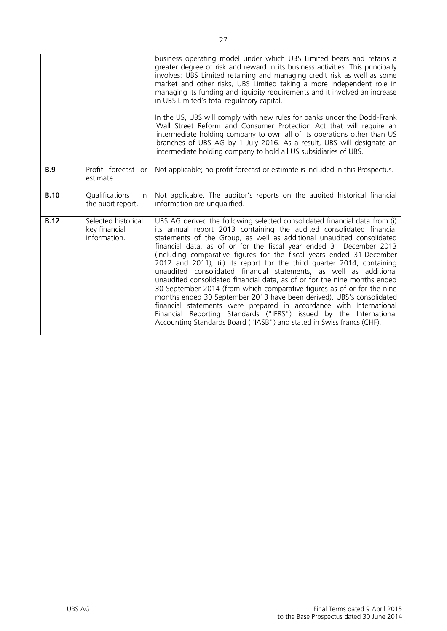|             |                                                      | business operating model under which UBS Limited bears and retains a<br>greater degree of risk and reward in its business activities. This principally<br>involves: UBS Limited retaining and managing credit risk as well as some<br>market and other risks, UBS Limited taking a more independent role in<br>managing its funding and liquidity requirements and it involved an increase<br>in UBS Limited's total regulatory capital.<br>In the US, UBS will comply with new rules for banks under the Dodd-Frank                                                                                                                                                                                                                                                                                                                                                                                                                                                               |
|-------------|------------------------------------------------------|------------------------------------------------------------------------------------------------------------------------------------------------------------------------------------------------------------------------------------------------------------------------------------------------------------------------------------------------------------------------------------------------------------------------------------------------------------------------------------------------------------------------------------------------------------------------------------------------------------------------------------------------------------------------------------------------------------------------------------------------------------------------------------------------------------------------------------------------------------------------------------------------------------------------------------------------------------------------------------|
|             |                                                      | Wall Street Reform and Consumer Protection Act that will require an<br>intermediate holding company to own all of its operations other than US<br>branches of UBS AG by 1 July 2016. As a result, UBS will designate an<br>intermediate holding company to hold all US subsidiaries of UBS.                                                                                                                                                                                                                                                                                                                                                                                                                                                                                                                                                                                                                                                                                        |
| B.9         | Profit forecast or<br>estimate.                      | Not applicable; no profit forecast or estimate is included in this Prospectus.                                                                                                                                                                                                                                                                                                                                                                                                                                                                                                                                                                                                                                                                                                                                                                                                                                                                                                     |
| <b>B.10</b> | Qualifications<br>in.<br>the audit report.           | Not applicable. The auditor's reports on the audited historical financial<br>information are unqualified.                                                                                                                                                                                                                                                                                                                                                                                                                                                                                                                                                                                                                                                                                                                                                                                                                                                                          |
| <b>B.12</b> | Selected historical<br>key financial<br>information. | UBS AG derived the following selected consolidated financial data from (i)<br>its annual report 2013 containing the audited consolidated financial<br>statements of the Group, as well as additional unaudited consolidated<br>financial data, as of or for the fiscal year ended 31 December 2013<br>(including comparative figures for the fiscal years ended 31 December<br>2012 and 2011), (ii) its report for the third quarter 2014, containing<br>unaudited consolidated financial statements, as well as additional<br>unaudited consolidated financial data, as of or for the nine months ended<br>30 September 2014 (from which comparative figures as of or for the nine<br>months ended 30 September 2013 have been derived). UBS's consolidated<br>financial statements were prepared in accordance with International<br>Financial Reporting Standards ("IFRS") issued by the International<br>Accounting Standards Board ("IASB") and stated in Swiss francs (CHF). |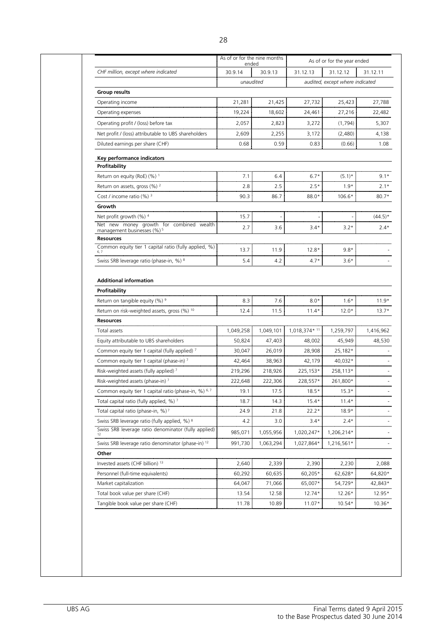|                                                                                    | As of or for the nine months<br>ended |           |               | As of or for the year ended     |                                                               |
|------------------------------------------------------------------------------------|---------------------------------------|-----------|---------------|---------------------------------|---------------------------------------------------------------|
| CHF million, except where indicated                                                | 30.9.14                               | 30.9.13   | 31.12.13      | 31.12.12                        | 31.12.11                                                      |
|                                                                                    | unaudited                             |           |               | audited, except where indicated |                                                               |
| <b>Group results</b>                                                               |                                       |           |               |                                 |                                                               |
| Operating income                                                                   | 21,281                                | 21,425    | 27,732        | 25,423                          | 27,788                                                        |
| Operating expenses                                                                 | 19,224                                | 18,602    | 24,461        | 27,216                          | 22,482                                                        |
| Operating profit / (loss) before tax                                               | 2,057                                 | 2,823     | 3,272         | (1, 794)                        | 5,307                                                         |
| Net profit / (loss) attributable to UBS shareholders                               | 2,609                                 | 2,255     | 3,172         | (2,480)                         | 4,138                                                         |
| Diluted earnings per share (CHF)                                                   | 0.68                                  | 0.59      | 0.83          | (0.66)                          | 1.08                                                          |
|                                                                                    |                                       |           |               |                                 |                                                               |
| Key performance indicators                                                         |                                       |           |               |                                 |                                                               |
| Profitability                                                                      |                                       |           |               |                                 |                                                               |
| Return on equity (RoE) (%) 1                                                       | 7.1                                   | 6.4       | $6.7*$        | $(5.1)$ *                       | $9.1*$                                                        |
| Return on assets, gross (%) <sup>2</sup>                                           | 2.8                                   | 2.5       | $2.5*$        | $1.9*$                          | $2.1*$                                                        |
| Cost / income ratio $(\%)$ <sup>3</sup>                                            | 90.3                                  | 86.7      | 88.0*         | $106.6*$                        | $80.7*$                                                       |
| Growth                                                                             |                                       |           |               |                                 |                                                               |
| Net profit growth (%) 4                                                            | 15.7                                  |           |               |                                 | $(44.5)^*$                                                    |
| Net new money growth for combined wealth<br>management businesses (%) <sup>5</sup> | 2.7                                   | 3.6       | $3.4*$        | $3.2*$                          | $2.4*$                                                        |
| <b>Resources</b>                                                                   |                                       |           |               |                                 |                                                               |
| Common equity tier 1 capital ratio (fully applied, %)                              | 13.7                                  | 11.9      | $12.8*$       | $9.8*$                          |                                                               |
| 6,7<br>Swiss SRB leverage ratio (phase-in, %) 8                                    | 5.4                                   | 4.2       | $4.7*$        | $3.6*$                          |                                                               |
|                                                                                    |                                       |           |               |                                 |                                                               |
| Profitability                                                                      |                                       |           |               |                                 |                                                               |
| Return on tangible equity (%) 9                                                    | 8.3                                   | 7.6       | $8.0*$        | $1.6*$                          |                                                               |
| Return on risk-weighted assets, gross (%) 10                                       | 12.4                                  | 11.5      | $11.4*$       | $12.0*$                         |                                                               |
| <b>Resources</b>                                                                   |                                       |           |               |                                 |                                                               |
| Total assets                                                                       | 1,049,258                             | 1,049,101 | 1,018,374* 11 | 1,259,797                       |                                                               |
| Equity attributable to UBS shareholders                                            | 50,824                                | 47,403    | 48,002        | 45,949                          |                                                               |
| Common equity tier 1 capital (fully applied) 7                                     | 30,047                                | 26,019    | 28,908        | 25,182*                         |                                                               |
| Common equity tier 1 capital (phase-in) 7                                          | 42,464                                | 38,963    | 42,179        | 40,032*                         |                                                               |
| Risk-weighted assets (fully applied) 7                                             | 219,296                               | 218,926   | 225,153*      | 258,113*                        |                                                               |
| Risk-weighted assets (phase-in) 7                                                  | 222,648                               | 222,306   | 228,557*      | 261,800*                        |                                                               |
| Common equity tier 1 capital ratio (phase-in, %) 6,7                               | 19.1                                  | 17.5      | $18.5*$       | $15.3*$                         |                                                               |
| Total capital ratio (fully applied, %) 7                                           | 18.7                                  | 14.3      | $15.4*$       | $11.4*$                         |                                                               |
| Total capital ratio (phase-in, %) <sup>7</sup>                                     | 24.9                                  | 21.8      | $22.2*$       | $18.9*$                         |                                                               |
| Swiss SRB leverage ratio (fully applied, %) 8                                      | 4.2                                   | 3.0       | $3.4*$        | $2.4*$                          |                                                               |
| Swiss SRB leverage ratio denominator (fully applied)<br>12                         | 985,071                               | 1,055,956 | 1,020,247*    | 1,206,214*                      |                                                               |
| Swiss SRB leverage ratio denominator (phase-in) <sup>12</sup>                      | 991,730                               | 1,063,294 | 1,027,864*    | 1,216,561*                      |                                                               |
| Other                                                                              |                                       |           |               |                                 |                                                               |
| Invested assets (CHF billion) <sup>13</sup>                                        | 2,640                                 | 2,339     | 2,390         | 2,230                           |                                                               |
| Personnel (full-time equivalents)                                                  | 60,292                                | 60,635    | 60,205*       | 62,628*                         | $11.9*$<br>$13.7*$<br>1,416,962<br>48,530<br>2,088<br>64,820* |
| Market capitalization                                                              | 64,047                                | 71,066    | 65,007*       | 54,729*                         | 42,843*                                                       |
| Total book value per share (CHF)                                                   | 13.54                                 | 12.58     | $12.74*$      | $12.26*$                        | 12.95*                                                        |
| Tangible book value per share (CHF)                                                | 11.78                                 | 10.89     | $11.07*$      | $10.54*$                        | $10.36*$                                                      |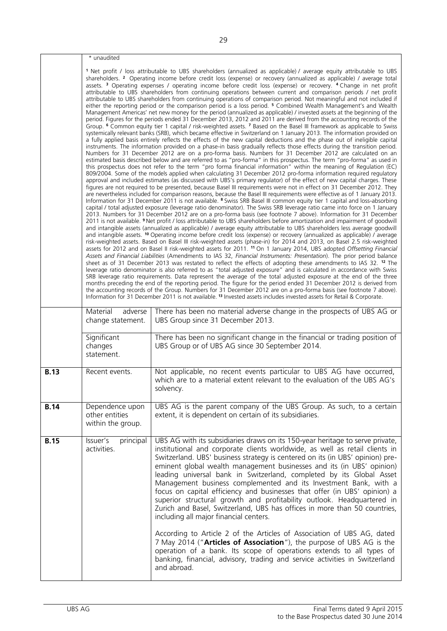|             | * unaudited                                                                                                                                                                                                                                                                                                                                                                                                                                                                                                                                                                                                                                                                                                                                                                                                                                                                                                                                                                                                                                                                                                                                                                                                                                                                                                                                                                                                                                                                                                                                                                                                                                                                                                                                                                                                                                                                                                                                                                                                                                                                                                                                                                                                                                                                                                                                                                                                                                                                                                                                                                                                                                                                                                                                                                                                                                                                                                                                                                                                                                                                                                                                                                                                                                                                                                                                                                                                                                                                                                                                                                                                                                                                                                                                                                                                                                                                                                                                                                                                                                                                                                                                                                                                                                                                                                                                              |                                                                                                                                                                                                                                                                                                                                                                                                                                                                                                                                                                                                                                                                                                                                                                                                                                                                                                                                                                                                                                                                          |
|-------------|----------------------------------------------------------------------------------------------------------------------------------------------------------------------------------------------------------------------------------------------------------------------------------------------------------------------------------------------------------------------------------------------------------------------------------------------------------------------------------------------------------------------------------------------------------------------------------------------------------------------------------------------------------------------------------------------------------------------------------------------------------------------------------------------------------------------------------------------------------------------------------------------------------------------------------------------------------------------------------------------------------------------------------------------------------------------------------------------------------------------------------------------------------------------------------------------------------------------------------------------------------------------------------------------------------------------------------------------------------------------------------------------------------------------------------------------------------------------------------------------------------------------------------------------------------------------------------------------------------------------------------------------------------------------------------------------------------------------------------------------------------------------------------------------------------------------------------------------------------------------------------------------------------------------------------------------------------------------------------------------------------------------------------------------------------------------------------------------------------------------------------------------------------------------------------------------------------------------------------------------------------------------------------------------------------------------------------------------------------------------------------------------------------------------------------------------------------------------------------------------------------------------------------------------------------------------------------------------------------------------------------------------------------------------------------------------------------------------------------------------------------------------------------------------------------------------------------------------------------------------------------------------------------------------------------------------------------------------------------------------------------------------------------------------------------------------------------------------------------------------------------------------------------------------------------------------------------------------------------------------------------------------------------------------------------------------------------------------------------------------------------------------------------------------------------------------------------------------------------------------------------------------------------------------------------------------------------------------------------------------------------------------------------------------------------------------------------------------------------------------------------------------------------------------------------------------------------------------------------------------------------------------------------------------------------------------------------------------------------------------------------------------------------------------------------------------------------------------------------------------------------------------------------------------------------------------------------------------------------------------------------------------------------------------------------------------------------------------------------|--------------------------------------------------------------------------------------------------------------------------------------------------------------------------------------------------------------------------------------------------------------------------------------------------------------------------------------------------------------------------------------------------------------------------------------------------------------------------------------------------------------------------------------------------------------------------------------------------------------------------------------------------------------------------------------------------------------------------------------------------------------------------------------------------------------------------------------------------------------------------------------------------------------------------------------------------------------------------------------------------------------------------------------------------------------------------|
|             | 1 Net profit / loss attributable to UBS shareholders (annualized as applicable) / average equity attributable to UBS<br>shareholders. <sup>2</sup> Operating income before credit loss (expense) or recovery (annualized as applicable) / average total<br>assets. <sup>3</sup> Operating expenses / operating income before credit loss (expense) or recovery. <sup>4</sup> Change in net profit<br>attributable to UBS shareholders from continuing operations between current and comparison periods / net profit<br>attributable to UBS shareholders from continuing operations of comparison period. Not meaningful and not included if<br>either the reporting period or the comparison period is a loss period. <sup>5</sup> Combined Wealth Management's and Wealth<br>Management Americas' net new money for the period (annualized as applicable) / invested assets at the beginning of the<br>period. Figures for the periods ended 31 December 2013, 2012 and 2011 are derived from the accounting records of the<br>Group. 6 Common equity tier 1 capital / risk-weighted assets. 7 Based on the Basel III framework as applicable to Swiss<br>systemically relevant banks (SRB), which became effective in Switzerland on 1 January 2013. The information provided on<br>a fully applied basis entirely reflects the effects of the new capital deductions and the phase out of ineligible capital<br>instruments. The information provided on a phase-in basis gradually reflects those effects during the transition period.<br>Numbers for 31 December 2012 are on a pro-forma basis. Numbers for 31 December 2012 are calculated on an<br>estimated basis described below and are referred to as "pro-forma" in this prospectus. The term "pro-forma" as used in<br>this prospectus does not refer to the term "pro forma financial information" within the meaning of Regulation (EC)<br>809/2004. Some of the models applied when calculating 31 December 2012 pro-forma information required regulatory<br>approval and included estimates (as discussed with UBS's primary regulator) of the effect of new capital charges. These<br>figures are not required to be presented, because Basel III requirements were not in effect on 31 December 2012. They<br>are nevertheless included for comparison reasons, because the Basel III requirements were effective as of 1 January 2013.<br>Information for 31 December 2011 is not available. 8 Swiss SRB Basel III common equity tier 1 capital and loss-absorbing<br>capital / total adjusted exposure (leverage ratio denominator). The Swiss SRB leverage ratio came into force on 1 January<br>2013. Numbers for 31 December 2012 are on a pro-forma basis (see footnote 7 above). Information for 31 December<br>2011 is not available. <i>I</i> Net profit / loss attributable to UBS shareholders before amortization and impairment of goodwill<br>and intangible assets (annualized as applicable) / average equity attributable to UBS shareholders less average goodwill<br>and intangible assets. <sup>10</sup> Operating income before credit loss (expense) or recovery (annualized as applicable) / average<br>risk-weighted assets. Based on Basel III risk-weighted assets (phase-in) for 2014 and 2013, on Basel 2.5 risk-weighted<br>assets for 2012 and on Basel II risk-weighted assets for 2011. <sup>11</sup> On 1 January 2014, UBS adopted Offsetting Financial<br>Assets and Financial Liabilities (Amendments to IAS 32, Financial Instruments: Presentation). The prior period balance<br>sheet as of 31 December 2013 was restated to reflect the effects of adopting these amendments to IAS 32. <sup>12</sup> The<br>leverage ratio denominator is also referred to as "total adjusted exposure" and is calculated in accordance with Swiss<br>SRB leverage ratio requirements. Data represent the average of the total adjusted exposure at the end of the three<br>months preceding the end of the reporting period. The figure for the period ended 31 December 2012 is derived from<br>the accounting records of the Group. Numbers for 31 December 2012 are on a pro-forma basis (see footnote 7 above).<br>Information for 31 December 2011 is not available. <sup>13</sup> Invested assets includes invested assets for Retail & Corporate. |                                                                                                                                                                                                                                                                                                                                                                                                                                                                                                                                                                                                                                                                                                                                                                                                                                                                                                                                                                                                                                                                          |
|             | Material<br>adverse<br>change statement.                                                                                                                                                                                                                                                                                                                                                                                                                                                                                                                                                                                                                                                                                                                                                                                                                                                                                                                                                                                                                                                                                                                                                                                                                                                                                                                                                                                                                                                                                                                                                                                                                                                                                                                                                                                                                                                                                                                                                                                                                                                                                                                                                                                                                                                                                                                                                                                                                                                                                                                                                                                                                                                                                                                                                                                                                                                                                                                                                                                                                                                                                                                                                                                                                                                                                                                                                                                                                                                                                                                                                                                                                                                                                                                                                                                                                                                                                                                                                                                                                                                                                                                                                                                                                                                                                                                 | There has been no material adverse change in the prospects of UBS AG or<br>UBS Group since 31 December 2013.                                                                                                                                                                                                                                                                                                                                                                                                                                                                                                                                                                                                                                                                                                                                                                                                                                                                                                                                                             |
|             | Significant<br>changes<br>statement.                                                                                                                                                                                                                                                                                                                                                                                                                                                                                                                                                                                                                                                                                                                                                                                                                                                                                                                                                                                                                                                                                                                                                                                                                                                                                                                                                                                                                                                                                                                                                                                                                                                                                                                                                                                                                                                                                                                                                                                                                                                                                                                                                                                                                                                                                                                                                                                                                                                                                                                                                                                                                                                                                                                                                                                                                                                                                                                                                                                                                                                                                                                                                                                                                                                                                                                                                                                                                                                                                                                                                                                                                                                                                                                                                                                                                                                                                                                                                                                                                                                                                                                                                                                                                                                                                                                     | There has been no significant change in the financial or trading position of<br>UBS Group or of UBS AG since 30 September 2014.                                                                                                                                                                                                                                                                                                                                                                                                                                                                                                                                                                                                                                                                                                                                                                                                                                                                                                                                          |
| <b>B.13</b> | Recent events.                                                                                                                                                                                                                                                                                                                                                                                                                                                                                                                                                                                                                                                                                                                                                                                                                                                                                                                                                                                                                                                                                                                                                                                                                                                                                                                                                                                                                                                                                                                                                                                                                                                                                                                                                                                                                                                                                                                                                                                                                                                                                                                                                                                                                                                                                                                                                                                                                                                                                                                                                                                                                                                                                                                                                                                                                                                                                                                                                                                                                                                                                                                                                                                                                                                                                                                                                                                                                                                                                                                                                                                                                                                                                                                                                                                                                                                                                                                                                                                                                                                                                                                                                                                                                                                                                                                                           | Not applicable, no recent events particular to UBS AG have occurred,<br>which are to a material extent relevant to the evaluation of the UBS AG's<br>solvency.                                                                                                                                                                                                                                                                                                                                                                                                                                                                                                                                                                                                                                                                                                                                                                                                                                                                                                           |
| <b>B.14</b> | Dependence upon<br>other entities<br>within the group.                                                                                                                                                                                                                                                                                                                                                                                                                                                                                                                                                                                                                                                                                                                                                                                                                                                                                                                                                                                                                                                                                                                                                                                                                                                                                                                                                                                                                                                                                                                                                                                                                                                                                                                                                                                                                                                                                                                                                                                                                                                                                                                                                                                                                                                                                                                                                                                                                                                                                                                                                                                                                                                                                                                                                                                                                                                                                                                                                                                                                                                                                                                                                                                                                                                                                                                                                                                                                                                                                                                                                                                                                                                                                                                                                                                                                                                                                                                                                                                                                                                                                                                                                                                                                                                                                                   | UBS AG is the parent company of the UBS Group. As such, to a certain<br>extent, it is dependent on certain of its subsidiaries.                                                                                                                                                                                                                                                                                                                                                                                                                                                                                                                                                                                                                                                                                                                                                                                                                                                                                                                                          |
| <b>B.15</b> | Issuer's<br>principal<br>activities.                                                                                                                                                                                                                                                                                                                                                                                                                                                                                                                                                                                                                                                                                                                                                                                                                                                                                                                                                                                                                                                                                                                                                                                                                                                                                                                                                                                                                                                                                                                                                                                                                                                                                                                                                                                                                                                                                                                                                                                                                                                                                                                                                                                                                                                                                                                                                                                                                                                                                                                                                                                                                                                                                                                                                                                                                                                                                                                                                                                                                                                                                                                                                                                                                                                                                                                                                                                                                                                                                                                                                                                                                                                                                                                                                                                                                                                                                                                                                                                                                                                                                                                                                                                                                                                                                                                     | UBS AG with its subsidiaries draws on its 150-year heritage to serve private,<br>institutional and corporate clients worldwide, as well as retail clients in<br>Switzerland. UBS' business strategy is centered on its (in UBS' opinion) pre-<br>eminent global wealth management businesses and its (in UBS' opinion)<br>leading universal bank in Switzerland, completed by its Global Asset<br>Management business complemented and its Investment Bank, with a<br>focus on capital efficiency and businesses that offer (in UBS' opinion) a<br>superior structural growth and profitability outlook. Headquartered in<br>Zurich and Basel, Switzerland, UBS has offices in more than 50 countries,<br>including all major financial centers.<br>According to Article 2 of the Articles of Association of UBS AG, dated<br>7 May 2014 ("Articles of Association"), the purpose of UBS AG is the<br>operation of a bank. Its scope of operations extends to all types of<br>banking, financial, advisory, trading and service activities in Switzerland<br>and abroad. |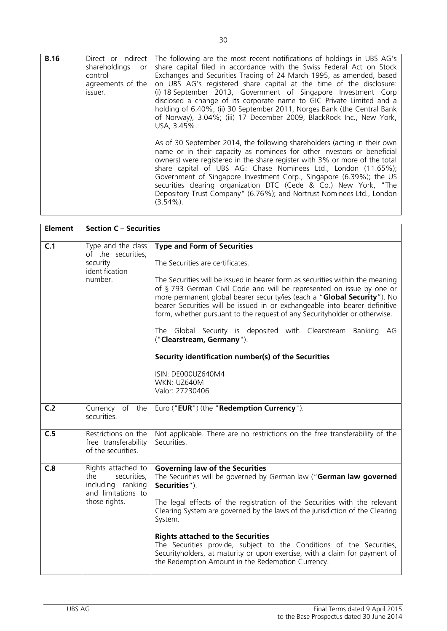| <b>B.16</b> | Direct or indirect<br>shareholdings<br>or<br>control<br>agreements of the<br>issuer. | The following are the most recent notifications of holdings in UBS AG's<br>share capital filed in accordance with the Swiss Federal Act on Stock<br>Exchanges and Securities Trading of 24 March 1995, as amended, based<br>on UBS AG's registered share capital at the time of the disclosure:<br>(i) 18 September 2013, Government of Singapore Investment Corp<br>disclosed a change of its corporate name to GIC Private Limited and a<br>holding of 6.40%; (ii) 30 September 2011, Norges Bank (the Central Bank<br>of Norway), 3.04%; (iii) 17 December 2009, BlackRock Inc., New York, |
|-------------|--------------------------------------------------------------------------------------|-----------------------------------------------------------------------------------------------------------------------------------------------------------------------------------------------------------------------------------------------------------------------------------------------------------------------------------------------------------------------------------------------------------------------------------------------------------------------------------------------------------------------------------------------------------------------------------------------|
|             |                                                                                      | USA, 3.45%.<br>As of 30 September 2014, the following shareholders (acting in their own<br>name or in their capacity as nominees for other investors or beneficial<br>owners) were registered in the share register with 3% or more of the total<br>share capital of UBS AG: Chase Nominees Ltd., London (11.65%);<br>Government of Singapore Investment Corp., Singapore (6.39%); the US<br>securities clearing organization DTC (Cede & Co.) New York, "The<br>Depository Trust Company" (6.76%); and Nortrust Nominees Ltd., London<br>$(3.54\%)$ .                                        |

| <b>Element</b> | <b>Section C - Securities</b>                                                                        |                                                                                                                                                                                                                                                                                                                                                                                                                                                                                                                                                                                                                                                                                      |
|----------------|------------------------------------------------------------------------------------------------------|--------------------------------------------------------------------------------------------------------------------------------------------------------------------------------------------------------------------------------------------------------------------------------------------------------------------------------------------------------------------------------------------------------------------------------------------------------------------------------------------------------------------------------------------------------------------------------------------------------------------------------------------------------------------------------------|
| C.1            | Type and the class<br>of the securities,<br>security<br>identification<br>number.                    | <b>Type and Form of Securities</b><br>The Securities are certificates.<br>The Securities will be issued in bearer form as securities within the meaning<br>of § 793 German Civil Code and will be represented on issue by one or<br>more permanent global bearer security/ies (each a "Global Security"). No<br>bearer Securities will be issued in or exchangeable into bearer definitive<br>form, whether pursuant to the request of any Security holder or otherwise.<br>The Global Security is deposited with Clearstream Banking AG<br>("Clearstream, Germany").<br>Security identification number(s) of the Securities<br>ISIN: DE000UZ640M4<br>WKN: UZ640M<br>Valor: 27230406 |
| C.2            | Currency of the<br>securities.                                                                       | Euro ("EUR") (the "Redemption Currency").                                                                                                                                                                                                                                                                                                                                                                                                                                                                                                                                                                                                                                            |
| C.5            | Restrictions on the<br>free transferability<br>of the securities.                                    | Not applicable. There are no restrictions on the free transferability of the<br>Securities.                                                                                                                                                                                                                                                                                                                                                                                                                                                                                                                                                                                          |
| C.8            | Rights attached to<br>securities,<br>the<br>including ranking<br>and limitations to<br>those rights. | <b>Governing law of the Securities</b><br>The Securities will be governed by German law ("German law governed<br>Securities").<br>The legal effects of the registration of the Securities with the relevant<br>Clearing System are governed by the laws of the jurisdiction of the Clearing<br>System.<br><b>Rights attached to the Securities</b><br>The Securities provide, subject to the Conditions of the Securities,<br>Securityholders, at maturity or upon exercise, with a claim for payment of<br>the Redemption Amount in the Redemption Currency.                                                                                                                        |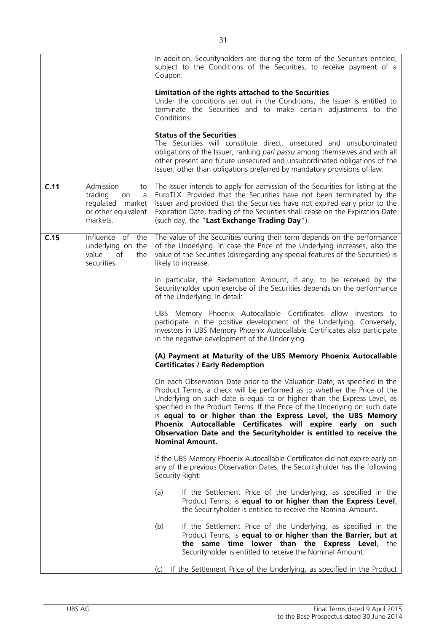|      |                                                                                              | In addition, Securityholders are during the term of the Securities entitled,<br>subject to the Conditions of the Securities, to receive payment of a<br>Coupon.                                                                                                                                                                                                                                                                                                                                                                                |
|------|----------------------------------------------------------------------------------------------|------------------------------------------------------------------------------------------------------------------------------------------------------------------------------------------------------------------------------------------------------------------------------------------------------------------------------------------------------------------------------------------------------------------------------------------------------------------------------------------------------------------------------------------------|
|      |                                                                                              | Limitation of the rights attached to the Securities<br>Under the conditions set out in the Conditions, the Issuer is entitled to<br>terminate the Securities and to make certain adjustments to the<br>Conditions.                                                                                                                                                                                                                                                                                                                             |
|      |                                                                                              | <b>Status of the Securities</b><br>The Securities will constitute direct, unsecured and unsubordinated<br>obligations of the Issuer, ranking pari passu among themselves and with all<br>other present and future unsecured and unsubordinated obligations of the<br>Issuer, other than obligations preferred by mandatory provisions of law.                                                                                                                                                                                                  |
| C.11 | Admission<br>to<br>trading<br>on<br>a<br>regulated market<br>or other equivalent<br>markets. | The Issuer intends to apply for admission of the Securities for listing at the<br>EuroTLX. Provided that the Securities have not been terminated by the<br>Issuer and provided that the Securities have not expired early prior to the<br>Expiration Date, trading of the Securities shall cease on the Expiration Date<br>(such day, the "Last Exchange Trading Day").                                                                                                                                                                        |
| C.15 | Influence of the<br>underlying on the<br>value<br>of<br>the<br>securities.                   | The value of the Securities during their term depends on the performance<br>of the Underlying. In case the Price of the Underlying increases, also the<br>value of the Securities (disregarding any special features of the Securities) is<br>likely to increase.                                                                                                                                                                                                                                                                              |
|      |                                                                                              | In particular, the Redemption Amount, if any, to be received by the<br>Securityholder upon exercise of the Securities depends on the performance<br>of the Underlying. In detail:                                                                                                                                                                                                                                                                                                                                                              |
|      |                                                                                              | UBS Memory Phoenix Autocallable Certificates allow investors to<br>participate in the positive development of the Underlying. Conversely,<br>investors in UBS Memory Phoenix Autocallable Certificates also participate<br>in the negative development of the Underlying.                                                                                                                                                                                                                                                                      |
|      |                                                                                              | (A) Payment at Maturity of the UBS Memory Phoenix Autocallable<br><b>Certificates / Early Redemption</b>                                                                                                                                                                                                                                                                                                                                                                                                                                       |
|      |                                                                                              | On each Observation Date prior to the Valuation Date, as specified in the<br>Product Terms, a check will be performed as to whether the Price of the<br>Underlying on such date is equal to or higher than the Express Level, as<br>specified in the Product Terms. If the Price of the Underlying on such date<br>is equal to or higher than the Express Level, the UBS Memory<br>Phoenix Autocallable Certificates will expire early on such<br>Observation Date and the Securityholder is entitled to receive the<br><b>Nominal Amount.</b> |
|      |                                                                                              | If the UBS Memory Phoenix Autocallable Certificates did not expire early on<br>any of the previous Observation Dates, the Securityholder has the following<br>Security Right:                                                                                                                                                                                                                                                                                                                                                                  |
|      |                                                                                              | (a)<br>If the Settlement Price of the Underlying, as specified in the<br>Product Terms, is equal to or higher than the Express Level,<br>the Security holder is entitled to receive the Nominal Amount.                                                                                                                                                                                                                                                                                                                                        |
|      |                                                                                              | If the Settlement Price of the Underlying, as specified in the<br>(b)<br>Product Terms, is equal to or higher than the Barrier, but at<br>the same time lower than the Express Level, the<br>Securityholder is entitled to receive the Nominal Amount.                                                                                                                                                                                                                                                                                         |
|      |                                                                                              | If the Settlement Price of the Underlying, as specified in the Product<br>(c)                                                                                                                                                                                                                                                                                                                                                                                                                                                                  |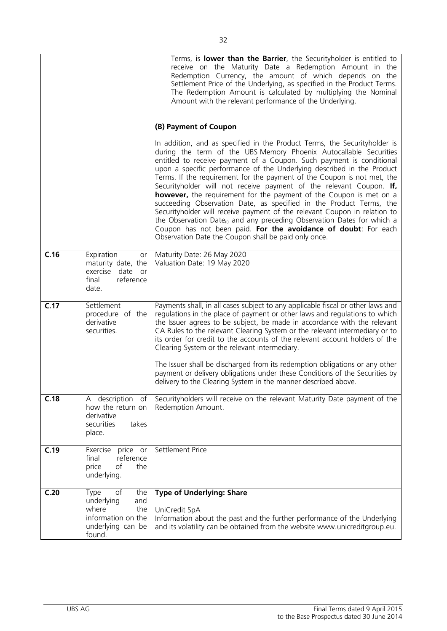|      |                                                                                                             | Terms, is lower than the Barrier, the Securityholder is entitled to<br>receive on the Maturity Date a Redemption Amount in the<br>Redemption Currency, the amount of which depends on the<br>Settlement Price of the Underlying, as specified in the Product Terms.<br>The Redemption Amount is calculated by multiplying the Nominal<br>Amount with the relevant performance of the Underlying.                                                                                                                                                                                                                                                                                                                                                                                                                                                                                               |
|------|-------------------------------------------------------------------------------------------------------------|------------------------------------------------------------------------------------------------------------------------------------------------------------------------------------------------------------------------------------------------------------------------------------------------------------------------------------------------------------------------------------------------------------------------------------------------------------------------------------------------------------------------------------------------------------------------------------------------------------------------------------------------------------------------------------------------------------------------------------------------------------------------------------------------------------------------------------------------------------------------------------------------|
|      |                                                                                                             | (B) Payment of Coupon                                                                                                                                                                                                                                                                                                                                                                                                                                                                                                                                                                                                                                                                                                                                                                                                                                                                          |
|      |                                                                                                             | In addition, and as specified in the Product Terms, the Security holder is<br>during the term of the UBS Memory Phoenix Autocallable Securities<br>entitled to receive payment of a Coupon. Such payment is conditional<br>upon a specific performance of the Underlying described in the Product<br>Terms. If the requirement for the payment of the Coupon is not met, the<br>Securityholder will not receive payment of the relevant Coupon. If,<br>however, the requirement for the payment of the Coupon is met on a<br>succeeding Observation Date, as specified in the Product Terms, the<br>Securityholder will receive payment of the relevant Coupon in relation to<br>the Observation Date <sub>(i)</sub> and any preceding Observation Dates for which a<br>Coupon has not been paid. For the avoidance of doubt: For each<br>Observation Date the Coupon shall be paid only once. |
| C.16 | Expiration<br>or<br>maturity date, the<br>exercise date or<br>reference<br>final<br>date.                   | Maturity Date: 26 May 2020<br>Valuation Date: 19 May 2020                                                                                                                                                                                                                                                                                                                                                                                                                                                                                                                                                                                                                                                                                                                                                                                                                                      |
| C.17 | Settlement<br>procedure of the<br>derivative<br>securities.                                                 | Payments shall, in all cases subject to any applicable fiscal or other laws and<br>regulations in the place of payment or other laws and regulations to which<br>the Issuer agrees to be subject, be made in accordance with the relevant<br>CA Rules to the relevant Clearing System or the relevant intermediary or to<br>its order for credit to the accounts of the relevant account holders of the<br>Clearing System or the relevant intermediary.                                                                                                                                                                                                                                                                                                                                                                                                                                       |
|      |                                                                                                             | The Issuer shall be discharged from its redemption obligations or any other<br>payment or delivery obligations under these Conditions of the Securities by<br>delivery to the Clearing System in the manner described above.                                                                                                                                                                                                                                                                                                                                                                                                                                                                                                                                                                                                                                                                   |
| C.18 | description<br>of<br>A<br>how the return on<br>derivative<br>securities<br>takes<br>place.                  | Securityholders will receive on the relevant Maturity Date payment of the<br>Redemption Amount.                                                                                                                                                                                                                                                                                                                                                                                                                                                                                                                                                                                                                                                                                                                                                                                                |
| C.19 | Exercise<br>price or<br>reference<br>final<br>of<br>price<br>the<br>underlying.                             | Settlement Price                                                                                                                                                                                                                                                                                                                                                                                                                                                                                                                                                                                                                                                                                                                                                                                                                                                                               |
| C.20 | of<br>Type<br>the<br>underlying<br>and<br>where<br>the<br>information on the<br>underlying can be<br>found. | <b>Type of Underlying: Share</b><br>UniCredit SpA<br>Information about the past and the further performance of the Underlying<br>and its volatility can be obtained from the website www.unicreditgroup.eu.                                                                                                                                                                                                                                                                                                                                                                                                                                                                                                                                                                                                                                                                                    |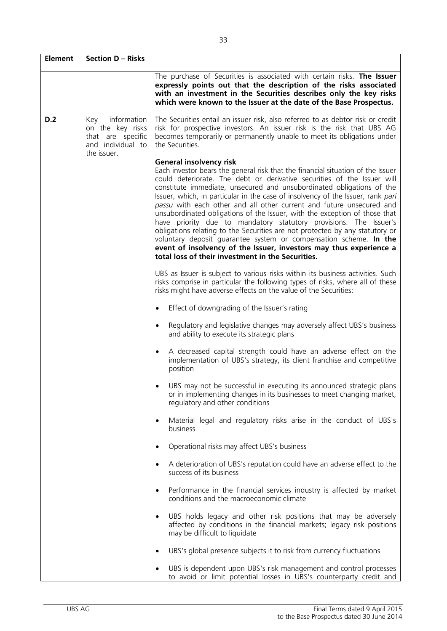| <b>Element</b> | Section D – Risks                                                                               |                                                                                                                                                                                                                                                                                                                                                                                                                                                                                                                                                                                                                                                                                                                                                                                                                                                                     |  |  |  |
|----------------|-------------------------------------------------------------------------------------------------|---------------------------------------------------------------------------------------------------------------------------------------------------------------------------------------------------------------------------------------------------------------------------------------------------------------------------------------------------------------------------------------------------------------------------------------------------------------------------------------------------------------------------------------------------------------------------------------------------------------------------------------------------------------------------------------------------------------------------------------------------------------------------------------------------------------------------------------------------------------------|--|--|--|
|                |                                                                                                 | The purchase of Securities is associated with certain risks. The Issuer<br>expressly points out that the description of the risks associated<br>with an investment in the Securities describes only the key risks<br>which were known to the Issuer at the date of the Base Prospectus.                                                                                                                                                                                                                                                                                                                                                                                                                                                                                                                                                                             |  |  |  |
| D.2            | information<br>Key<br>on the key risks<br>that are specific<br>and individual to<br>the issuer. | The Securities entail an issuer risk, also referred to as debtor risk or credit<br>risk for prospective investors. An issuer risk is the risk that UBS AG<br>becomes temporarily or permanently unable to meet its obligations under<br>the Securities.                                                                                                                                                                                                                                                                                                                                                                                                                                                                                                                                                                                                             |  |  |  |
|                |                                                                                                 | <b>General insolvency risk</b><br>Each investor bears the general risk that the financial situation of the Issuer<br>could deteriorate. The debt or derivative securities of the Issuer will<br>constitute immediate, unsecured and unsubordinated obligations of the<br>Issuer, which, in particular in the case of insolvency of the Issuer, rank pari<br>passu with each other and all other current and future unsecured and<br>unsubordinated obligations of the Issuer, with the exception of those that<br>have priority due to mandatory statutory provisions. The Issuer's<br>obligations relating to the Securities are not protected by any statutory or<br>voluntary deposit quarantee system or compensation scheme. In the<br>event of insolvency of the Issuer, investors may thus experience a<br>total loss of their investment in the Securities. |  |  |  |
|                |                                                                                                 | UBS as Issuer is subject to various risks within its business activities. Such<br>risks comprise in particular the following types of risks, where all of these<br>risks might have adverse effects on the value of the Securities:                                                                                                                                                                                                                                                                                                                                                                                                                                                                                                                                                                                                                                 |  |  |  |
|                |                                                                                                 | Effect of downgrading of the Issuer's rating<br>$\bullet$                                                                                                                                                                                                                                                                                                                                                                                                                                                                                                                                                                                                                                                                                                                                                                                                           |  |  |  |
|                |                                                                                                 | Regulatory and legislative changes may adversely affect UBS's business<br>$\bullet$<br>and ability to execute its strategic plans                                                                                                                                                                                                                                                                                                                                                                                                                                                                                                                                                                                                                                                                                                                                   |  |  |  |
|                |                                                                                                 | A decreased capital strength could have an adverse effect on the<br>$\bullet$<br>implementation of UBS's strategy, its client franchise and competitive<br>position                                                                                                                                                                                                                                                                                                                                                                                                                                                                                                                                                                                                                                                                                                 |  |  |  |
|                |                                                                                                 | UBS may not be successful in executing its announced strategic plans<br>or in implementing changes in its businesses to meet changing market,<br>regulatory and other conditions                                                                                                                                                                                                                                                                                                                                                                                                                                                                                                                                                                                                                                                                                    |  |  |  |
|                |                                                                                                 | Material legal and regulatory risks arise in the conduct of UBS's<br>business                                                                                                                                                                                                                                                                                                                                                                                                                                                                                                                                                                                                                                                                                                                                                                                       |  |  |  |
|                |                                                                                                 | Operational risks may affect UBS's business<br>$\bullet$                                                                                                                                                                                                                                                                                                                                                                                                                                                                                                                                                                                                                                                                                                                                                                                                            |  |  |  |
|                |                                                                                                 | A deterioration of UBS's reputation could have an adverse effect to the<br>$\bullet$<br>success of its business                                                                                                                                                                                                                                                                                                                                                                                                                                                                                                                                                                                                                                                                                                                                                     |  |  |  |
|                |                                                                                                 | Performance in the financial services industry is affected by market<br>$\bullet$<br>conditions and the macroeconomic climate                                                                                                                                                                                                                                                                                                                                                                                                                                                                                                                                                                                                                                                                                                                                       |  |  |  |
|                |                                                                                                 | UBS holds legacy and other risk positions that may be adversely<br>$\bullet$<br>affected by conditions in the financial markets; legacy risk positions<br>may be difficult to liquidate                                                                                                                                                                                                                                                                                                                                                                                                                                                                                                                                                                                                                                                                             |  |  |  |
|                |                                                                                                 | UBS's global presence subjects it to risk from currency fluctuations<br>$\bullet$                                                                                                                                                                                                                                                                                                                                                                                                                                                                                                                                                                                                                                                                                                                                                                                   |  |  |  |
|                |                                                                                                 | UBS is dependent upon UBS's risk management and control processes<br>to avoid or limit potential losses in UBS's counterparty credit and                                                                                                                                                                                                                                                                                                                                                                                                                                                                                                                                                                                                                                                                                                                            |  |  |  |

٦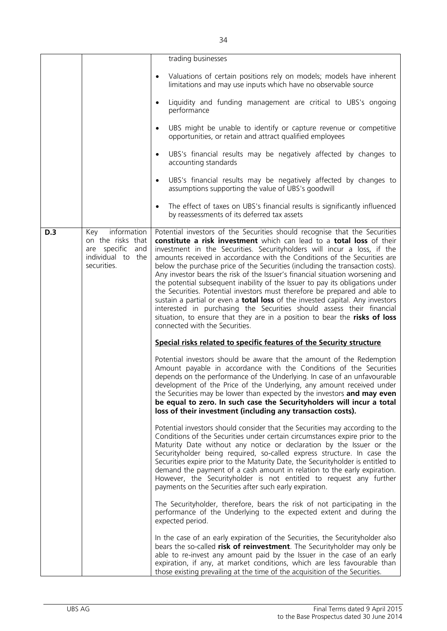|     |                                                                                                    | trading businesses                                                                                                                                                                                                                                                                                                                                                                                                                                                                                                                                                                                                                                                                                                                                                                                                                                                                                                          |
|-----|----------------------------------------------------------------------------------------------------|-----------------------------------------------------------------------------------------------------------------------------------------------------------------------------------------------------------------------------------------------------------------------------------------------------------------------------------------------------------------------------------------------------------------------------------------------------------------------------------------------------------------------------------------------------------------------------------------------------------------------------------------------------------------------------------------------------------------------------------------------------------------------------------------------------------------------------------------------------------------------------------------------------------------------------|
|     |                                                                                                    | Valuations of certain positions rely on models; models have inherent                                                                                                                                                                                                                                                                                                                                                                                                                                                                                                                                                                                                                                                                                                                                                                                                                                                        |
|     |                                                                                                    | limitations and may use inputs which have no observable source                                                                                                                                                                                                                                                                                                                                                                                                                                                                                                                                                                                                                                                                                                                                                                                                                                                              |
|     |                                                                                                    | Liquidity and funding management are critical to UBS's ongoing<br>performance                                                                                                                                                                                                                                                                                                                                                                                                                                                                                                                                                                                                                                                                                                                                                                                                                                               |
|     |                                                                                                    | UBS might be unable to identify or capture revenue or competitive<br>$\bullet$<br>opportunities, or retain and attract qualified employees                                                                                                                                                                                                                                                                                                                                                                                                                                                                                                                                                                                                                                                                                                                                                                                  |
|     |                                                                                                    | UBS's financial results may be negatively affected by changes to<br>$\bullet$<br>accounting standards                                                                                                                                                                                                                                                                                                                                                                                                                                                                                                                                                                                                                                                                                                                                                                                                                       |
|     |                                                                                                    | UBS's financial results may be negatively affected by changes to<br>$\bullet$<br>assumptions supporting the value of UBS's goodwill                                                                                                                                                                                                                                                                                                                                                                                                                                                                                                                                                                                                                                                                                                                                                                                         |
|     |                                                                                                    | The effect of taxes on UBS's financial results is significantly influenced<br>by reassessments of its deferred tax assets                                                                                                                                                                                                                                                                                                                                                                                                                                                                                                                                                                                                                                                                                                                                                                                                   |
| D.3 | information<br>Key<br>on the risks that<br>are specific<br>and<br>individual to the<br>securities. | Potential investors of the Securities should recognise that the Securities<br>constitute a risk investment which can lead to a total loss of their<br>investment in the Securities. Securityholders will incur a loss, if the<br>amounts received in accordance with the Conditions of the Securities are<br>below the purchase price of the Securities (including the transaction costs).<br>Any investor bears the risk of the Issuer's financial situation worsening and<br>the potential subsequent inability of the Issuer to pay its obligations under<br>the Securities. Potential investors must therefore be prepared and able to<br>sustain a partial or even a <b>total loss</b> of the invested capital. Any investors<br>interested in purchasing the Securities should assess their financial<br>situation, to ensure that they are in a position to bear the risks of loss<br>connected with the Securities. |
|     |                                                                                                    | Special risks related to specific features of the Security structure                                                                                                                                                                                                                                                                                                                                                                                                                                                                                                                                                                                                                                                                                                                                                                                                                                                        |
|     |                                                                                                    | Potential investors should be aware that the amount of the Redemption<br>Amount payable in accordance with the Conditions of the Securities<br>depends on the performance of the Underlying. In case of an unfavourable<br>development of the Price of the Underlying, any amount received under<br>the Securities may be lower than expected by the investors and may even<br>be equal to zero. In such case the Securityholders will incur a total<br>loss of their investment (including any transaction costs).                                                                                                                                                                                                                                                                                                                                                                                                         |
|     |                                                                                                    | Potential investors should consider that the Securities may according to the<br>Conditions of the Securities under certain circumstances expire prior to the<br>Maturity Date without any notice or declaration by the Issuer or the<br>Securityholder being required, so-called express structure. In case the<br>Securities expire prior to the Maturity Date, the Security holder is entitled to<br>demand the payment of a cash amount in relation to the early expiration.<br>However, the Securityholder is not entitled to request any further<br>payments on the Securities after such early expiration.                                                                                                                                                                                                                                                                                                            |
|     |                                                                                                    | The Securityholder, therefore, bears the risk of not participating in the<br>performance of the Underlying to the expected extent and during the<br>expected period.                                                                                                                                                                                                                                                                                                                                                                                                                                                                                                                                                                                                                                                                                                                                                        |
|     |                                                                                                    | In the case of an early expiration of the Securities, the Security holder also<br>bears the so-called risk of reinvestment. The Securityholder may only be<br>able to re-invest any amount paid by the Issuer in the case of an early<br>expiration, if any, at market conditions, which are less favourable than<br>those existing prevailing at the time of the acquisition of the Securities.                                                                                                                                                                                                                                                                                                                                                                                                                                                                                                                            |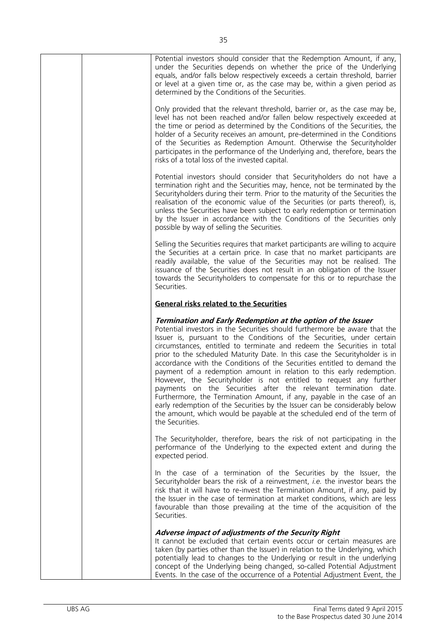| Potential investors should consider that the Redemption Amount, if any,<br>under the Securities depends on whether the price of the Underlying<br>equals, and/or falls below respectively exceeds a certain threshold, barrier<br>or level at a given time or, as the case may be, within a given period as<br>determined by the Conditions of the Securities.                                                                                                                                                                                                                                                                                                                                                                                                                                                                                                                                                                  |
|---------------------------------------------------------------------------------------------------------------------------------------------------------------------------------------------------------------------------------------------------------------------------------------------------------------------------------------------------------------------------------------------------------------------------------------------------------------------------------------------------------------------------------------------------------------------------------------------------------------------------------------------------------------------------------------------------------------------------------------------------------------------------------------------------------------------------------------------------------------------------------------------------------------------------------|
| Only provided that the relevant threshold, barrier or, as the case may be,<br>level has not been reached and/or fallen below respectively exceeded at<br>the time or period as determined by the Conditions of the Securities, the<br>holder of a Security receives an amount, pre-determined in the Conditions<br>of the Securities as Redemption Amount. Otherwise the Securityholder<br>participates in the performance of the Underlying and, therefore, bears the<br>risks of a total loss of the invested capital.                                                                                                                                                                                                                                                                                                                                                                                                        |
| Potential investors should consider that Securityholders do not have a<br>termination right and the Securities may, hence, not be terminated by the<br>Security holders during their term. Prior to the maturity of the Securities the<br>realisation of the economic value of the Securities (or parts thereof), is,<br>unless the Securities have been subject to early redemption or termination<br>by the Issuer in accordance with the Conditions of the Securities only<br>possible by way of selling the Securities.                                                                                                                                                                                                                                                                                                                                                                                                     |
| Selling the Securities requires that market participants are willing to acquire<br>the Securities at a certain price. In case that no market participants are<br>readily available, the value of the Securities may not be realised. The<br>issuance of the Securities does not result in an obligation of the Issuer<br>towards the Securityholders to compensate for this or to repurchase the<br>Securities.                                                                                                                                                                                                                                                                                                                                                                                                                                                                                                                 |
| <b>General risks related to the Securities</b>                                                                                                                                                                                                                                                                                                                                                                                                                                                                                                                                                                                                                                                                                                                                                                                                                                                                                  |
| Termination and Early Redemption at the option of the Issuer<br>Potential investors in the Securities should furthermore be aware that the<br>Issuer is, pursuant to the Conditions of the Securities, under certain<br>circumstances, entitled to terminate and redeem the Securities in total<br>prior to the scheduled Maturity Date. In this case the Securityholder is in<br>accordance with the Conditions of the Securities entitled to demand the<br>payment of a redemption amount in relation to this early redemption.<br>However, the Securityholder is not entitled to request any further<br>payments on the Securities after the relevant termination date.<br>Furthermore, the Termination Amount, if any, payable in the case of an<br>early redemption of the Securities by the Issuer can be considerably below<br>the amount, which would be payable at the scheduled end of the term of<br>the Securities. |
| The Securityholder, therefore, bears the risk of not participating in the<br>performance of the Underlying to the expected extent and during the<br>expected period.                                                                                                                                                                                                                                                                                                                                                                                                                                                                                                                                                                                                                                                                                                                                                            |
| In the case of a termination of the Securities by the Issuer, the<br>Securityholder bears the risk of a reinvestment, <i>i.e.</i> the investor bears the<br>risk that it will have to re-invest the Termination Amount, if any, paid by<br>the Issuer in the case of termination at market conditions, which are less<br>favourable than those prevailing at the time of the acquisition of the<br>Securities.                                                                                                                                                                                                                                                                                                                                                                                                                                                                                                                  |
| Adverse impact of adjustments of the Security Right<br>It cannot be excluded that certain events occur or certain measures are<br>taken (by parties other than the Issuer) in relation to the Underlying, which<br>potentially lead to changes to the Underlying or result in the underlying<br>concept of the Underlying being changed, so-called Potential Adjustment                                                                                                                                                                                                                                                                                                                                                                                                                                                                                                                                                         |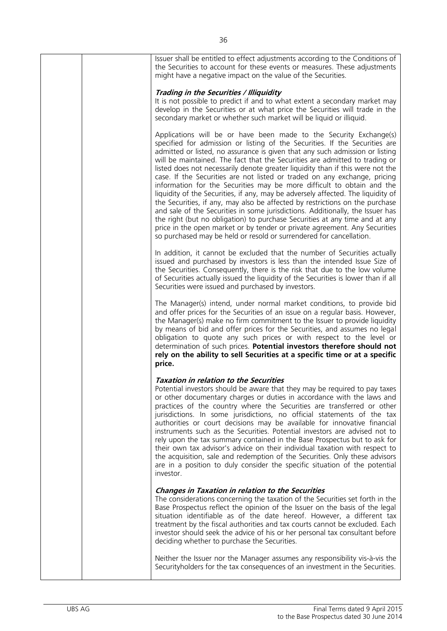| Issuer shall be entitled to effect adjustments according to the Conditions of<br>the Securities to account for these events or measures. These adjustments<br>might have a negative impact on the value of the Securities.                                                                                                                                                                                                                                                                                                                                                                                                                                                                                                                                                                                                                                                                                                                                                                                                                          |
|-----------------------------------------------------------------------------------------------------------------------------------------------------------------------------------------------------------------------------------------------------------------------------------------------------------------------------------------------------------------------------------------------------------------------------------------------------------------------------------------------------------------------------------------------------------------------------------------------------------------------------------------------------------------------------------------------------------------------------------------------------------------------------------------------------------------------------------------------------------------------------------------------------------------------------------------------------------------------------------------------------------------------------------------------------|
| Trading in the Securities / Illiquidity<br>It is not possible to predict if and to what extent a secondary market may<br>develop in the Securities or at what price the Securities will trade in the<br>secondary market or whether such market will be liquid or illiquid.                                                                                                                                                                                                                                                                                                                                                                                                                                                                                                                                                                                                                                                                                                                                                                         |
| Applications will be or have been made to the Security Exchange(s)<br>specified for admission or listing of the Securities. If the Securities are<br>admitted or listed, no assurance is given that any such admission or listing<br>will be maintained. The fact that the Securities are admitted to trading or<br>listed does not necessarily denote greater liquidity than if this were not the<br>case. If the Securities are not listed or traded on any exchange, pricing<br>information for the Securities may be more difficult to obtain and the<br>liquidity of the Securities, if any, may be adversely affected. The liquidity of<br>the Securities, if any, may also be affected by restrictions on the purchase<br>and sale of the Securities in some jurisdictions. Additionally, the Issuer has<br>the right (but no obligation) to purchase Securities at any time and at any<br>price in the open market or by tender or private agreement. Any Securities<br>so purchased may be held or resold or surrendered for cancellation. |
| In addition, it cannot be excluded that the number of Securities actually<br>issued and purchased by investors is less than the intended Issue Size of<br>the Securities. Consequently, there is the risk that due to the low volume<br>of Securities actually issued the liquidity of the Securities is lower than if all<br>Securities were issued and purchased by investors.                                                                                                                                                                                                                                                                                                                                                                                                                                                                                                                                                                                                                                                                    |
| The Manager(s) intend, under normal market conditions, to provide bid<br>and offer prices for the Securities of an issue on a regular basis. However,<br>the Manager(s) make no firm commitment to the Issuer to provide liquidity<br>by means of bid and offer prices for the Securities, and assumes no legal<br>obligation to quote any such prices or with respect to the level or<br>determination of such prices. Potential investors therefore should not<br>rely on the ability to sell Securities at a specific time or at a specific<br>price.                                                                                                                                                                                                                                                                                                                                                                                                                                                                                            |
| <b>Taxation in relation to the Securities</b><br>Potential investors should be aware that they may be required to pay taxes<br>or other documentary charges or duties in accordance with the laws and<br>practices of the country where the Securities are transferred or other<br>jurisdictions. In some jurisdictions, no official statements of the tax<br>authorities or court decisions may be available for innovative financial<br>instruments such as the Securities. Potential investors are advised not to<br>rely upon the tax summary contained in the Base Prospectus but to ask for<br>their own tax advisor's advice on their individual taxation with respect to<br>the acquisition, sale and redemption of the Securities. Only these advisors<br>are in a position to duly consider the specific situation of the potential<br>investor.                                                                                                                                                                                          |
| <b>Changes in Taxation in relation to the Securities</b><br>The considerations concerning the taxation of the Securities set forth in the<br>Base Prospectus reflect the opinion of the Issuer on the basis of the legal<br>situation identifiable as of the date hereof. However, a different tax<br>treatment by the fiscal authorities and tax courts cannot be excluded. Each<br>investor should seek the advice of his or her personal tax consultant before<br>deciding whether to purchase the Securities.                                                                                                                                                                                                                                                                                                                                                                                                                                                                                                                                   |
| Neither the Issuer nor the Manager assumes any responsibility vis-à-vis the<br>Security holders for the tax consequences of an investment in the Securities.                                                                                                                                                                                                                                                                                                                                                                                                                                                                                                                                                                                                                                                                                                                                                                                                                                                                                        |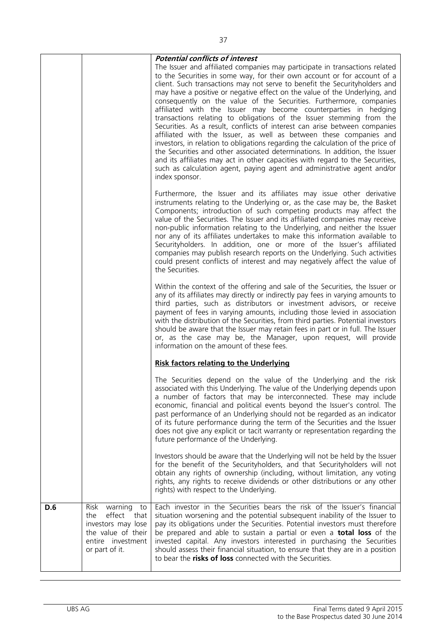|     |                                                                                                                                   | <b>Potential conflicts of interest</b><br>The Issuer and affiliated companies may participate in transactions related<br>to the Securities in some way, for their own account or for account of a<br>client. Such transactions may not serve to benefit the Securityholders and<br>may have a positive or negative effect on the value of the Underlying, and<br>consequently on the value of the Securities. Furthermore, companies<br>affiliated with the Issuer may become counterparties in hedging<br>transactions relating to obligations of the Issuer stemming from the<br>Securities. As a result, conflicts of interest can arise between companies<br>affiliated with the Issuer, as well as between these companies and<br>investors, in relation to obligations regarding the calculation of the price of<br>the Securities and other associated determinations. In addition, the Issuer<br>and its affiliates may act in other capacities with regard to the Securities,<br>such as calculation agent, paying agent and administrative agent and/or<br>index sponsor.<br>Furthermore, the Issuer and its affiliates may issue other derivative |
|-----|-----------------------------------------------------------------------------------------------------------------------------------|--------------------------------------------------------------------------------------------------------------------------------------------------------------------------------------------------------------------------------------------------------------------------------------------------------------------------------------------------------------------------------------------------------------------------------------------------------------------------------------------------------------------------------------------------------------------------------------------------------------------------------------------------------------------------------------------------------------------------------------------------------------------------------------------------------------------------------------------------------------------------------------------------------------------------------------------------------------------------------------------------------------------------------------------------------------------------------------------------------------------------------------------------------------|
|     |                                                                                                                                   | instruments relating to the Underlying or, as the case may be, the Basket<br>Components; introduction of such competing products may affect the<br>value of the Securities. The Issuer and its affiliated companies may receive<br>non-public information relating to the Underlying, and neither the Issuer<br>nor any of its affiliates undertakes to make this information available to<br>Securityholders. In addition, one or more of the Issuer's affiliated<br>companies may publish research reports on the Underlying. Such activities<br>could present conflicts of interest and may negatively affect the value of<br>the Securities.                                                                                                                                                                                                                                                                                                                                                                                                                                                                                                             |
|     |                                                                                                                                   | Within the context of the offering and sale of the Securities, the Issuer or<br>any of its affiliates may directly or indirectly pay fees in varying amounts to<br>third parties, such as distributors or investment advisors, or receive<br>payment of fees in varying amounts, including those levied in association<br>with the distribution of the Securities, from third parties. Potential investors<br>should be aware that the Issuer may retain fees in part or in full. The Issuer<br>or, as the case may be, the Manager, upon request, will provide<br>information on the amount of these fees.                                                                                                                                                                                                                                                                                                                                                                                                                                                                                                                                                  |
|     |                                                                                                                                   | <b>Risk factors relating to the Underlying</b>                                                                                                                                                                                                                                                                                                                                                                                                                                                                                                                                                                                                                                                                                                                                                                                                                                                                                                                                                                                                                                                                                                               |
|     |                                                                                                                                   | The Securities depend on the value of the Underlying and the risk<br>associated with this Underlying. The value of the Underlying depends upon<br>a number of factors that may be interconnected. These may include<br>economic, financial and political events beyond the Issuer's control. The<br>past performance of an Underlying should not be regarded as an indicator<br>of its future performance during the term of the Securities and the Issuer<br>does not give any explicit or tacit warranty or representation regarding the<br>future performance of the Underlying.                                                                                                                                                                                                                                                                                                                                                                                                                                                                                                                                                                          |
|     |                                                                                                                                   | Investors should be aware that the Underlying will not be held by the Issuer<br>for the benefit of the Securityholders, and that Securityholders will not<br>obtain any rights of ownership (including, without limitation, any voting<br>rights, any rights to receive dividends or other distributions or any other<br>rights) with respect to the Underlying.                                                                                                                                                                                                                                                                                                                                                                                                                                                                                                                                                                                                                                                                                                                                                                                             |
| D.6 | Risk<br>warning<br>to<br>effect<br>the<br>that<br>investors may lose<br>the value of their<br>entire investment<br>or part of it. | Each investor in the Securities bears the risk of the Issuer's financial<br>situation worsening and the potential subsequent inability of the Issuer to<br>pay its obligations under the Securities. Potential investors must therefore<br>be prepared and able to sustain a partial or even a <b>total loss</b> of the<br>invested capital. Any investors interested in purchasing the Securities<br>should assess their financial situation, to ensure that they are in a position<br>to bear the <b>risks of loss</b> connected with the Securities.                                                                                                                                                                                                                                                                                                                                                                                                                                                                                                                                                                                                      |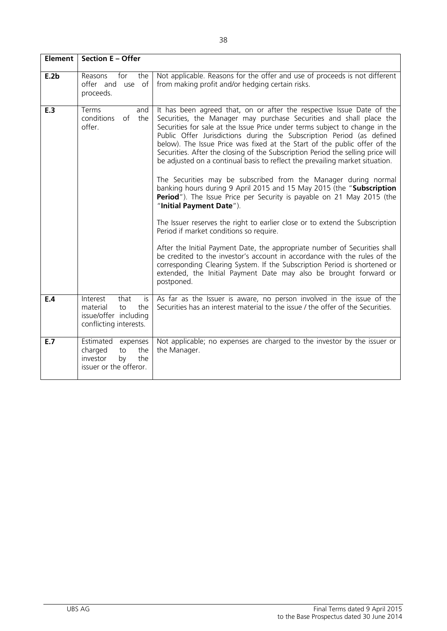| Element <sup>1</sup> | Section E - Offer                                                                                   |                                                                                                                                                                                                                                                                                                                                                                                                                                                                                                                                                                                                                                                                                                                                                                                                                                                                                                                                                                                                                                                                                                                                                                                                                                                            |
|----------------------|-----------------------------------------------------------------------------------------------------|------------------------------------------------------------------------------------------------------------------------------------------------------------------------------------------------------------------------------------------------------------------------------------------------------------------------------------------------------------------------------------------------------------------------------------------------------------------------------------------------------------------------------------------------------------------------------------------------------------------------------------------------------------------------------------------------------------------------------------------------------------------------------------------------------------------------------------------------------------------------------------------------------------------------------------------------------------------------------------------------------------------------------------------------------------------------------------------------------------------------------------------------------------------------------------------------------------------------------------------------------------|
| E.2b                 | Reasons<br>for<br>the<br>offer and use of<br>proceeds.                                              | Not applicable. Reasons for the offer and use of proceeds is not different<br>from making profit and/or hedging certain risks.                                                                                                                                                                                                                                                                                                                                                                                                                                                                                                                                                                                                                                                                                                                                                                                                                                                                                                                                                                                                                                                                                                                             |
| E.3                  | Terms<br>and<br>conditions<br>the<br>of<br>offer.                                                   | It has been agreed that, on or after the respective Issue Date of the<br>Securities, the Manager may purchase Securities and shall place the<br>Securities for sale at the Issue Price under terms subject to change in the<br>Public Offer Jurisdictions during the Subscription Period (as defined<br>below). The Issue Price was fixed at the Start of the public offer of the<br>Securities. After the closing of the Subscription Period the selling price will<br>be adjusted on a continual basis to reflect the prevailing market situation.<br>The Securities may be subscribed from the Manager during normal<br>banking hours during 9 April 2015 and 15 May 2015 (the "Subscription<br>Period"). The Issue Price per Security is payable on 21 May 2015 (the<br>"Initial Payment Date").<br>The Issuer reserves the right to earlier close or to extend the Subscription<br>Period if market conditions so require.<br>After the Initial Payment Date, the appropriate number of Securities shall<br>be credited to the investor's account in accordance with the rules of the<br>corresponding Clearing System. If the Subscription Period is shortened or<br>extended, the Initial Payment Date may also be brought forward or<br>postponed. |
| E.4                  | Interest<br>that<br>is.<br>material<br>the<br>to<br>issue/offer including<br>conflicting interests. | As far as the Issuer is aware, no person involved in the issue of the<br>Securities has an interest material to the issue / the offer of the Securities.                                                                                                                                                                                                                                                                                                                                                                                                                                                                                                                                                                                                                                                                                                                                                                                                                                                                                                                                                                                                                                                                                                   |
| E.7                  | Estimated<br>expenses<br>charged<br>the<br>to<br>investor<br>the<br>by<br>issuer or the offeror.    | Not applicable; no expenses are charged to the investor by the issuer or<br>the Manager.                                                                                                                                                                                                                                                                                                                                                                                                                                                                                                                                                                                                                                                                                                                                                                                                                                                                                                                                                                                                                                                                                                                                                                   |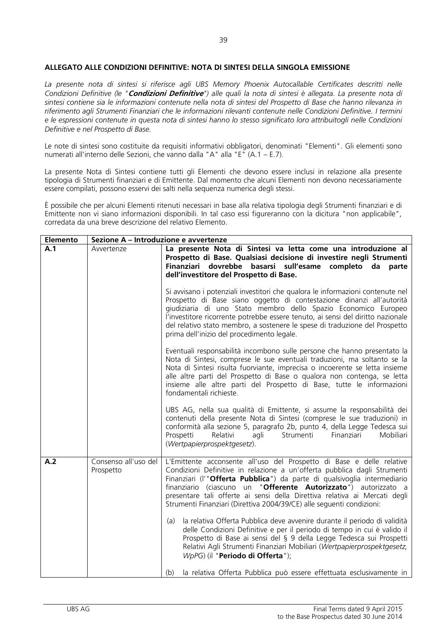### **ALLEGATO ALLE CONDIZIONI DEFINITIVE: NOTA DI SINTESI DELLA SINGOLA EMISSIONE**

*La presente nota di sintesi si riferisce agli UBS Memory Phoenix Autocallable Certificates descritti nelle Condizioni Definitive (le "***Condizioni Definitive***") alle quali la nota di sintesi è allegata. La presente nota di sintesi contiene sia le informazioni contenute nella nota di sintesi del Prospetto di Base che hanno rilevanza in riferimento agli Strumenti Finanziari che le informazioni rilevanti contenute nelle Condizioni Definitive. I termini e le espressioni contenute in questa nota di sintesi hanno lo stesso significato loro attribuitogli nelle Condizioni Definitive e nel Prospetto di Base.*

Le note di sintesi sono costituite da requisiti informativi obbligatori, denominati "Elementi". Gli elementi sono numerati all'interno delle Sezioni, che vanno dalla "A" alla "E" (A.1 – E.7).

La presente Nota di Sintesi contiene tutti gli Elementi che devono essere inclusi in relazione alla presente tipologia di Strumenti finanziari e di Emittente. Dal momento che alcuni Elementi non devono necessariamente essere compilati, possono esservi dei salti nella sequenza numerica degli stessi.

È possibile che per alcuni Elementi ritenuti necessari in base alla relativa tipologia degli Strumenti finanziari e di Emittente non vi siano informazioni disponibili. In tal caso essi figureranno con la dicitura "non applicabile", corredata da una breve descrizione del relativo Elemento.

| <b>Elemento</b> | Sezione A - Introduzione e avvertenze |                                                                                                                                                                                                                                                                                                                                                                                                                                                                                                                                                                                                                                                                                          |  |
|-----------------|---------------------------------------|------------------------------------------------------------------------------------------------------------------------------------------------------------------------------------------------------------------------------------------------------------------------------------------------------------------------------------------------------------------------------------------------------------------------------------------------------------------------------------------------------------------------------------------------------------------------------------------------------------------------------------------------------------------------------------------|--|
| A.1             | Avvertenze                            | La presente Nota di Sintesi va letta come una introduzione al<br>Prospetto di Base. Qualsiasi decisione di investire negli Strumenti<br>Finanziari dovrebbe basarsi sull'esame completo da parte<br>dell'investitore del Prospetto di Base.<br>Si avvisano i potenziali investitori che qualora le informazioni contenute nel<br>Prospetto di Base siano oggetto di contestazione dinanzi all'autorità<br>giudiziaria di uno Stato membro dello Spazio Economico Europeo<br>l'investitore ricorrente potrebbe essere tenuto, ai sensi del diritto nazionale<br>del relativo stato membro, a sostenere le spese di traduzione del Prospetto<br>prima dell'inizio del procedimento legale. |  |
|                 |                                       | Eventuali responsabilità incombono sulle persone che hanno presentato la<br>Nota di Sintesi, comprese le sue eventuali traduzioni, ma soltanto se la<br>Nota di Sintesi risulta fuorviante, imprecisa o incoerente se letta insieme<br>alle altre parti del Prospetto di Base o qualora non contenga, se letta<br>insieme alle altre parti del Prospetto di Base, tutte le informazioni<br>fondamentali richieste.                                                                                                                                                                                                                                                                       |  |
|                 |                                       | UBS AG, nella sua qualità di Emittente, si assume la responsabilità dei<br>contenuti della presente Nota di Sintesi (comprese le sue traduzioni) in<br>conformità alla sezione 5, paragrafo 2b, punto 4, della Legge Tedesca sui<br>Finanziari<br>Mobiliari<br>Prospetti<br>Relativi<br>Strumenti<br>agli<br>(Wertpapierprospektgesetz).                                                                                                                                                                                                                                                                                                                                                 |  |
| A.2             | Consenso all'uso del<br>Prospetto     | L'Emittente acconsente all'uso del Prospetto di Base e delle relative<br>Condizioni Definitive in relazione a un'offerta pubblica dagli Strumenti<br>Finanziari (l'"Offerta Pubblica") da parte di qualsivoglia intermediario<br>finanziario (ciascuno un "Offerente Autorizzato") autorizzato a<br>presentare tali offerte ai sensi della Direttiva relativa ai Mercati degli<br>Strumenti Finanziari (Direttiva 2004/39/CE) alle seguenti condizioni:                                                                                                                                                                                                                                  |  |
|                 |                                       | la relativa Offerta Pubblica deve avvenire durante il periodo di validità<br>(a)<br>delle Condizioni Definitive e per il periodo di tempo in cui è valido il<br>Prospetto di Base ai sensi del § 9 della Legge Tedesca sui Prospetti<br>Relativi Agli Strumenti Finanziari Mobiliari (Wertpapierprospektgesetz,<br>WpPG) (il "Periodo di Offerta");                                                                                                                                                                                                                                                                                                                                      |  |
|                 |                                       | la relativa Offerta Pubblica può essere effettuata esclusivamente in<br>(b)                                                                                                                                                                                                                                                                                                                                                                                                                                                                                                                                                                                                              |  |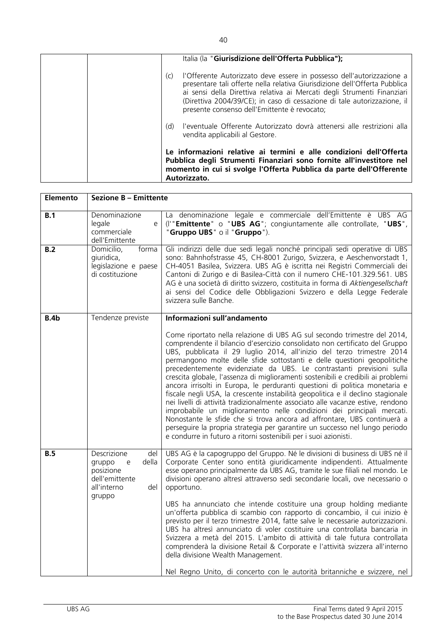|  |     | Italia (la "Giurisdizione dell'Offerta Pubblica");                                                                                                                                                                                                                                                                                                         |
|--|-----|------------------------------------------------------------------------------------------------------------------------------------------------------------------------------------------------------------------------------------------------------------------------------------------------------------------------------------------------------------|
|  | (c) | l'Offerente Autorizzato deve essere in possesso dell'autorizzazione a<br>presentare tali offerte nella relativa Giurisdizione dell'Offerta Pubblica<br>ai sensi della Direttiva relativa ai Mercati degli Strumenti Finanziari<br>(Direttiva 2004/39/CE); in caso di cessazione di tale autorizzazione, il<br>presente consenso dell'Emittente è revocato; |
|  | (d) | l'eventuale Offerente Autorizzato dovrà attenersi alle restrizioni alla<br>vendita applicabili al Gestore.                                                                                                                                                                                                                                                 |
|  |     | Le informazioni relative ai termini e alle condizioni dell'Offerta<br>Pubblica degli Strumenti Finanziari sono fornite all'investitore nel<br>momento in cui si svolge l'Offerta Pubblica da parte dell'Offerente<br>Autorizzato.                                                                                                                          |

| <b>Sezione B - Emittente</b>                                                                              |                                                                                                                                                                                                                                                                                                                                                                                                                                                                                                                                                                                                                                                                                                                                                                                                                                                                                                                                                                                                                                      |  |  |
|-----------------------------------------------------------------------------------------------------------|--------------------------------------------------------------------------------------------------------------------------------------------------------------------------------------------------------------------------------------------------------------------------------------------------------------------------------------------------------------------------------------------------------------------------------------------------------------------------------------------------------------------------------------------------------------------------------------------------------------------------------------------------------------------------------------------------------------------------------------------------------------------------------------------------------------------------------------------------------------------------------------------------------------------------------------------------------------------------------------------------------------------------------------|--|--|
| Denominazione<br>legale<br>e<br>commerciale<br>dell'Emittente                                             | La denominazione legale e commerciale dell'Emittente è UBS AG<br>(I'"Emittente" o "UBS AG"; congiuntamente alle controllate, "UBS",<br>"Gruppo UBS" o il "Gruppo").                                                                                                                                                                                                                                                                                                                                                                                                                                                                                                                                                                                                                                                                                                                                                                                                                                                                  |  |  |
| Domicilio,<br>forma<br>giuridica,<br>legislazione e paese<br>di costituzione                              | Gli indirizzi delle due sedi legali nonché principali sedi operative di UBS<br>sono: Bahnhofstrasse 45, CH-8001 Zurigo, Svizzera, e Aeschenvorstadt 1,<br>CH-4051 Basilea, Svizzera. UBS AG è iscritta nei Registri Commerciali dei<br>Cantoni di Zurigo e di Basilea-Città con il numero CHE-101.329.561. UBS<br>AG è una società di diritto svizzero, costituita in forma di Aktiengesellschaft<br>ai sensi del Codice delle Obbligazioni Svizzero e della Legge Federale<br>svizzera sulle Banche.                                                                                                                                                                                                                                                                                                                                                                                                                                                                                                                                |  |  |
| Tendenze previste                                                                                         | Informazioni sull'andamento                                                                                                                                                                                                                                                                                                                                                                                                                                                                                                                                                                                                                                                                                                                                                                                                                                                                                                                                                                                                          |  |  |
|                                                                                                           | Come riportato nella relazione di UBS AG sul secondo trimestre del 2014,<br>comprendente il bilancio d'esercizio consolidato non certificato del Gruppo<br>UBS, pubblicata il 29 luglio 2014, all'inizio del terzo trimestre 2014<br>permangono molte delle sfide sottostanti e delle questioni geopolitiche<br>precedentemente evidenziate da UBS. Le contrastanti previsioni sulla<br>crescita globale, l'assenza di miglioramenti sostenibili e credibili ai problemi<br>ancora irrisolti in Europa, le perduranti questioni di politica monetaria e<br>fiscale negli USA, la crescente instabilità geopolitica e il declino stagionale<br>nei livelli di attività tradizionalmente associato alle vacanze estive, rendono<br>improbabile un miglioramento nelle condizioni dei principali mercati.<br>Nonostante le sfide che si trova ancora ad affrontare, UBS continuerà a<br>perseguire la propria strategia per garantire un successo nel lungo periodo<br>e condurre in futuro a ritorni sostenibili per i suoi azionisti. |  |  |
| Descrizione<br>del<br>della<br>gruppo<br>e<br>posizione<br>dell'emittente<br>all'interno<br>del<br>gruppo | UBS AG è la capogruppo del Gruppo. Né le divisioni di business di UBS né il<br>Corporate Center sono entità giuridicamente indipendenti. Attualmente<br>esse operano principalmente da UBS AG, tramite le sue filiali nel mondo. Le<br>divisioni operano altresì attraverso sedi secondarie locali, ove necessario o<br>opportuno.<br>UBS ha annunciato che intende costituire una group holding mediante<br>un'offerta pubblica di scambio con rapporto di concambio, il cui inizio è<br>previsto per il terzo trimestre 2014, fatte salve le necessarie autorizzazioni.<br>UBS ha altresì annunciato di voler costituire una controllata bancaria in<br>Svizzera a metà del 2015. L'ambito di attività di tale futura controllata<br>comprenderà la divisione Retail & Corporate e l'attività svizzera all'interno<br>della divisione Wealth Management.<br>Nel Regno Unito, di concerto con le autorità britanniche e svizzere, nel                                                                                               |  |  |
|                                                                                                           |                                                                                                                                                                                                                                                                                                                                                                                                                                                                                                                                                                                                                                                                                                                                                                                                                                                                                                                                                                                                                                      |  |  |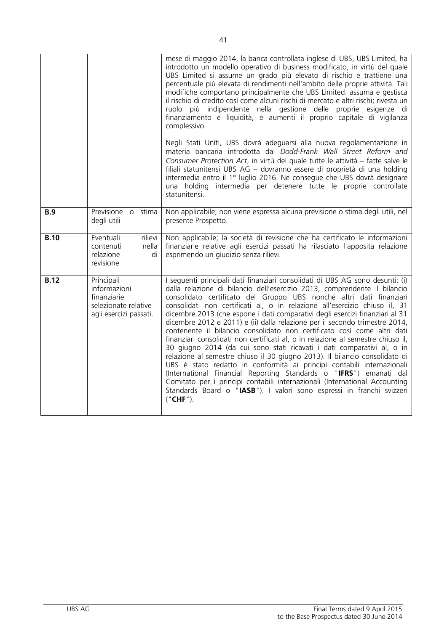|             |                                                                                             | mese di maggio 2014, la banca controllata inglese di UBS, UBS Limited, ha<br>introdotto un modello operativo di business modificato, in virtù del quale<br>UBS Limited si assume un grado più elevato di rischio e trattiene una<br>percentuale più elevata di rendimenti nell'ambito delle proprie attività. Tali<br>modifiche comportano principalmente che UBS Limited: assuma e gestisca<br>il rischio di credito così come alcuni rischi di mercato e altri rischi; rivesta un<br>ruolo più indipendente nella gestione delle proprie esigenze di<br>finanziamento e liquidità, e aumenti il proprio capitale di vigilanza<br>complessivo.                                                                                                                                                                                                                                                                                                                                                                                                                                                                           |
|-------------|---------------------------------------------------------------------------------------------|---------------------------------------------------------------------------------------------------------------------------------------------------------------------------------------------------------------------------------------------------------------------------------------------------------------------------------------------------------------------------------------------------------------------------------------------------------------------------------------------------------------------------------------------------------------------------------------------------------------------------------------------------------------------------------------------------------------------------------------------------------------------------------------------------------------------------------------------------------------------------------------------------------------------------------------------------------------------------------------------------------------------------------------------------------------------------------------------------------------------------|
|             |                                                                                             | Negli Stati Uniti, UBS dovrà adeguarsi alla nuova regolamentazione in<br>materia bancaria introdotta dal Dodd-Frank Wall Street Reform and<br>Consumer Protection Act, in virtù del quale tutte le attività – fatte salve le<br>filiali statunitensi UBS AG - dovranno essere di proprietà di una holding<br>intermedia entro il 1º luglio 2016. Ne consegue che UBS dovrà designare<br>una holding intermedia per detenere tutte le proprie controllate<br>statunitensi.                                                                                                                                                                                                                                                                                                                                                                                                                                                                                                                                                                                                                                                 |
| <b>B.9</b>  | Previsione o stima<br>degli utili                                                           | Non applicabile; non viene espressa alcuna previsione o stima degli utili, nel<br>presente Prospetto.                                                                                                                                                                                                                                                                                                                                                                                                                                                                                                                                                                                                                                                                                                                                                                                                                                                                                                                                                                                                                     |
| <b>B.10</b> | Eventuali<br>rilievi<br>nella<br>contenuti<br>relazione<br>di<br>revisione                  | Non applicabile; la società di revisione che ha certificato le informazioni<br>finanziarie relative agli esercizi passati ha rilasciato l'apposita relazione<br>esprimendo un giudizio senza rilievi.                                                                                                                                                                                                                                                                                                                                                                                                                                                                                                                                                                                                                                                                                                                                                                                                                                                                                                                     |
| <b>B.12</b> | Principali<br>informazioni<br>finanziarie<br>selezionate relative<br>agli esercizi passati. | I seguenti principali dati finanziari consolidati di UBS AG sono desunti: (i)<br>dalla relazione di bilancio dell'esercizio 2013, comprendente il bilancio<br>consolidato certificato del Gruppo UBS nonché altri dati finanziari<br>consolidati non certificati al, o in relazione all'esercizio chiuso il, 31<br>dicembre 2013 (che espone i dati comparativi degli esercizi finanziari al 31<br>dicembre 2012 e 2011) e (ii) dalla relazione per il secondo trimestre 2014,<br>contenente il bilancio consolidato non certificato così come altri dati<br>finanziari consolidati non certificati al, o in relazione al semestre chiuso il,<br>30 giugno 2014 (da cui sono stati ricavati i dati comparativi al, o in<br>relazione al semestre chiuso il 30 giugno 2013). Il bilancio consolidato di<br>UBS è stato redatto in conformità ai principi contabili internazionali<br>(International Financial Reporting Standards o "IFRS") emanati dal<br>Comitato per i principi contabili internazionali (International Accounting<br>Standards Board o "IASB"). I valori sono espressi in franchi svizzeri<br>("CHF"). |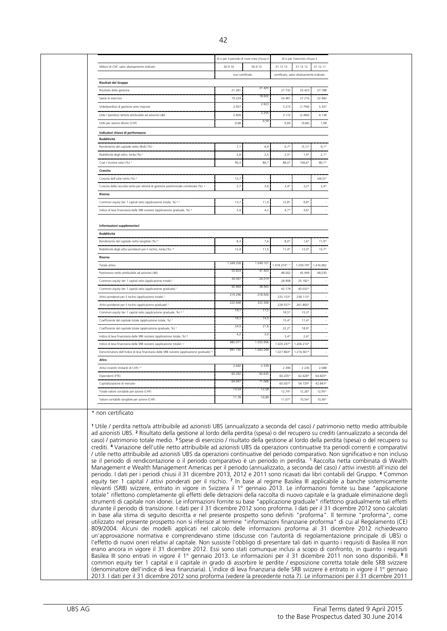|                                                                                                                                                                                                                                                                                                                                                                                                                                                                                                                                                                                                                                                                                                                                                                                                                                                                                                                                                                                                                                                                                                                                                                                                                                                                                                                                                                                                                                                                                                                                                                                                                                                                                                                                                                                                                                                                                                                                                                                                                                                                                                                                                                                                                                                                                                                                                                                                                                                                                                                                                                                                                                                                                                                                                                                                                                                                                                                                                                        | Al o per il periodo di nove mesi chiuso il |           |                                          | Al o per l'esercizio chiuso il |           |  |
|------------------------------------------------------------------------------------------------------------------------------------------------------------------------------------------------------------------------------------------------------------------------------------------------------------------------------------------------------------------------------------------------------------------------------------------------------------------------------------------------------------------------------------------------------------------------------------------------------------------------------------------------------------------------------------------------------------------------------------------------------------------------------------------------------------------------------------------------------------------------------------------------------------------------------------------------------------------------------------------------------------------------------------------------------------------------------------------------------------------------------------------------------------------------------------------------------------------------------------------------------------------------------------------------------------------------------------------------------------------------------------------------------------------------------------------------------------------------------------------------------------------------------------------------------------------------------------------------------------------------------------------------------------------------------------------------------------------------------------------------------------------------------------------------------------------------------------------------------------------------------------------------------------------------------------------------------------------------------------------------------------------------------------------------------------------------------------------------------------------------------------------------------------------------------------------------------------------------------------------------------------------------------------------------------------------------------------------------------------------------------------------------------------------------------------------------------------------------------------------------------------------------------------------------------------------------------------------------------------------------------------------------------------------------------------------------------------------------------------------------------------------------------------------------------------------------------------------------------------------------------------------------------------------------------------------------------------------------|--------------------------------------------|-----------|------------------------------------------|--------------------------------|-----------|--|
|                                                                                                                                                                                                                                                                                                                                                                                                                                                                                                                                                                                                                                                                                                                                                                                                                                                                                                                                                                                                                                                                                                                                                                                                                                                                                                                                                                                                                                                                                                                                                                                                                                                                                                                                                                                                                                                                                                                                                                                                                                                                                                                                                                                                                                                                                                                                                                                                                                                                                                                                                                                                                                                                                                                                                                                                                                                                                                                                                                        |                                            |           |                                          |                                |           |  |
| Milioni di CHF, salvo diversamente indicato                                                                                                                                                                                                                                                                                                                                                                                                                                                                                                                                                                                                                                                                                                                                                                                                                                                                                                                                                                                                                                                                                                                                                                                                                                                                                                                                                                                                                                                                                                                                                                                                                                                                                                                                                                                                                                                                                                                                                                                                                                                                                                                                                                                                                                                                                                                                                                                                                                                                                                                                                                                                                                                                                                                                                                                                                                                                                                                            | 30.9.14                                    | 30.9.13   | 31.12.13                                 | 31.12.12                       | 31.12.11  |  |
|                                                                                                                                                                                                                                                                                                                                                                                                                                                                                                                                                                                                                                                                                                                                                                                                                                                                                                                                                                                                                                                                                                                                                                                                                                                                                                                                                                                                                                                                                                                                                                                                                                                                                                                                                                                                                                                                                                                                                                                                                                                                                                                                                                                                                                                                                                                                                                                                                                                                                                                                                                                                                                                                                                                                                                                                                                                                                                                                                                        | non certificato                            |           | certificato, salvo diversamente indicato |                                |           |  |
| Risultati del Gruppo                                                                                                                                                                                                                                                                                                                                                                                                                                                                                                                                                                                                                                                                                                                                                                                                                                                                                                                                                                                                                                                                                                                                                                                                                                                                                                                                                                                                                                                                                                                                                                                                                                                                                                                                                                                                                                                                                                                                                                                                                                                                                                                                                                                                                                                                                                                                                                                                                                                                                                                                                                                                                                                                                                                                                                                                                                                                                                                                                   |                                            |           |                                          |                                |           |  |
| Risultato della gestione                                                                                                                                                                                                                                                                                                                                                                                                                                                                                                                                                                                                                                                                                                                                                                                                                                                                                                                                                                                                                                                                                                                                                                                                                                                                                                                                                                                                                                                                                                                                                                                                                                                                                                                                                                                                                                                                                                                                                                                                                                                                                                                                                                                                                                                                                                                                                                                                                                                                                                                                                                                                                                                                                                                                                                                                                                                                                                                                               | 21.28                                      | 21.425    | 27.732                                   | 25.423                         | 27.788    |  |
| Spese di esercizio                                                                                                                                                                                                                                                                                                                                                                                                                                                                                                                                                                                                                                                                                                                                                                                                                                                                                                                                                                                                                                                                                                                                                                                                                                                                                                                                                                                                                                                                                                                                                                                                                                                                                                                                                                                                                                                                                                                                                                                                                                                                                                                                                                                                                                                                                                                                                                                                                                                                                                                                                                                                                                                                                                                                                                                                                                                                                                                                                     | 19.224                                     | 18.602    | 24.461                                   | 27.216                         | 22.482    |  |
| Utile/(perdita) di gestione ante imposte                                                                                                                                                                                                                                                                                                                                                                                                                                                                                                                                                                                                                                                                                                                                                                                                                                                                                                                                                                                                                                                                                                                                                                                                                                                                                                                                                                                                                                                                                                                                                                                                                                                                                                                                                                                                                                                                                                                                                                                                                                                                                                                                                                                                                                                                                                                                                                                                                                                                                                                                                                                                                                                                                                                                                                                                                                                                                                                               | 2.057                                      | 2.823     | 3.272                                    | (1.794)                        | 5.307     |  |
| Utile / (perdita) netto/a attribuibile ad azionisti UBS                                                                                                                                                                                                                                                                                                                                                                                                                                                                                                                                                                                                                                                                                                                                                                                                                                                                                                                                                                                                                                                                                                                                                                                                                                                                                                                                                                                                                                                                                                                                                                                                                                                                                                                                                                                                                                                                                                                                                                                                                                                                                                                                                                                                                                                                                                                                                                                                                                                                                                                                                                                                                                                                                                                                                                                                                                                                                                                | 2.609                                      | 2.255     | 3.172                                    | (2.480)                        | 4.138     |  |
| Utile per azione diluito (CHF)                                                                                                                                                                                                                                                                                                                                                                                                                                                                                                                                                                                                                                                                                                                                                                                                                                                                                                                                                                                                                                                                                                                                                                                                                                                                                                                                                                                                                                                                                                                                                                                                                                                                                                                                                                                                                                                                                                                                                                                                                                                                                                                                                                                                                                                                                                                                                                                                                                                                                                                                                                                                                                                                                                                                                                                                                                                                                                                                         | 0,68                                       | 0,59      | 0,83                                     | (0,66)                         | 1,08      |  |
| Indicatori chiave di performance                                                                                                                                                                                                                                                                                                                                                                                                                                                                                                                                                                                                                                                                                                                                                                                                                                                                                                                                                                                                                                                                                                                                                                                                                                                                                                                                                                                                                                                                                                                                                                                                                                                                                                                                                                                                                                                                                                                                                                                                                                                                                                                                                                                                                                                                                                                                                                                                                                                                                                                                                                                                                                                                                                                                                                                                                                                                                                                                       |                                            |           |                                          |                                |           |  |
| Redditività                                                                                                                                                                                                                                                                                                                                                                                                                                                                                                                                                                                                                                                                                                                                                                                                                                                                                                                                                                                                                                                                                                                                                                                                                                                                                                                                                                                                                                                                                                                                                                                                                                                                                                                                                                                                                                                                                                                                                                                                                                                                                                                                                                                                                                                                                                                                                                                                                                                                                                                                                                                                                                                                                                                                                                                                                                                                                                                                                            |                                            |           |                                          |                                |           |  |
| Rendimento del capitale netto (RoE) (%)                                                                                                                                                                                                                                                                                                                                                                                                                                                                                                                                                                                                                                                                                                                                                                                                                                                                                                                                                                                                                                                                                                                                                                                                                                                                                                                                                                                                                                                                                                                                                                                                                                                                                                                                                                                                                                                                                                                                                                                                                                                                                                                                                                                                                                                                                                                                                                                                                                                                                                                                                                                                                                                                                                                                                                                                                                                                                                                                | 7,1                                        | 6,4       | $6,7*$                                   | $(5,1)^*$                      | $9,1*$    |  |
| Redditività degli attivi, lorda (%) 2                                                                                                                                                                                                                                                                                                                                                                                                                                                                                                                                                                                                                                                                                                                                                                                                                                                                                                                                                                                                                                                                                                                                                                                                                                                                                                                                                                                                                                                                                                                                                                                                                                                                                                                                                                                                                                                                                                                                                                                                                                                                                                                                                                                                                                                                                                                                                                                                                                                                                                                                                                                                                                                                                                                                                                                                                                                                                                                                  | 2,8                                        | 2,5       | $2,5*$                                   | $1,9*$                         | $2,1*$    |  |
| Cost / income ratio (%) 3                                                                                                                                                                                                                                                                                                                                                                                                                                                                                                                                                                                                                                                                                                                                                                                                                                                                                                                                                                                                                                                                                                                                                                                                                                                                                                                                                                                                                                                                                                                                                                                                                                                                                                                                                                                                                                                                                                                                                                                                                                                                                                                                                                                                                                                                                                                                                                                                                                                                                                                                                                                                                                                                                                                                                                                                                                                                                                                                              | 90,3                                       | 86,7      | 88,0*                                    | 106,6*                         | $80,7*$   |  |
| Crescita                                                                                                                                                                                                                                                                                                                                                                                                                                                                                                                                                                                                                                                                                                                                                                                                                                                                                                                                                                                                                                                                                                                                                                                                                                                                                                                                                                                                                                                                                                                                                                                                                                                                                                                                                                                                                                                                                                                                                                                                                                                                                                                                                                                                                                                                                                                                                                                                                                                                                                                                                                                                                                                                                                                                                                                                                                                                                                                                                               |                                            |           |                                          |                                |           |  |
| Crescita dell'utile netto (%) 4                                                                                                                                                                                                                                                                                                                                                                                                                                                                                                                                                                                                                                                                                                                                                                                                                                                                                                                                                                                                                                                                                                                                                                                                                                                                                                                                                                                                                                                                                                                                                                                                                                                                                                                                                                                                                                                                                                                                                                                                                                                                                                                                                                                                                                                                                                                                                                                                                                                                                                                                                                                                                                                                                                                                                                                                                                                                                                                                        | 15,7                                       |           |                                          |                                | $(44,5)*$ |  |
| Crescita della raccolta netta per attività di gestione patrimoniale combinate (%) 5                                                                                                                                                                                                                                                                                                                                                                                                                                                                                                                                                                                                                                                                                                                                                                                                                                                                                                                                                                                                                                                                                                                                                                                                                                                                                                                                                                                                                                                                                                                                                                                                                                                                                                                                                                                                                                                                                                                                                                                                                                                                                                                                                                                                                                                                                                                                                                                                                                                                                                                                                                                                                                                                                                                                                                                                                                                                                    | 2,7                                        | 3,6       | $3,4*$                                   | $3,2*$                         | $2,4*$    |  |
| Risorse                                                                                                                                                                                                                                                                                                                                                                                                                                                                                                                                                                                                                                                                                                                                                                                                                                                                                                                                                                                                                                                                                                                                                                                                                                                                                                                                                                                                                                                                                                                                                                                                                                                                                                                                                                                                                                                                                                                                                                                                                                                                                                                                                                                                                                                                                                                                                                                                                                                                                                                                                                                                                                                                                                                                                                                                                                                                                                                                                                |                                            |           |                                          |                                |           |  |
|                                                                                                                                                                                                                                                                                                                                                                                                                                                                                                                                                                                                                                                                                                                                                                                                                                                                                                                                                                                                                                                                                                                                                                                                                                                                                                                                                                                                                                                                                                                                                                                                                                                                                                                                                                                                                                                                                                                                                                                                                                                                                                                                                                                                                                                                                                                                                                                                                                                                                                                                                                                                                                                                                                                                                                                                                                                                                                                                                                        |                                            |           |                                          |                                |           |  |
| Common equity tier 1 capital ratio (applicazione totale, %) 6.7                                                                                                                                                                                                                                                                                                                                                                                                                                                                                                                                                                                                                                                                                                                                                                                                                                                                                                                                                                                                                                                                                                                                                                                                                                                                                                                                                                                                                                                                                                                                                                                                                                                                                                                                                                                                                                                                                                                                                                                                                                                                                                                                                                                                                                                                                                                                                                                                                                                                                                                                                                                                                                                                                                                                                                                                                                                                                                        | 13,7                                       | 11,9      | $12,8*$                                  | $9,8*$                         |           |  |
| Indice di leva finanziaria delle SRB svizzere (applicazione graduale, %) 8                                                                                                                                                                                                                                                                                                                                                                                                                                                                                                                                                                                                                                                                                                                                                                                                                                                                                                                                                                                                                                                                                                                                                                                                                                                                                                                                                                                                                                                                                                                                                                                                                                                                                                                                                                                                                                                                                                                                                                                                                                                                                                                                                                                                                                                                                                                                                                                                                                                                                                                                                                                                                                                                                                                                                                                                                                                                                             | 5,4                                        | 4,2       | $4,7*$                                   | $3,6*$                         |           |  |
|                                                                                                                                                                                                                                                                                                                                                                                                                                                                                                                                                                                                                                                                                                                                                                                                                                                                                                                                                                                                                                                                                                                                                                                                                                                                                                                                                                                                                                                                                                                                                                                                                                                                                                                                                                                                                                                                                                                                                                                                                                                                                                                                                                                                                                                                                                                                                                                                                                                                                                                                                                                                                                                                                                                                                                                                                                                                                                                                                                        |                                            |           |                                          |                                |           |  |
| Informazioni supplementari                                                                                                                                                                                                                                                                                                                                                                                                                                                                                                                                                                                                                                                                                                                                                                                                                                                                                                                                                                                                                                                                                                                                                                                                                                                                                                                                                                                                                                                                                                                                                                                                                                                                                                                                                                                                                                                                                                                                                                                                                                                                                                                                                                                                                                                                                                                                                                                                                                                                                                                                                                                                                                                                                                                                                                                                                                                                                                                                             |                                            |           |                                          |                                |           |  |
| Redditività                                                                                                                                                                                                                                                                                                                                                                                                                                                                                                                                                                                                                                                                                                                                                                                                                                                                                                                                                                                                                                                                                                                                                                                                                                                                                                                                                                                                                                                                                                                                                                                                                                                                                                                                                                                                                                                                                                                                                                                                                                                                                                                                                                                                                                                                                                                                                                                                                                                                                                                                                                                                                                                                                                                                                                                                                                                                                                                                                            |                                            |           |                                          |                                |           |  |
| Rendimento del capitale netto tangibile (%) 9                                                                                                                                                                                                                                                                                                                                                                                                                                                                                                                                                                                                                                                                                                                                                                                                                                                                                                                                                                                                                                                                                                                                                                                                                                                                                                                                                                                                                                                                                                                                                                                                                                                                                                                                                                                                                                                                                                                                                                                                                                                                                                                                                                                                                                                                                                                                                                                                                                                                                                                                                                                                                                                                                                                                                                                                                                                                                                                          | 8,3                                        | 7,6       | $8,0*$                                   | $1,6*$                         | $11,9*$   |  |
| Redditività degli attivi ponderati per il rischio, lorda (%) <sup>10</sup>                                                                                                                                                                                                                                                                                                                                                                                                                                                                                                                                                                                                                                                                                                                                                                                                                                                                                                                                                                                                                                                                                                                                                                                                                                                                                                                                                                                                                                                                                                                                                                                                                                                                                                                                                                                                                                                                                                                                                                                                                                                                                                                                                                                                                                                                                                                                                                                                                                                                                                                                                                                                                                                                                                                                                                                                                                                                                             | 12,4                                       | 11,5      | $11,4*$                                  | $12,0*$                        | $13,7*$   |  |
| <b>Risorse</b>                                                                                                                                                                                                                                                                                                                                                                                                                                                                                                                                                                                                                                                                                                                                                                                                                                                                                                                                                                                                                                                                                                                                                                                                                                                                                                                                                                                                                                                                                                                                                                                                                                                                                                                                                                                                                                                                                                                                                                                                                                                                                                                                                                                                                                                                                                                                                                                                                                                                                                                                                                                                                                                                                                                                                                                                                                                                                                                                                         |                                            |           |                                          |                                |           |  |
| Totale attivo                                                                                                                                                                                                                                                                                                                                                                                                                                                                                                                                                                                                                                                                                                                                                                                                                                                                                                                                                                                                                                                                                                                                                                                                                                                                                                                                                                                                                                                                                                                                                                                                                                                                                                                                                                                                                                                                                                                                                                                                                                                                                                                                                                                                                                                                                                                                                                                                                                                                                                                                                                                                                                                                                                                                                                                                                                                                                                                                                          | 1.049.258                                  | 1.049.101 | 1.018.374* 11                            | 1.259.797                      | 1,416,962 |  |
| Patrimonio netto attribuibile ad azionisti UBS                                                                                                                                                                                                                                                                                                                                                                                                                                                                                                                                                                                                                                                                                                                                                                                                                                                                                                                                                                                                                                                                                                                                                                                                                                                                                                                                                                                                                                                                                                                                                                                                                                                                                                                                                                                                                                                                                                                                                                                                                                                                                                                                                                                                                                                                                                                                                                                                                                                                                                                                                                                                                                                                                                                                                                                                                                                                                                                         | 50.824                                     | 47.403    | 48.002                                   | 45.949                         | 48,530    |  |
| Common equity tier 1 capital ratio (applicazione totale) 7                                                                                                                                                                                                                                                                                                                                                                                                                                                                                                                                                                                                                                                                                                                                                                                                                                                                                                                                                                                                                                                                                                                                                                                                                                                                                                                                                                                                                                                                                                                                                                                                                                                                                                                                                                                                                                                                                                                                                                                                                                                                                                                                                                                                                                                                                                                                                                                                                                                                                                                                                                                                                                                                                                                                                                                                                                                                                                             | 30.047                                     | 26.019    | 28.908                                   | 25.182*                        |           |  |
| Common equity tier 1 capital ratio (applicazione graduale) 7                                                                                                                                                                                                                                                                                                                                                                                                                                                                                                                                                                                                                                                                                                                                                                                                                                                                                                                                                                                                                                                                                                                                                                                                                                                                                                                                                                                                                                                                                                                                                                                                                                                                                                                                                                                                                                                                                                                                                                                                                                                                                                                                                                                                                                                                                                                                                                                                                                                                                                                                                                                                                                                                                                                                                                                                                                                                                                           | 42.464                                     | 38.963    | 42.179                                   | 40.032*                        |           |  |
| Attivi ponderati per il rischio (applicazione totale) i                                                                                                                                                                                                                                                                                                                                                                                                                                                                                                                                                                                                                                                                                                                                                                                                                                                                                                                                                                                                                                                                                                                                                                                                                                                                                                                                                                                                                                                                                                                                                                                                                                                                                                                                                                                                                                                                                                                                                                                                                                                                                                                                                                                                                                                                                                                                                                                                                                                                                                                                                                                                                                                                                                                                                                                                                                                                                                                | 219.296                                    | 218.926   | 225.153*                                 | 258.113*                       |           |  |
| Attivi ponderati per il rischio (applicazione graduale)                                                                                                                                                                                                                                                                                                                                                                                                                                                                                                                                                                                                                                                                                                                                                                                                                                                                                                                                                                                                                                                                                                                                                                                                                                                                                                                                                                                                                                                                                                                                                                                                                                                                                                                                                                                                                                                                                                                                                                                                                                                                                                                                                                                                                                                                                                                                                                                                                                                                                                                                                                                                                                                                                                                                                                                                                                                                                                                | 222.648                                    | 222.306   | 228.557                                  | 261.800*                       |           |  |
| Common equity tier 1 capital ratio (applicazione graduale, %) 6.7                                                                                                                                                                                                                                                                                                                                                                                                                                                                                                                                                                                                                                                                                                                                                                                                                                                                                                                                                                                                                                                                                                                                                                                                                                                                                                                                                                                                                                                                                                                                                                                                                                                                                                                                                                                                                                                                                                                                                                                                                                                                                                                                                                                                                                                                                                                                                                                                                                                                                                                                                                                                                                                                                                                                                                                                                                                                                                      | 19,1                                       | 17,5      | 18.5                                     | 15.3'                          |           |  |
| Coefficiente del capitale totale (applicazione totale, %)                                                                                                                                                                                                                                                                                                                                                                                                                                                                                                                                                                                                                                                                                                                                                                                                                                                                                                                                                                                                                                                                                                                                                                                                                                                                                                                                                                                                                                                                                                                                                                                                                                                                                                                                                                                                                                                                                                                                                                                                                                                                                                                                                                                                                                                                                                                                                                                                                                                                                                                                                                                                                                                                                                                                                                                                                                                                                                              | 18,7                                       | 14,3      | $15.4*$                                  | $11.4*$                        |           |  |
| Coefficiente del capitale totale (applicazione graduale, %)                                                                                                                                                                                                                                                                                                                                                                                                                                                                                                                                                                                                                                                                                                                                                                                                                                                                                                                                                                                                                                                                                                                                                                                                                                                                                                                                                                                                                                                                                                                                                                                                                                                                                                                                                                                                                                                                                                                                                                                                                                                                                                                                                                                                                                                                                                                                                                                                                                                                                                                                                                                                                                                                                                                                                                                                                                                                                                            | 24,9                                       | 21,8      | 22.2"                                    | 18.9                           |           |  |
| Indice di leva finanziaria delle SRB svizzere (applicazione totale, %) 8                                                                                                                                                                                                                                                                                                                                                                                                                                                                                                                                                                                                                                                                                                                                                                                                                                                                                                                                                                                                                                                                                                                                                                                                                                                                                                                                                                                                                                                                                                                                                                                                                                                                                                                                                                                                                                                                                                                                                                                                                                                                                                                                                                                                                                                                                                                                                                                                                                                                                                                                                                                                                                                                                                                                                                                                                                                                                               | 4,2                                        | 3,0       | 3.4'                                     | $2.4^{\circ}$                  |           |  |
| Indice di leva finanziaria delle SRB svizzere (applicazione totale) 12                                                                                                                                                                                                                                                                                                                                                                                                                                                                                                                                                                                                                                                                                                                                                                                                                                                                                                                                                                                                                                                                                                                                                                                                                                                                                                                                                                                                                                                                                                                                                                                                                                                                                                                                                                                                                                                                                                                                                                                                                                                                                                                                                                                                                                                                                                                                                                                                                                                                                                                                                                                                                                                                                                                                                                                                                                                                                                 | 985.07                                     | 1.055.956 | 1 020 247*                               | 1.206.214*                     |           |  |
| Denominatore dell'indice di leva finanziaria delle SRB svizzere (applicazione graduale) :                                                                                                                                                                                                                                                                                                                                                                                                                                                                                                                                                                                                                                                                                                                                                                                                                                                                                                                                                                                                                                                                                                                                                                                                                                                                                                                                                                                                                                                                                                                                                                                                                                                                                                                                                                                                                                                                                                                                                                                                                                                                                                                                                                                                                                                                                                                                                                                                                                                                                                                                                                                                                                                                                                                                                                                                                                                                              | 991.730                                    | 1.063.294 | 1 027 864                                | 1.216.561                      |           |  |
| Altro                                                                                                                                                                                                                                                                                                                                                                                                                                                                                                                                                                                                                                                                                                                                                                                                                                                                                                                                                                                                                                                                                                                                                                                                                                                                                                                                                                                                                                                                                                                                                                                                                                                                                                                                                                                                                                                                                                                                                                                                                                                                                                                                                                                                                                                                                                                                                                                                                                                                                                                                                                                                                                                                                                                                                                                                                                                                                                                                                                  |                                            |           |                                          |                                |           |  |
|                                                                                                                                                                                                                                                                                                                                                                                                                                                                                                                                                                                                                                                                                                                                                                                                                                                                                                                                                                                                                                                                                                                                                                                                                                                                                                                                                                                                                                                                                                                                                                                                                                                                                                                                                                                                                                                                                                                                                                                                                                                                                                                                                                                                                                                                                                                                                                                                                                                                                                                                                                                                                                                                                                                                                                                                                                                                                                                                                                        | 2.640                                      | 2.339     |                                          |                                |           |  |
| Attivi investiti (miliardi di CHF) 13                                                                                                                                                                                                                                                                                                                                                                                                                                                                                                                                                                                                                                                                                                                                                                                                                                                                                                                                                                                                                                                                                                                                                                                                                                                                                                                                                                                                                                                                                                                                                                                                                                                                                                                                                                                                                                                                                                                                                                                                                                                                                                                                                                                                                                                                                                                                                                                                                                                                                                                                                                                                                                                                                                                                                                                                                                                                                                                                  | 60.292                                     | 60.635    | 2.390                                    | 2.230                          | 2.088     |  |
| Dipendenti (FTE)                                                                                                                                                                                                                                                                                                                                                                                                                                                                                                                                                                                                                                                                                                                                                                                                                                                                                                                                                                                                                                                                                                                                                                                                                                                                                                                                                                                                                                                                                                                                                                                                                                                                                                                                                                                                                                                                                                                                                                                                                                                                                                                                                                                                                                                                                                                                                                                                                                                                                                                                                                                                                                                                                                                                                                                                                                                                                                                                                       | 64.047                                     | 71.066    | 60.205                                   | 62.628*                        | 64.820*   |  |
| Capitalizzazione di mercato                                                                                                                                                                                                                                                                                                                                                                                                                                                                                                                                                                                                                                                                                                                                                                                                                                                                                                                                                                                                                                                                                                                                                                                                                                                                                                                                                                                                                                                                                                                                                                                                                                                                                                                                                                                                                                                                                                                                                                                                                                                                                                                                                                                                                                                                                                                                                                                                                                                                                                                                                                                                                                                                                                                                                                                                                                                                                                                                            | 13,54                                      | 12,58     | 65.007                                   | 54.729*                        | 42.843*   |  |
| Totale valore contabile per azione (CHF)                                                                                                                                                                                                                                                                                                                                                                                                                                                                                                                                                                                                                                                                                                                                                                                                                                                                                                                                                                                                                                                                                                                                                                                                                                                                                                                                                                                                                                                                                                                                                                                                                                                                                                                                                                                                                                                                                                                                                                                                                                                                                                                                                                                                                                                                                                                                                                                                                                                                                                                                                                                                                                                                                                                                                                                                                                                                                                                               | 11,78                                      | 10,89     | $12,74*$                                 | 12,26*                         | 12,95*    |  |
| Valore contabile tangibile per azione (CHF)                                                                                                                                                                                                                                                                                                                                                                                                                                                                                                                                                                                                                                                                                                                                                                                                                                                                                                                                                                                                                                                                                                                                                                                                                                                                                                                                                                                                                                                                                                                                                                                                                                                                                                                                                                                                                                                                                                                                                                                                                                                                                                                                                                                                                                                                                                                                                                                                                                                                                                                                                                                                                                                                                                                                                                                                                                                                                                                            |                                            |           | $11,07*$                                 | $10,54*$                       | $10,36*$  |  |
| * non certificato                                                                                                                                                                                                                                                                                                                                                                                                                                                                                                                                                                                                                                                                                                                                                                                                                                                                                                                                                                                                                                                                                                                                                                                                                                                                                                                                                                                                                                                                                                                                                                                                                                                                                                                                                                                                                                                                                                                                                                                                                                                                                                                                                                                                                                                                                                                                                                                                                                                                                                                                                                                                                                                                                                                                                                                                                                                                                                                                                      |                                            |           |                                          |                                |           |  |
| <sup>1</sup> Utile / perdita netto/a attribuibile ad azionisti UBS (annualizzato a seconda del caso) / patrimonio netto medio attribuibile<br>ad azionisti UBS. <sup>2</sup> Risultato della gestione al lordo della perdita (spesa) o del recupero su crediti (annualizzato a seconda del<br>caso) / patrimonio totale medio. <sup>3</sup> Spese di esercizio / risultato della gestione al lordo della perdita (spesa) o del recupero su<br>crediti. 4 Variazione dell'utile netto attribuibile ad azionisti UBS da operazioni continuative tra periodi correnti e comparativi<br>/ utile netto attribuibile ad azionisti UBS da operazioni continuative del periodo comparativo. Non significativo e non incluso<br>se il periodo di rendicontazione o il periodo comparativo è un periodo in perdita. <sup>5</sup> Raccolta netta combinata di Wealth<br>Management e Wealth Management Americas per il periodo (annualizzato, a seconda del caso) / attivi investiti all'inizio del<br>periodo. I dati per i periodi chiusi il 31 dicembre 2013, 2012 e 2011 sono ricavati dai libri contabili del Gruppo. 6 Common<br>equity tier 1 capital / attivi ponderati per il rischio. 7 In base al regime Basilea III applicabile a banche sistemicamente<br>rilevanti (SRB) svizzere, entrato in vigore in Svizzera il 1º gennaio 2013. Le informazioni fornite su base "applicazione<br>totale" riflettono completamente gli effetti delle detrazioni della raccolta di nuovo capitale e la graduale eliminazione degli<br>strumenti di capitale non idonei. Le informazioni fornite su base "applicazione graduale" riflettono gradualmente tali effetti<br>durante il periodo di transizione. I dati per il 31 dicembre 2012 sono proforma. I dati per il 31 dicembre 2012 sono calcolati<br>in base alla stima di seguito descritta e nel presente prospetto sono definiti "proforma". Il termine "proforma", come<br>utilizzato nel presente prospetto non si riferisce al termine "informazioni finanziarie proforma" di cui al Regolamento (CE)<br>809/2004. Alcuni dei modelli applicati nel calcolo delle informazioni proforma al 31 dicembre 2012 richiedevano<br>un'approvazione normativa e comprendevano stime (discusse con l'autorità di regolamentazione principale di UBS) o<br>l'effetto di nuovi oneri relativi al capitale. Non sussiste l'obbligo di presentare tali dati in quanto i requisiti di Basilea III non<br>erano ancora in vigore il 31 dicembre 2012. Essi sono stati comunque inclusi a scopo di confronto, in quanto i requisiti<br>Basilea III sono entrati in vigore il 1º gennaio 2013. Le informazioni per il 31 dicembre 2011 non sono disponibili. 8 ll<br>common equity tier 1 capital e il capitale in grado di assorbire le perdite / esposizione corretta totale delle SRB svizzere<br>(denominatore dell'indice di leva finanziaria). L'indice di leva finanziaria delle SRB svizzere è entrato in vigore il 1º gennaio |                                            |           |                                          |                                |           |  |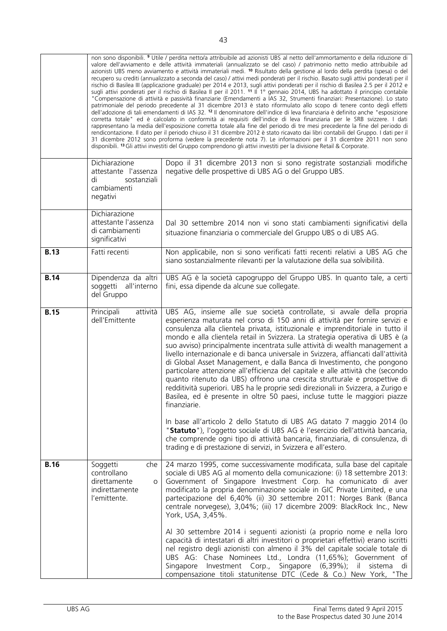|             |                                                                                       | non sono disponibili. <sup>9</sup> Utile / perdita netto/a attribuibile ad azionisti UBS al netto dell'ammortamento e della riduzione di<br>valore dell'avviamento e delle attività immateriali (annualizzato se del caso) / patrimonio netto medio attribuibile ad<br>azionisti UBS meno avviamento e attività immateriali medi. <sup>10</sup> Risultato della gestione al lordo della perdita (spesa) o del<br>recupero su crediti (annualizzato a seconda del caso) / attivi medi ponderati per il rischio. Basato sugli attivi ponderati per il<br>rischio di Basilea III (applicazione graduale) per 2014 e 2013, sugli attivi ponderati per il rischio di Basilea 2.5 per il 2012 e<br>sugli attivi ponderati per il rischio di Basilea II per il 2011. <sup>11</sup> II 1º gennaio 2014, UBS ha adottato il principio contabile<br>"Compensazione di attività e passività finanziarie (Emendamenti a IAS 32, Strumenti finanziari: Presentazione). Lo stato<br>patrimoniale del periodo precedente al 31 dicembre 2013 è stato riformulato allo scopo di tenere conto degli effetti<br>dell'adozione di tali emendamenti di IAS 32. <sup>12</sup> Il denominatore dell'indice di leva finanziaria è definito anche "esposizione<br>corretta totale" ed è calcolato in conformità ai requisiti dell'indice di leva finanziaria per le SRB svizzere. I dati<br>rappresentano la media dell'esposizione corretta totale alla fine del periodo di tre mesi precedente la fine del periodo di<br>rendicontazione. Il dato per il periodo chiuso il 31 dicembre 2012 è stato ricavato dai libri contabili del Gruppo. I dati per il<br>31 dicembre 2012 sono proforma (vedere la precedente nota 7). Le informazioni per il 31 dicembre 2011 non sono<br>disponibili. <sup>13</sup> Gli attivi investiti del Gruppo comprendono gli attivi investiti per la divisione Retail & Corporate. |
|-------------|---------------------------------------------------------------------------------------|--------------------------------------------------------------------------------------------------------------------------------------------------------------------------------------------------------------------------------------------------------------------------------------------------------------------------------------------------------------------------------------------------------------------------------------------------------------------------------------------------------------------------------------------------------------------------------------------------------------------------------------------------------------------------------------------------------------------------------------------------------------------------------------------------------------------------------------------------------------------------------------------------------------------------------------------------------------------------------------------------------------------------------------------------------------------------------------------------------------------------------------------------------------------------------------------------------------------------------------------------------------------------------------------------------------------------------------------------------------------------------------------------------------------------------------------------------------------------------------------------------------------------------------------------------------------------------------------------------------------------------------------------------------------------------------------------------------------------------------------------------------------------------------------------------------------------------------------------------------------------------------------|
|             | Dichiarazione<br>attestante l'assenza<br>sostanziali<br>di<br>cambiamenti<br>negativi | Dopo il 31 dicembre 2013 non si sono registrate sostanziali modifiche<br>negative delle prospettive di UBS AG o del Gruppo UBS.                                                                                                                                                                                                                                                                                                                                                                                                                                                                                                                                                                                                                                                                                                                                                                                                                                                                                                                                                                                                                                                                                                                                                                                                                                                                                                                                                                                                                                                                                                                                                                                                                                                                                                                                                            |
|             | Dichiarazione<br>attestante l'assenza<br>di cambiamenti<br>significativi              | Dal 30 settembre 2014 non vi sono stati cambiamenti significativi della<br>situazione finanziaria o commerciale del Gruppo UBS o di UBS AG.                                                                                                                                                                                                                                                                                                                                                                                                                                                                                                                                                                                                                                                                                                                                                                                                                                                                                                                                                                                                                                                                                                                                                                                                                                                                                                                                                                                                                                                                                                                                                                                                                                                                                                                                                |
| <b>B.13</b> | Fatti recenti                                                                         | Non applicabile, non si sono verificati fatti recenti relativi a UBS AG che<br>siano sostanzialmente rilevanti per la valutazione della sua solvibilità.                                                                                                                                                                                                                                                                                                                                                                                                                                                                                                                                                                                                                                                                                                                                                                                                                                                                                                                                                                                                                                                                                                                                                                                                                                                                                                                                                                                                                                                                                                                                                                                                                                                                                                                                   |
| <b>B.14</b> | Dipendenza da altri<br>soggetti<br>all'interno<br>del Gruppo                          | UBS AG è la società capogruppo del Gruppo UBS. In quanto tale, a certi<br>fini, essa dipende da alcune sue collegate.                                                                                                                                                                                                                                                                                                                                                                                                                                                                                                                                                                                                                                                                                                                                                                                                                                                                                                                                                                                                                                                                                                                                                                                                                                                                                                                                                                                                                                                                                                                                                                                                                                                                                                                                                                      |
| <b>B.15</b> | attività<br>Principali<br>dell'Emittente                                              | UBS AG, insieme alle sue società controllate, si avvale della propria<br>esperienza maturata nel corso di 150 anni di attività per fornire servizi e<br>consulenza alla clientela privata, istituzionale e imprenditoriale in tutto il<br>mondo e alla clientela retail in Svizzera. La strategia operativa di UBS è (a<br>suo avviso) principalmente incentrata sulle attività di wealth management a<br>livello internazionale e di banca universale in Svizzera, affiancati dall'attività<br>di Global Asset Management, e dalla Banca di Investimento, che pongono<br>particolare attenzione all'efficienza del capitale e alle attività che (secondo<br>quanto ritenuto da UBS) offrono una crescita strutturale e prospettive di<br>redditività superiori. UBS ha le proprie sedi direzionali in Svizzera, a Zurigo e<br>Basilea, ed è presente in oltre 50 paesi, incluse tutte le maggiori piazze<br>finanziarie.                                                                                                                                                                                                                                                                                                                                                                                                                                                                                                                                                                                                                                                                                                                                                                                                                                                                                                                                                                  |
|             |                                                                                       | In base all'articolo 2 dello Statuto di UBS AG datato 7 maggio 2014 (lo<br>"Statuto"), l'oggetto sociale di UBS AG è l'esercizio dell'attività bancaria,<br>che comprende ogni tipo di attività bancaria, finanziaria, di consulenza, di<br>trading e di prestazione di servizi, in Svizzera e all'estero.                                                                                                                                                                                                                                                                                                                                                                                                                                                                                                                                                                                                                                                                                                                                                                                                                                                                                                                                                                                                                                                                                                                                                                                                                                                                                                                                                                                                                                                                                                                                                                                 |
| <b>B.16</b> | Soggetti<br>che<br>controllano<br>direttamente<br>O<br>indirettamente<br>l'emittente. | 24 marzo 1995, come successivamente modificata, sulla base del capitale<br>sociale di UBS AG al momento della comunicazione: (i) 18 settembre 2013:<br>Government of Singapore Investment Corp. ha comunicato di aver<br>modificato la propria denominazione sociale in GIC Private Limited, e una<br>partecipazione del 6,40% (ii) 30 settembre 2011: Norges Bank (Banca<br>centrale norvegese), 3,04%; (iii) 17 dicembre 2009: BlackRock Inc., New<br>York, USA, 3,45%.                                                                                                                                                                                                                                                                                                                                                                                                                                                                                                                                                                                                                                                                                                                                                                                                                                                                                                                                                                                                                                                                                                                                                                                                                                                                                                                                                                                                                  |
|             |                                                                                       | Al 30 settembre 2014 i seguenti azionisti (a proprio nome e nella loro<br>capacità di intestatari di altri investitori o proprietari effettivi) erano iscritti<br>nel registro degli azionisti con almeno il 3% del capitale sociale totale di<br>UBS AG: Chase Nominees Ltd., Londra (11,65%); Government of<br>Investment Corp., Singapore (6,39%);<br>Singapore<br>iL.<br>sistema<br>di<br>compensazione titoli statunitense DTC (Cede & Co.) New York, "The                                                                                                                                                                                                                                                                                                                                                                                                                                                                                                                                                                                                                                                                                                                                                                                                                                                                                                                                                                                                                                                                                                                                                                                                                                                                                                                                                                                                                            |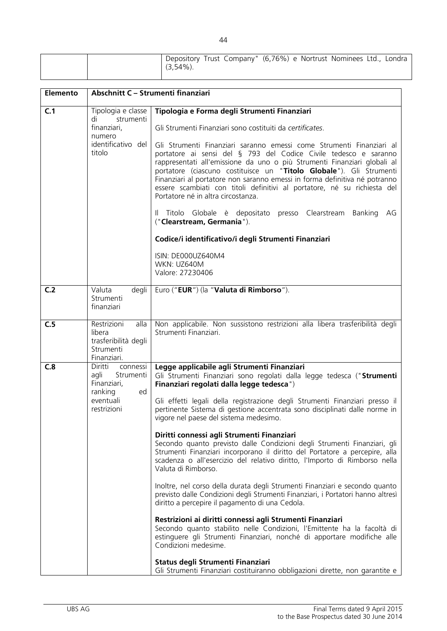|  | $(3,54\%)$ | Depository Trust Company" (6,76%) e Nortrust Nominees Ltd., Londra |  |  |  |
|--|------------|--------------------------------------------------------------------|--|--|--|
|  |            |                                                                    |  |  |  |

| Elemento | Abschnitt C - Strumenti finanziari                                                                   |                                                                                                                                                                                                                                                                                                                                                                                                                                                                                                                                                                                                                                                                                                                                                                                                                                                                                                                                                                                                                                                                                                                                                                                                                                                                              |
|----------|------------------------------------------------------------------------------------------------------|------------------------------------------------------------------------------------------------------------------------------------------------------------------------------------------------------------------------------------------------------------------------------------------------------------------------------------------------------------------------------------------------------------------------------------------------------------------------------------------------------------------------------------------------------------------------------------------------------------------------------------------------------------------------------------------------------------------------------------------------------------------------------------------------------------------------------------------------------------------------------------------------------------------------------------------------------------------------------------------------------------------------------------------------------------------------------------------------------------------------------------------------------------------------------------------------------------------------------------------------------------------------------|
| C.1      | Tipologia e classe<br>strumenti<br>di<br>finanziari,<br>numero<br>identificativo del<br>titolo       | Tipologia e Forma degli Strumenti Finanziari<br>Gli Strumenti Finanziari sono costituiti da certificates.<br>Gli Strumenti Finanziari saranno emessi come Strumenti Finanziari al<br>portatore ai sensi del § 793 del Codice Civile tedesco e saranno<br>rappresentati all'emissione da uno o più Strumenti Finanziari globali al<br>portatore (ciascuno costituisce un "Titolo Globale"). Gli Strumenti<br>Finanziari al portatore non saranno emessi in forma definitiva né potranno<br>essere scambiati con titoli definitivi al portatore, né su richiesta del<br>Portatore né in altra circostanza.<br>Il Titolo Globale è depositato presso Clearstream Banking<br>AG<br>("Clearstream, Germania").<br>Codice/i identificativo/i degli Strumenti Finanziari<br>ISIN: DE000UZ640M4<br>WKN: UZ640M<br>Valore: 27230406                                                                                                                                                                                                                                                                                                                                                                                                                                                   |
| C.2      | Valuta<br>degli<br>Strumenti<br>finanziari                                                           | Euro ("EUR") (la "Valuta di Rimborso").                                                                                                                                                                                                                                                                                                                                                                                                                                                                                                                                                                                                                                                                                                                                                                                                                                                                                                                                                                                                                                                                                                                                                                                                                                      |
| C.5      | alla<br>Restrizioni<br>libera<br>trasferibilità degli<br>Strumenti<br>Finanziari.                    | Non applicabile. Non sussistono restrizioni alla libera trasferibilità degli<br>Strumenti Finanziari.                                                                                                                                                                                                                                                                                                                                                                                                                                                                                                                                                                                                                                                                                                                                                                                                                                                                                                                                                                                                                                                                                                                                                                        |
| C.8      | Diritti<br>connessi<br>Strumenti<br>agli<br>Finanziari,<br>ranking<br>ed<br>eventuali<br>restrizioni | Legge applicabile agli Strumenti Finanziari<br>Gli Strumenti Finanziari sono regolati dalla legge tedesca ("Strumenti<br>Finanziari regolati dalla legge tedesca")<br>Gli effetti legali della registrazione degli Strumenti Finanziari presso il<br>pertinente Sistema di gestione accentrata sono disciplinati dalle norme in<br>vigore nel paese del sistema medesimo.<br>Diritti connessi agli Strumenti Finanziari<br>Secondo quanto previsto dalle Condizioni degli Strumenti Finanziari, gli<br>Strumenti Finanziari incorporano il diritto del Portatore a percepire, alla<br>scadenza o all'esercizio del relativo diritto, l'Importo di Rimborso nella<br>Valuta di Rimborso.<br>Inoltre, nel corso della durata degli Strumenti Finanziari e secondo quanto<br>previsto dalle Condizioni degli Strumenti Finanziari, i Portatori hanno altresì<br>diritto a percepire il pagamento di una Cedola.<br>Restrizioni ai diritti connessi agli Strumenti Finanziari<br>Secondo quanto stabilito nelle Condizioni, l'Emittente ha la facoltà di<br>estinguere gli Strumenti Finanziari, nonché di apportare modifiche alle<br>Condizioni medesime.<br>Status degli Strumenti Finanziari<br>Gli Strumenti Finanziari costituiranno obbligazioni dirette, non garantite e |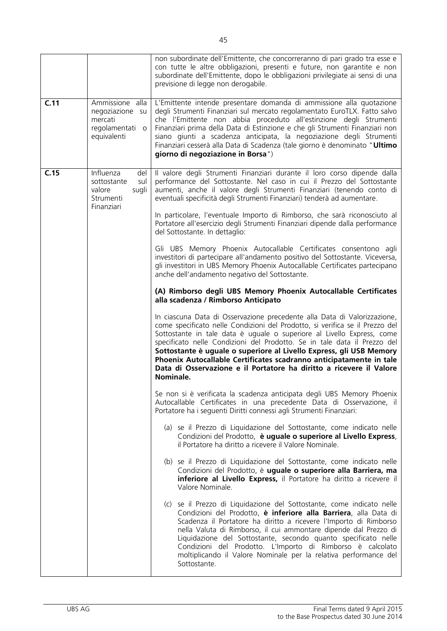|      |                                                                                          | non subordinate dell'Emittente, che concorreranno di pari grado tra esse e<br>con tutte le altre obbligazioni, presenti e future, non garantite e non<br>subordinate dell'Emittente, dopo le obbligazioni privilegiate ai sensi di una<br>previsione di legge non derogabile.                                                                                                                                                                                                                                                                    |
|------|------------------------------------------------------------------------------------------|--------------------------------------------------------------------------------------------------------------------------------------------------------------------------------------------------------------------------------------------------------------------------------------------------------------------------------------------------------------------------------------------------------------------------------------------------------------------------------------------------------------------------------------------------|
| C.11 | Ammissione alla<br>negoziazione su<br>mercati<br>regolamentati<br>$\circ$<br>equivalenti | L'Emittente intende presentare domanda di ammissione alla quotazione<br>degli Strumenti Finanziari sul mercato regolamentato EuroTLX. Fatto salvo<br>che l'Emittente non abbia proceduto all'estinzione degli Strumenti<br>Finanziari prima della Data di Estinzione e che gli Strumenti Finanziari non<br>siano giunti a scadenza anticipata, la negoziazione degli Strumenti<br>Finanziari cesserà alla Data di Scadenza (tale giorno è denominato "Ultimo<br>giorno di negoziazione in Borsa")                                                |
| C.15 | Influenza<br>del<br>sul<br>sottostante<br>valore<br>sugli<br>Strumenti<br>Finanziari     | Il valore degli Strumenti Finanziari durante il loro corso dipende dalla<br>performance del Sottostante. Nel caso in cui il Prezzo del Sottostante<br>aumenti, anche il valore degli Strumenti Finanziari (tenendo conto di<br>eventuali specificità degli Strumenti Finanziari) tenderà ad aumentare.                                                                                                                                                                                                                                           |
|      |                                                                                          | In particolare, l'eventuale Importo di Rimborso, che sarà riconosciuto al<br>Portatore all'esercizio degli Strumenti Finanziari dipende dalla performance<br>del Sottostante. In dettaglio:                                                                                                                                                                                                                                                                                                                                                      |
|      |                                                                                          | Gli UBS Memory Phoenix Autocallable Certificates consentono agli<br>investitori di partecipare all'andamento positivo del Sottostante. Viceversa,<br>gli investitori in UBS Memory Phoenix Autocallable Certificates partecipano<br>anche dell'andamento negativo del Sottostante.                                                                                                                                                                                                                                                               |
|      |                                                                                          | (A) Rimborso degli UBS Memory Phoenix Autocallable Certificates<br>alla scadenza / Rimborso Anticipato                                                                                                                                                                                                                                                                                                                                                                                                                                           |
|      |                                                                                          | In ciascuna Data di Osservazione precedente alla Data di Valorizzazione,<br>come specificato nelle Condizioni del Prodotto, si verifica se il Prezzo del<br>Sottostante in tale data è uguale o superiore al Livello Express, come<br>specificato nelle Condizioni del Prodotto. Se in tale data il Prezzo del<br>Sottostante è uguale o superiore al Livello Express, gli USB Memory<br>Phoenix Autocallable Certificates scadranno anticipatamente in tale<br>Data di Osservazione e il Portatore ha diritto a ricevere il Valore<br>Nominale. |
|      |                                                                                          | Se non si è verificata la scadenza anticipata degli UBS Memory Phoenix<br>Autocallable Certificates in una precedente Data di Osservazione, il<br>Portatore ha i seguenti Diritti connessi agli Strumenti Finanziari:                                                                                                                                                                                                                                                                                                                            |
|      |                                                                                          | (a) se il Prezzo di Liquidazione del Sottostante, come indicato nelle<br>Condizioni del Prodotto, è uguale o superiore al Livello Express,<br>il Portatore ha diritto a ricevere il Valore Nominale.                                                                                                                                                                                                                                                                                                                                             |
|      |                                                                                          | (b) se il Prezzo di Liquidazione del Sottostante, come indicato nelle<br>Condizioni del Prodotto, è uguale o superiore alla Barriera, ma<br>inferiore al Livello Express, il Portatore ha diritto a ricevere il<br>Valore Nominale.                                                                                                                                                                                                                                                                                                              |
|      |                                                                                          | (c) se il Prezzo di Liquidazione del Sottostante, come indicato nelle<br>Condizioni del Prodotto, è inferiore alla Barriera, alla Data di<br>Scadenza il Portatore ha diritto a ricevere l'Importo di Rimborso<br>nella Valuta di Rimborso, il cui ammontare dipende dal Prezzo di<br>Liquidazione del Sottostante, secondo quanto specificato nelle<br>Condizioni del Prodotto. L'Importo di Rimborso è calcolato<br>moltiplicando il Valore Nominale per la relativa performance del<br>Sottostante.                                           |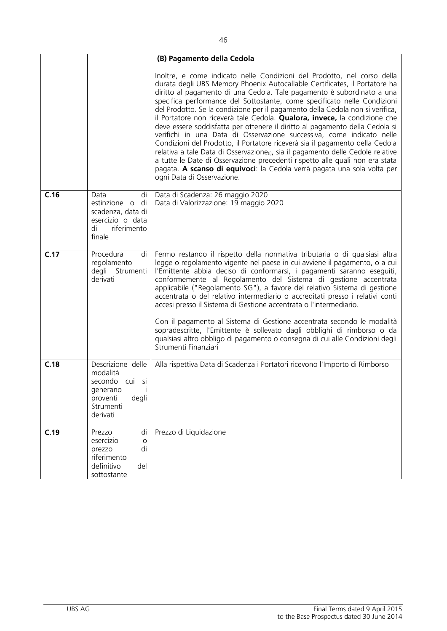|      |                                                                                                           | (B) Pagamento della Cedola                                                                                                                                                                                                                                                                                                                                                                                                                                                                                                                                                                                                                                                                                                                                                                                                                                                                                                                                                                                  |
|------|-----------------------------------------------------------------------------------------------------------|-------------------------------------------------------------------------------------------------------------------------------------------------------------------------------------------------------------------------------------------------------------------------------------------------------------------------------------------------------------------------------------------------------------------------------------------------------------------------------------------------------------------------------------------------------------------------------------------------------------------------------------------------------------------------------------------------------------------------------------------------------------------------------------------------------------------------------------------------------------------------------------------------------------------------------------------------------------------------------------------------------------|
|      |                                                                                                           | Inoltre, e come indicato nelle Condizioni del Prodotto, nel corso della<br>durata degli UBS Memory Phoenix Autocallable Certificates, il Portatore ha<br>diritto al pagamento di una Cedola. Tale pagamento è subordinato a una<br>specifica performance del Sottostante, come specificato nelle Condizioni<br>del Prodotto. Se la condizione per il pagamento della Cedola non si verifica,<br>il Portatore non riceverà tale Cedola. Qualora, invece, la condizione che<br>deve essere soddisfatta per ottenere il diritto al pagamento della Cedola si<br>verifichi in una Data di Osservazione successiva, come indicato nelle<br>Condizioni del Prodotto, il Portatore riceverà sia il pagamento della Cedola<br>relativa a tale Data di Osservazione <sub>(i)</sub> , sia il pagamento delle Cedole relative<br>a tutte le Date di Osservazione precedenti rispetto alle quali non era stata<br>pagata. A scanso di equivoci: la Cedola verrà pagata una sola volta per<br>ogni Data di Osservazione. |
| C.16 | Data<br>di<br>estinzione o<br>di<br>scadenza, data di<br>esercizio o data<br>di<br>riferimento<br>finale  | Data di Scadenza: 26 maggio 2020<br>Data di Valorizzazione: 19 maggio 2020                                                                                                                                                                                                                                                                                                                                                                                                                                                                                                                                                                                                                                                                                                                                                                                                                                                                                                                                  |
| C.17 | Procedura<br>di<br>regolamento<br>degli Strumenti<br>derivati                                             | Fermo restando il rispetto della normativa tributaria o di qualsiasi altra<br>legge o regolamento vigente nel paese in cui avviene il pagamento, o a cui<br>l'Emittente abbia deciso di conformarsi, i pagamenti saranno eseguiti,<br>conformemente al Regolamento del Sistema di gestione accentrata<br>applicabile ("Regolamento SG"), a favore del relativo Sistema di gestione<br>accentrata o del relativo intermediario o accreditati presso i relativi conti<br>accesi presso il Sistema di Gestione accentrata o l'intermediario.<br>Con il pagamento al Sistema di Gestione accentrata secondo le modalità<br>sopradescritte, l'Emittente è sollevato dagli obblighi di rimborso o da<br>qualsiasi altro obbligo di pagamento o consegna di cui alle Condizioni degli<br>Strumenti Finanziari                                                                                                                                                                                                      |
| C.18 | Descrizione delle<br>modalità<br>secondo cui si<br>generano<br>proventi<br>degli<br>Strumenti<br>derivati | Alla rispettiva Data di Scadenza i Portatori ricevono l'Importo di Rimborso                                                                                                                                                                                                                                                                                                                                                                                                                                                                                                                                                                                                                                                                                                                                                                                                                                                                                                                                 |
| C.19 | Prezzo<br>di<br>esercizio<br>O<br>di<br>prezzo<br>riferimento<br>definitivo<br>del<br>sottostante         | Prezzo di Liquidazione                                                                                                                                                                                                                                                                                                                                                                                                                                                                                                                                                                                                                                                                                                                                                                                                                                                                                                                                                                                      |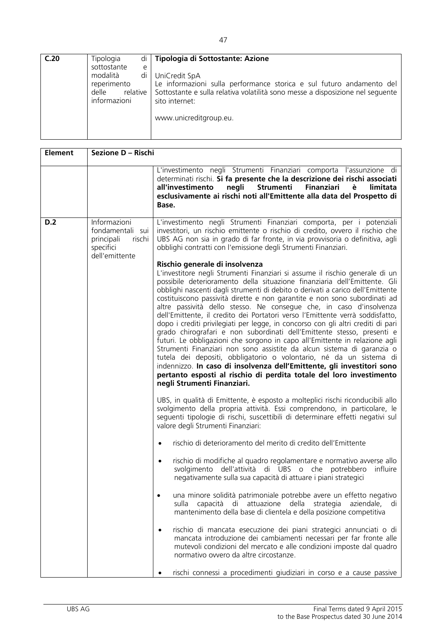| C.20 | Tipologia<br>sottostante<br>e<br>di<br>modalità<br>reperimento<br>relative  <br>delle<br>informazioni | di   Tipologia di Sottostante: Azione<br>UniCredit SpA<br>Le informazioni sulla performance storica e sul futuro andamento del<br>Sottostante e sulla relativa volatilità sono messe a disposizione nel seguente<br>sito internet:<br>www.unicreditgroup.eu. |
|------|-------------------------------------------------------------------------------------------------------|--------------------------------------------------------------------------------------------------------------------------------------------------------------------------------------------------------------------------------------------------------------|
|      |                                                                                                       |                                                                                                                                                                                                                                                              |

| <b>Element</b> | Sezione D - Rischi                                                                      |                                                                                                                                                                                                                                                                                                                                                                                                                                                                                                                                                                                                                                                                                                                                                                                                                                                                                                                                                                                                                                                                                                  |
|----------------|-----------------------------------------------------------------------------------------|--------------------------------------------------------------------------------------------------------------------------------------------------------------------------------------------------------------------------------------------------------------------------------------------------------------------------------------------------------------------------------------------------------------------------------------------------------------------------------------------------------------------------------------------------------------------------------------------------------------------------------------------------------------------------------------------------------------------------------------------------------------------------------------------------------------------------------------------------------------------------------------------------------------------------------------------------------------------------------------------------------------------------------------------------------------------------------------------------|
|                |                                                                                         | L'investimento negli Strumenti Finanziari comporta l'assunzione di<br>determinati rischi. Si fa presente che la descrizione dei rischi associati<br>all'investimento<br>negli<br><b>Strumenti</b><br><b>Finanziari</b><br>limitata<br>è<br>esclusivamente ai rischi noti all'Emittente alla data del Prospetto di<br>Base.                                                                                                                                                                                                                                                                                                                                                                                                                                                                                                                                                                                                                                                                                                                                                                       |
| D.2            | Informazioni<br>fondamentali sui<br>rischi<br>principali<br>specifici<br>dell'emittente | L'investimento negli Strumenti Finanziari comporta, per i potenziali<br>investitori, un rischio emittente o rischio di credito, ovvero il rischio che<br>UBS AG non sia in grado di far fronte, in via provvisoria o definitiva, agli<br>obblighi contratti con l'emissione degli Strumenti Finanziari.                                                                                                                                                                                                                                                                                                                                                                                                                                                                                                                                                                                                                                                                                                                                                                                          |
|                |                                                                                         | Rischio generale di insolvenza<br>L'investitore negli Strumenti Finanziari si assume il rischio generale di un<br>possibile deterioramento della situazione finanziaria dell'Emittente. Gli<br>obblighi nascenti dagli strumenti di debito o derivati a carico dell'Emittente<br>costituiscono passività dirette e non garantite e non sono subordinati ad<br>altre passività dello stesso. Ne consegue che, in caso d'insolvenza<br>dell'Emittente, il credito dei Portatori verso l'Emittente verrà soddisfatto,<br>dopo i crediti privilegiati per legge, in concorso con gli altri crediti di pari<br>grado chirografari e non subordinati dell'Emittente stesso, presenti e<br>futuri. Le obbligazioni che sorgono in capo all'Emittente in relazione agli<br>Strumenti Finanziari non sono assistite da alcun sistema di garanzia o<br>tutela dei depositi, obbligatorio o volontario, né da un sistema di<br>indennizzo. In caso di insolvenza dell'Emittente, gli investitori sono<br>pertanto esposti al rischio di perdita totale del loro investimento<br>negli Strumenti Finanziari. |
|                |                                                                                         | UBS, in qualità di Emittente, è esposto a molteplici rischi riconducibili allo<br>svolgimento della propria attività. Essi comprendono, in particolare, le<br>seguenti tipologie di rischi, suscettibili di determinare effetti negativi sul<br>valore degli Strumenti Finanziari:                                                                                                                                                                                                                                                                                                                                                                                                                                                                                                                                                                                                                                                                                                                                                                                                               |
|                |                                                                                         | rischio di deterioramento del merito di credito dell'Emittente<br>$\bullet$                                                                                                                                                                                                                                                                                                                                                                                                                                                                                                                                                                                                                                                                                                                                                                                                                                                                                                                                                                                                                      |
|                |                                                                                         | rischio di modifiche al quadro regolamentare e normativo avverse allo<br>$\bullet$<br>svolgimento dell'attività di UBS o che potrebbero<br>influire<br>negativamente sulla sua capacità di attuare i piani strategici                                                                                                                                                                                                                                                                                                                                                                                                                                                                                                                                                                                                                                                                                                                                                                                                                                                                            |
|                |                                                                                         | una minore solidità patrimoniale potrebbe avere un effetto negativo<br>sulla<br>attuazione della strategia<br>capacità di<br>aziendale,<br>di<br>mantenimento della base di clientela e della posizione competitiva                                                                                                                                                                                                                                                                                                                                                                                                                                                                                                                                                                                                                                                                                                                                                                                                                                                                              |
|                |                                                                                         | rischio di mancata esecuzione dei piani strategici annunciati o di<br>$\bullet$<br>mancata introduzione dei cambiamenti necessari per far fronte alle<br>mutevoli condizioni del mercato e alle condizioni imposte dal quadro<br>normativo ovvero da altre circostanze.                                                                                                                                                                                                                                                                                                                                                                                                                                                                                                                                                                                                                                                                                                                                                                                                                          |
|                |                                                                                         | rischi connessi a procedimenti giudiziari in corso e a cause passive                                                                                                                                                                                                                                                                                                                                                                                                                                                                                                                                                                                                                                                                                                                                                                                                                                                                                                                                                                                                                             |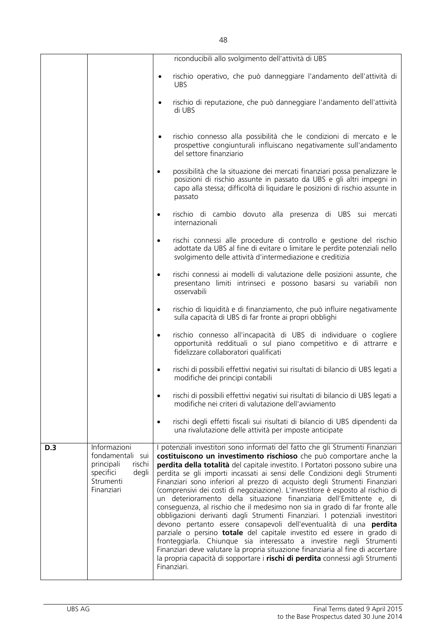|                                                                                                      | riconducibili allo svolgimento dell'attività di UBS<br>rischio operativo, che può danneggiare l'andamento dell'attività di<br>$\bullet$                                                                                                                                                                                                                                                                                                                                                                                                                                                                                                                                                                                                                                                                                                                                                                                                                                                                                                                                                                                                                |
|------------------------------------------------------------------------------------------------------|--------------------------------------------------------------------------------------------------------------------------------------------------------------------------------------------------------------------------------------------------------------------------------------------------------------------------------------------------------------------------------------------------------------------------------------------------------------------------------------------------------------------------------------------------------------------------------------------------------------------------------------------------------------------------------------------------------------------------------------------------------------------------------------------------------------------------------------------------------------------------------------------------------------------------------------------------------------------------------------------------------------------------------------------------------------------------------------------------------------------------------------------------------|
|                                                                                                      |                                                                                                                                                                                                                                                                                                                                                                                                                                                                                                                                                                                                                                                                                                                                                                                                                                                                                                                                                                                                                                                                                                                                                        |
|                                                                                                      | <b>UBS</b>                                                                                                                                                                                                                                                                                                                                                                                                                                                                                                                                                                                                                                                                                                                                                                                                                                                                                                                                                                                                                                                                                                                                             |
|                                                                                                      | rischio di reputazione, che può danneggiare l'andamento dell'attività<br>di UBS                                                                                                                                                                                                                                                                                                                                                                                                                                                                                                                                                                                                                                                                                                                                                                                                                                                                                                                                                                                                                                                                        |
|                                                                                                      | rischio connesso alla possibilità che le condizioni di mercato e le<br>$\bullet$<br>prospettive congiunturali influiscano negativamente sull'andamento<br>del settore finanziario                                                                                                                                                                                                                                                                                                                                                                                                                                                                                                                                                                                                                                                                                                                                                                                                                                                                                                                                                                      |
|                                                                                                      | possibilità che la situazione dei mercati finanziari possa penalizzare le<br>$\bullet$<br>posizioni di rischio assunte in passato da UBS e gli altri impegni in<br>capo alla stessa; difficoltà di liquidare le posizioni di rischio assunte in<br>passato                                                                                                                                                                                                                                                                                                                                                                                                                                                                                                                                                                                                                                                                                                                                                                                                                                                                                             |
|                                                                                                      | rischio di cambio dovuto alla presenza di UBS sui mercati<br>$\bullet$<br>internazionali                                                                                                                                                                                                                                                                                                                                                                                                                                                                                                                                                                                                                                                                                                                                                                                                                                                                                                                                                                                                                                                               |
|                                                                                                      | rischi connessi alle procedure di controllo e gestione del rischio<br>$\bullet$<br>adottate da UBS al fine di evitare o limitare le perdite potenziali nello<br>svolgimento delle attività d'intermediazione e creditizia                                                                                                                                                                                                                                                                                                                                                                                                                                                                                                                                                                                                                                                                                                                                                                                                                                                                                                                              |
|                                                                                                      | rischi connessi ai modelli di valutazione delle posizioni assunte, che<br>$\bullet$<br>presentano limiti intrinseci e possono basarsi su variabili non<br>osservabili                                                                                                                                                                                                                                                                                                                                                                                                                                                                                                                                                                                                                                                                                                                                                                                                                                                                                                                                                                                  |
|                                                                                                      | rischio di liquidità e di finanziamento, che può influire negativamente<br>$\bullet$<br>sulla capacità di UBS di far fronte ai propri obblighi                                                                                                                                                                                                                                                                                                                                                                                                                                                                                                                                                                                                                                                                                                                                                                                                                                                                                                                                                                                                         |
|                                                                                                      | rischio connesso all'incapacità di UBS di individuare o cogliere<br>$\bullet$<br>opportunità reddituali o sul piano competitivo e di attrarre e<br>fidelizzare collaboratori qualificati                                                                                                                                                                                                                                                                                                                                                                                                                                                                                                                                                                                                                                                                                                                                                                                                                                                                                                                                                               |
|                                                                                                      | rischi di possibili effettivi negativi sui risultati di bilancio di UBS legati a<br>modifiche dei principi contabili                                                                                                                                                                                                                                                                                                                                                                                                                                                                                                                                                                                                                                                                                                                                                                                                                                                                                                                                                                                                                                   |
|                                                                                                      | rischi di possibili effettivi negativi sui risultati di bilancio di UBS legati a<br>$\bullet$<br>modifiche nei criteri di valutazione dell'avviamento                                                                                                                                                                                                                                                                                                                                                                                                                                                                                                                                                                                                                                                                                                                                                                                                                                                                                                                                                                                                  |
|                                                                                                      | rischi degli effetti fiscali sui risultati di bilancio di UBS dipendenti da<br>٠<br>una rivalutazione delle attività per imposte anticipate                                                                                                                                                                                                                                                                                                                                                                                                                                                                                                                                                                                                                                                                                                                                                                                                                                                                                                                                                                                                            |
| Informazioni<br><b>D.3</b><br>fondamentali sui<br>principali<br>specifici<br>Strumenti<br>Finanziari | I potenziali investitori sono informati del fatto che gli Strumenti Finanziari<br>costituiscono un investimento rischioso che può comportare anche la<br>rischi<br>perdita della totalità del capitale investito. I Portatori possono subire una<br>perdita se gli importi incassati ai sensi delle Condizioni degli Strumenti<br>degli<br>Finanziari sono inferiori al prezzo di acquisto degli Strumenti Finanziari<br>(comprensivi dei costi di negoziazione). L'investitore è esposto al rischio di<br>un deterioramento della situazione finanziaria dell'Emittente e, di<br>conseguenza, al rischio che il medesimo non sia in grado di far fronte alle<br>obbligazioni derivanti dagli Strumenti Finanziari. I potenziali investitori<br>devono pertanto essere consapevoli dell'eventualità di una perdita<br>parziale o persino totale del capitale investito ed essere in grado di<br>fronteggiarla. Chiunque sia interessato a investire negli Strumenti<br>Finanziari deve valutare la propria situazione finanziaria al fine di accertare<br>la propria capacità di sopportare i rischi di perdita connessi agli Strumenti<br>Finanziari. |
|                                                                                                      |                                                                                                                                                                                                                                                                                                                                                                                                                                                                                                                                                                                                                                                                                                                                                                                                                                                                                                                                                                                                                                                                                                                                                        |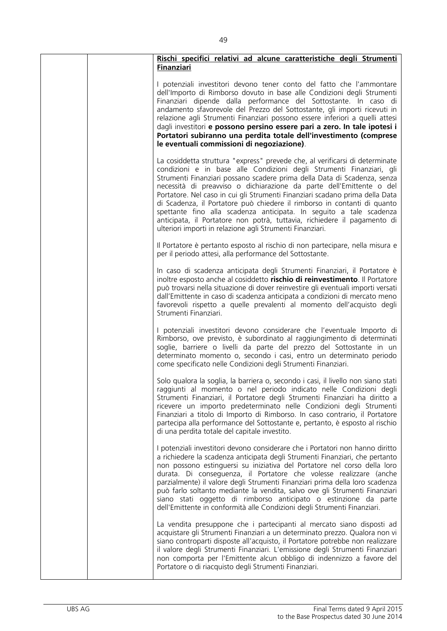| Rischi specifici relativi ad alcune caratteristiche degli Strumenti<br><b>Finanziari</b>                                                                                                                                                                                                                                                                                                                                                                                                                                                                                                                                                                                             |
|--------------------------------------------------------------------------------------------------------------------------------------------------------------------------------------------------------------------------------------------------------------------------------------------------------------------------------------------------------------------------------------------------------------------------------------------------------------------------------------------------------------------------------------------------------------------------------------------------------------------------------------------------------------------------------------|
| I potenziali investitori devono tener conto del fatto che l'ammontare<br>dell'Importo di Rimborso dovuto in base alle Condizioni degli Strumenti<br>Finanziari dipende dalla performance del Sottostante. In caso di<br>andamento sfavorevole del Prezzo del Sottostante, gli importi ricevuti in<br>relazione agli Strumenti Finanziari possono essere inferiori a quelli attesi<br>dagli investitori e possono persino essere pari a zero. In tale ipotesi i<br>Portatori subiranno una perdita totale dell'investimento (comprese<br>le eventuali commissioni di negoziazione).                                                                                                   |
| La cosiddetta struttura "express" prevede che, al verificarsi di determinate<br>condizioni e in base alle Condizioni degli Strumenti Finanziari, gli<br>Strumenti Finanziari possano scadere prima della Data di Scadenza, senza<br>necessità di preavviso o dichiarazione da parte dell'Emittente o del<br>Portatore. Nel caso in cui gli Strumenti Finanziari scadano prima della Data<br>di Scadenza, il Portatore può chiedere il rimborso in contanti di quanto<br>spettante fino alla scadenza anticipata. In seguito a tale scadenza<br>anticipata, il Portatore non potrà, tuttavia, richiedere il pagamento di<br>ulteriori importi in relazione agli Strumenti Finanziari. |
| Il Portatore è pertanto esposto al rischio di non partecipare, nella misura e<br>per il periodo attesi, alla performance del Sottostante.                                                                                                                                                                                                                                                                                                                                                                                                                                                                                                                                            |
| In caso di scadenza anticipata degli Strumenti Finanziari, il Portatore è<br>inoltre esposto anche al cosiddetto rischio di reinvestimento. Il Portatore<br>può trovarsi nella situazione di dover reinvestire gli eventuali importi versati<br>dall'Emittente in caso di scadenza anticipata a condizioni di mercato meno<br>favorevoli rispetto a quelle prevalenti al momento dell'acquisto degli<br>Strumenti Finanziari.                                                                                                                                                                                                                                                        |
| I potenziali investitori devono considerare che l'eventuale Importo di<br>Rimborso, ove previsto, è subordinato al raggiungimento di determinati<br>soglie, barriere o livelli da parte del prezzo del Sottostante in un<br>determinato momento o, secondo i casi, entro un determinato periodo<br>come specificato nelle Condizioni degli Strumenti Finanziari.                                                                                                                                                                                                                                                                                                                     |
| Solo qualora la soglia, la barriera o, secondo i casi, il livello non siano stati<br>raggiunti al momento o nel periodo indicato nelle Condizioni degli<br>Strumenti Finanziari, il Portatore degli Strumenti Finanziari ha diritto a<br>ricevere un importo predeterminato nelle Condizioni degli Strumenti<br>Finanziari a titolo di Importo di Rimborso. In caso contrario, il Portatore<br>partecipa alla performance del Sottostante e, pertanto, è esposto al rischio<br>di una perdita totale del capitale investito.                                                                                                                                                         |
| I potenziali investitori devono considerare che i Portatori non hanno diritto<br>a richiedere la scadenza anticipata degli Strumenti Finanziari, che pertanto<br>non possono estinguersi su iniziativa del Portatore nel corso della loro<br>durata. Di conseguenza, il Portatore che volesse realizzare (anche<br>parzialmente) il valore degli Strumenti Finanziari prima della loro scadenza<br>può farlo soltanto mediante la vendita, salvo ove gli Strumenti Finanziari<br>siano stati oggetto di rimborso anticipato o estinzione da parte<br>dell'Emittente in conformità alle Condizioni degli Strumenti Finanziari.                                                        |
| La vendita presuppone che i partecipanti al mercato siano disposti ad<br>acquistare gli Strumenti Finanziari a un determinato prezzo. Qualora non vi<br>siano controparti disposte all'acquisto, il Portatore potrebbe non realizzare<br>il valore degli Strumenti Finanziari. L'emissione degli Strumenti Finanziari<br>non comporta per l'Emittente alcun obbligo di indennizzo a favore del<br>Portatore o di riacquisto degli Strumenti Finanziari.                                                                                                                                                                                                                              |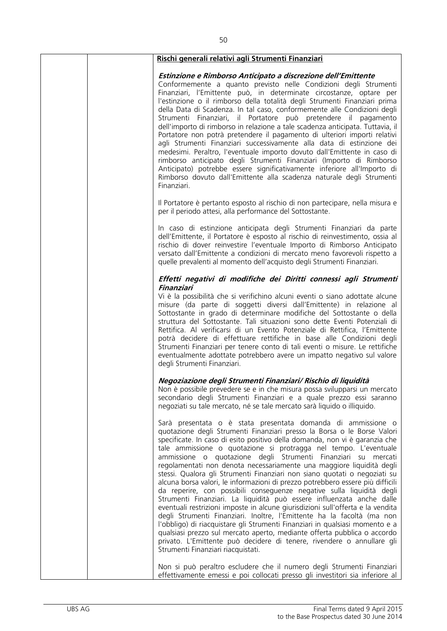| Rischi generali relativi agli Strumenti Finanziari                                                                                                                                                                                                                                                                                                                                                                                                                                                                                                                                                                                                                                                                                                                                                                                                                                                                                                                                                                                                                                                                                                                                             |
|------------------------------------------------------------------------------------------------------------------------------------------------------------------------------------------------------------------------------------------------------------------------------------------------------------------------------------------------------------------------------------------------------------------------------------------------------------------------------------------------------------------------------------------------------------------------------------------------------------------------------------------------------------------------------------------------------------------------------------------------------------------------------------------------------------------------------------------------------------------------------------------------------------------------------------------------------------------------------------------------------------------------------------------------------------------------------------------------------------------------------------------------------------------------------------------------|
| Estinzione e Rimborso Anticipato a discrezione dell'Emittente<br>Conformemente a quanto previsto nelle Condizioni degli Strumenti<br>Finanziari, l'Emittente può, in determinate circostanze, optare per<br>l'estinzione o il rimborso della totalità degli Strumenti Finanziari prima<br>della Data di Scadenza. In tal caso, conformemente alle Condizioni degli<br>Strumenti Finanziari, il Portatore può pretendere il pagamento<br>dell'importo di rimborso in relazione a tale scadenza anticipata. Tuttavia, il<br>Portatore non potrà pretendere il pagamento di ulteriori importi relativi<br>agli Strumenti Finanziari successivamente alla data di estinzione dei<br>medesimi. Peraltro, l'eventuale importo dovuto dall'Emittente in caso di<br>rimborso anticipato degli Strumenti Finanziari (Importo di Rimborso<br>Anticipato) potrebbe essere significativamente inferiore all'Importo di<br>Rimborso dovuto dall'Emittente alla scadenza naturale degli Strumenti<br>Finanziari.                                                                                                                                                                                             |
| Il Portatore è pertanto esposto al rischio di non partecipare, nella misura e<br>per il periodo attesi, alla performance del Sottostante.                                                                                                                                                                                                                                                                                                                                                                                                                                                                                                                                                                                                                                                                                                                                                                                                                                                                                                                                                                                                                                                      |
| In caso di estinzione anticipata degli Strumenti Finanziari da parte<br>dell'Emittente, il Portatore è esposto al rischio di reinvestimento, ossia al<br>rischio di dover reinvestire l'eventuale Importo di Rimborso Anticipato<br>versato dall'Emittente a condizioni di mercato meno favorevoli rispetto a<br>quelle prevalenti al momento dell'acquisto degli Strumenti Finanziari.                                                                                                                                                                                                                                                                                                                                                                                                                                                                                                                                                                                                                                                                                                                                                                                                        |
| Effetti negativi di modifiche dei Diritti connessi agli Strumenti<br>Finanziari<br>Vi è la possibilità che si verifichino alcuni eventi o siano adottate alcune<br>misure (da parte di soggetti diversi dall'Emittente) in relazione al<br>Sottostante in grado di determinare modifiche del Sottostante o della<br>struttura del Sottostante. Tali situazioni sono dette Eventi Potenziali di<br>Rettifica. Al verificarsi di un Evento Potenziale di Rettifica, l'Emittente<br>potrà decidere di effettuare rettifiche in base alle Condizioni degli<br>Strumenti Finanziari per tenere conto di tali eventi o misure. Le rettifiche<br>eventualmente adottate potrebbero avere un impatto negativo sul valore<br>degli Strumenti Finanziari.                                                                                                                                                                                                                                                                                                                                                                                                                                                |
| Negoziazione degli Strumenti Finanziari/ Rischio di liquidità<br>Non è possibile prevedere se e in che misura possa svilupparsi un mercato<br>secondario degli Strumenti Finanziari e a quale prezzo essi saranno<br>negoziati su tale mercato, né se tale mercato sarà liquido o illiquido.                                                                                                                                                                                                                                                                                                                                                                                                                                                                                                                                                                                                                                                                                                                                                                                                                                                                                                   |
| Sarà presentata o è stata presentata domanda di ammissione o<br>quotazione degli Strumenti Finanziari presso la Borsa o le Borse Valori<br>specificate. In caso di esito positivo della domanda, non vi è garanzia che<br>tale ammissione o quotazione si protragga nel tempo. L'eventuale<br>ammissione o quotazione degli Strumenti Finanziari su mercati<br>regolamentati non denota necessariamente una maggiore liquidità degli<br>stessi. Qualora gli Strumenti Finanziari non siano quotati o negoziati su<br>alcuna borsa valori, le informazioni di prezzo potrebbero essere più difficili<br>da reperire, con possibili conseguenze negative sulla liquidità degli<br>Strumenti Finanziari. La liquidità può essere influenzata anche dalle<br>eventuali restrizioni imposte in alcune giurisdizioni sull'offerta e la vendita<br>degli Strumenti Finanziari. Inoltre, l'Emittente ha la facoltà (ma non<br>l'obbligo) di riacquistare gli Strumenti Finanziari in qualsiasi momento e a<br>qualsiasi prezzo sul mercato aperto, mediante offerta pubblica o accordo<br>privato. L'Emittente può decidere di tenere, rivendere o annullare gli<br>Strumenti Finanziari riacquistati. |
| Non si può peraltro escludere che il numero degli Strumenti Finanziari<br>effettivamente emessi e poi collocati presso gli investitori sia inferiore al                                                                                                                                                                                                                                                                                                                                                                                                                                                                                                                                                                                                                                                                                                                                                                                                                                                                                                                                                                                                                                        |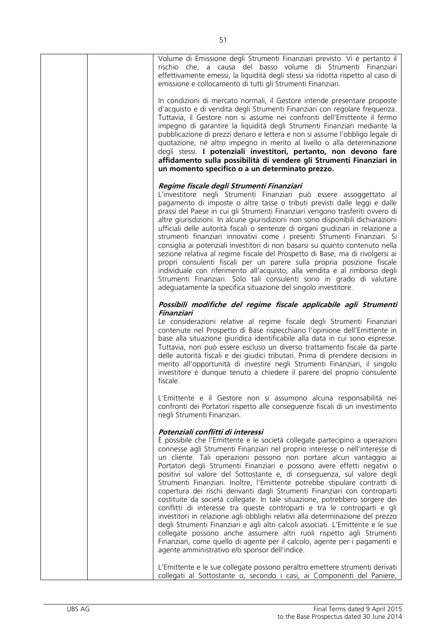| Volume di Emissione degli Strumenti Finanziari previsto. Vi è pertanto il<br>rischio che, a causa del basso volume di Strumenti Finanziari<br>effettivamente emessi, la liquidità degli stessi sia ridotta rispetto al caso di<br>emissione e collocamento di tutti gli Strumenti Finanziari.                                                                                                                                                                                                                                                                                                                                                                                                                                                                                                                                                                                                                                                                                                                                                                                                                                   |
|---------------------------------------------------------------------------------------------------------------------------------------------------------------------------------------------------------------------------------------------------------------------------------------------------------------------------------------------------------------------------------------------------------------------------------------------------------------------------------------------------------------------------------------------------------------------------------------------------------------------------------------------------------------------------------------------------------------------------------------------------------------------------------------------------------------------------------------------------------------------------------------------------------------------------------------------------------------------------------------------------------------------------------------------------------------------------------------------------------------------------------|
| In condizioni di mercato normali, il Gestore intende presentare proposte<br>d'acquisto e di vendita degli Strumenti Finanziari con regolare frequenza.<br>Tuttavia, il Gestore non si assume nei confronti dell'Emittente il fermo<br>impegno di garantire la liquidità degli Strumenti Finanziari mediante la<br>pubblicazione di prezzi denaro e lettera e non si assume l'obbligo legale di<br>quotazione, né altro impegno in merito al livello o alla determinazione<br>degli stessi. I potenziali investitori, pertanto, non devono fare<br>affidamento sulla possibilità di vendere gli Strumenti Finanziari in<br>un momento specifico o a un determinato prezzo.                                                                                                                                                                                                                                                                                                                                                                                                                                                       |
| Regime fiscale degli Strumenti Finanziari                                                                                                                                                                                                                                                                                                                                                                                                                                                                                                                                                                                                                                                                                                                                                                                                                                                                                                                                                                                                                                                                                       |
| L'investitore negli Strumenti Finanziari può essere assoggettato al<br>pagamento di imposte o altre tasse o tributi previsti dalle leggi e dalle<br>prassi del Paese in cui gli Strumenti Finanziari vengono trasferiti ovvero di<br>altre giurisdizioni. In alcune giurisdizioni non sono disponibili dichiarazioni<br>ufficiali delle autorità fiscali o sentenze di organi giudiziari in relazione a<br>strumenti finanziari innovativi come i presenti Strumenti Finanziari. Si<br>consiglia ai potenziali investitori di non basarsi su quanto contenuto nella<br>sezione relativa al regime fiscale del Prospetto di Base, ma di rivolgersi ai<br>propri consulenti fiscali per un parere sulla propria posizione fiscale<br>individuale con riferimento all'acquisto, alla vendita e al rimborso degli<br>Strumenti Finanziari. Solo tali consulenti sono in grado di valutare<br>adeguatamente la specifica situazione del singolo investitore.                                                                                                                                                                         |
| Possibili modifiche del regime fiscale applicabile agli Strumenti<br>Finanziari                                                                                                                                                                                                                                                                                                                                                                                                                                                                                                                                                                                                                                                                                                                                                                                                                                                                                                                                                                                                                                                 |
| Le considerazioni relative al regime fiscale degli Strumenti Finanziari<br>contenute nel Prospetto di Base rispecchiano l'opinione dell'Emittente in<br>base alla situazione giuridica identificabile alla data in cui sono espresse.<br>Tuttavia, non può essere escluso un diverso trattamento fiscale da parte<br>delle autorità fiscali e dei giudici tributari. Prima di prendere decisioni in<br>merito all'opportunità di investire negli Strumenti Finanziari, il singolo<br>investitore è dunque tenuto a chiedere il parere del proprio consulente<br>fiscale.                                                                                                                                                                                                                                                                                                                                                                                                                                                                                                                                                        |
| L'Emittente e il Gestore non si assumono alcuna responsabilità nei<br>confronti dei Portatori rispetto alle conseguenze fiscali di un investimento<br>negli Strumenti Finanziari.                                                                                                                                                                                                                                                                                                                                                                                                                                                                                                                                                                                                                                                                                                                                                                                                                                                                                                                                               |
| Potenziali conflitti di interessi<br>È possibile che l'Emittente e le società collegate partecipino a operazioni<br>connesse agli Strumenti Finanziari nel proprio interesse o nell'interesse di<br>un cliente. Tali operazioni possono non portare alcun vantaggio ai<br>Portatori degli Strumenti Finanziari e possono avere effetti negativi o<br>positivi sul valore del Sottostante e, di conseguenza, sul valore degli<br>Strumenti Finanziari. Inoltre, l'Emittente potrebbe stipulare contratti di<br>copertura dei rischi derivanti dagli Strumenti Finanziari con controparti<br>costituite da società collegate. In tale situazione, potrebbero sorgere dei<br>conflitti di interesse tra queste controparti e tra le controparti e gli<br>investitori in relazione agli obblighi relativi alla determinazione del prezzo<br>degli Strumenti Finanziari e agli altri calcoli associati. L'Emittente e le sue<br>collegate possono anche assumere altri ruoli rispetto agli Strumenti<br>Finanziari, come quello di agente per il calcolo, agente per i pagamenti e<br>agente amministrativo e/o sponsor dell'indice. |
| L'Emittente e le sue collegate possono peraltro emettere strumenti derivati<br>collegati al Sottostante o, secondo i casi, ai Componenti del Paniere,                                                                                                                                                                                                                                                                                                                                                                                                                                                                                                                                                                                                                                                                                                                                                                                                                                                                                                                                                                           |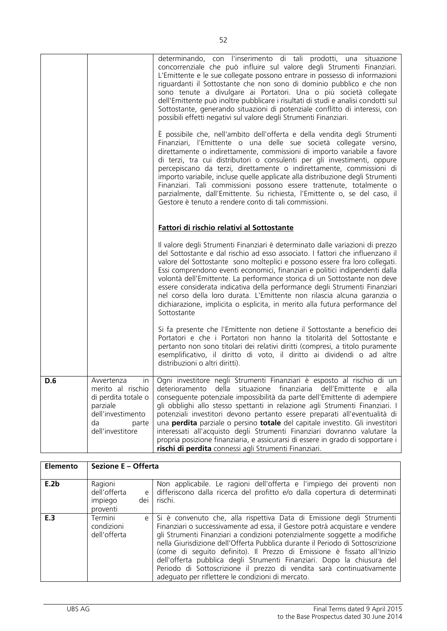|     |                                                                                                                                  | determinando, con l'inserimento di tali prodotti, una situazione<br>concorrenziale che può influire sul valore degli Strumenti Finanziari.<br>L'Emittente e le sue collegate possono entrare in possesso di informazioni<br>riguardanti il Sottostante che non sono di dominio pubblico e che non<br>sono tenute a divulgare ai Portatori. Una o più società collegate<br>dell'Emittente può inoltre pubblicare i risultati di studi e analisi condotti sul<br>Sottostante, generando situazioni di potenziale conflitto di interessi, con<br>possibili effetti negativi sul valore degli Strumenti Finanziari.                                                                                    |
|-----|----------------------------------------------------------------------------------------------------------------------------------|----------------------------------------------------------------------------------------------------------------------------------------------------------------------------------------------------------------------------------------------------------------------------------------------------------------------------------------------------------------------------------------------------------------------------------------------------------------------------------------------------------------------------------------------------------------------------------------------------------------------------------------------------------------------------------------------------|
|     |                                                                                                                                  | È possibile che, nell'ambito dell'offerta e della vendita degli Strumenti<br>Finanziari, l'Emittente o una delle sue società collegate versino,<br>direttamente o indirettamente, commissioni di importo variabile a favore<br>di terzi, tra cui distributori o consulenti per gli investimenti, oppure<br>percepiscano da terzi, direttamente o indirettamente, commissioni di<br>importo variabile, incluse quelle applicate alla distribuzione degli Strumenti<br>Finanziari. Tali commissioni possono essere trattenute, totalmente o<br>parzialmente, dall'Emittente. Su richiesta, l'Emittente o, se del caso, il<br>Gestore è tenuto a rendere conto di tali commissioni.                   |
|     |                                                                                                                                  | Fattori di rischio relativi al Sottostante                                                                                                                                                                                                                                                                                                                                                                                                                                                                                                                                                                                                                                                         |
|     |                                                                                                                                  | Il valore degli Strumenti Finanziari è determinato dalle variazioni di prezzo<br>del Sottostante e dal rischio ad esso associato. I fattori che influenzano il<br>valore del Sottostante sono molteplici e possono essere fra loro collegati.<br>Essi comprendono eventi economici, finanziari e politici indipendenti dalla<br>volontà dell'Emittente. La performance storica di un Sottostante non deve<br>essere considerata indicativa della performance degli Strumenti Finanziari<br>nel corso della loro durata. L'Emittente non rilascia alcuna garanzia o<br>dichiarazione, implicita o esplicita, in merito alla futura performance del<br>Sottostante                                   |
|     |                                                                                                                                  | Si fa presente che l'Emittente non detiene il Sottostante a beneficio dei<br>Portatori e che i Portatori non hanno la titolarità del Sottostante e<br>pertanto non sono titolari dei relativi diritti (compresi, a titolo puramente<br>esemplificativo, il diritto di voto, il diritto ai dividendi o ad altre<br>distribuzioni o altri diritti).                                                                                                                                                                                                                                                                                                                                                  |
| D.6 | Avvertenza<br>In<br>merito al rischio<br>di perdita totale o<br>parziale<br>dell'investimento<br>da<br>parte<br>dell'investitore | Ogni investitore negli Strumenti Finanziari è esposto al rischio di un<br>situazione finanziaria dell'Emittente e alla<br>deterioramento della<br>conseguente potenziale impossibilità da parte dell'Emittente di adempiere<br>gli obblighi allo stesso spettanti in relazione agli Strumenti Finanziari. I<br>potenziali investitori devono pertanto essere preparati all'eventualità di<br>una perdita parziale o persino totale del capitale investito. Gli investitori<br>interessati all'acquisto degli Strumenti Finanziari dovranno valutare la<br>propria posizione finanziaria, e assicurarsi di essere in grado di sopportare i<br>rischi di perdita connessi agli Strumenti Finanziari. |

| <b>Elemento</b> | Sezione E - Offerta                                        |                                                                                                                                                                                                                                                                                                                                                                                                                                                                                                                                                                                                        |
|-----------------|------------------------------------------------------------|--------------------------------------------------------------------------------------------------------------------------------------------------------------------------------------------------------------------------------------------------------------------------------------------------------------------------------------------------------------------------------------------------------------------------------------------------------------------------------------------------------------------------------------------------------------------------------------------------------|
| E.2b            | Ragioni<br>dell'offerta<br>e<br>impiego<br>dei<br>proventi | Non applicabile. Le ragioni dell'offerta e l'impiego dei proventi non<br>differiscono dalla ricerca del profitto e/o dalla copertura di determinati<br>rischi.                                                                                                                                                                                                                                                                                                                                                                                                                                         |
| E.3             | Termini<br>e l<br>condizioni<br>dell'offerta               | Si è convenuto che, alla rispettiva Data di Emissione degli Strumenti<br>Finanziari o successivamente ad essa, il Gestore potrà acquistare e vendere<br>gli Strumenti Finanziari a condizioni potenzialmente soggette a modifiche<br>nella Giurisdizione dell'Offerta Pubblica durante il Periodo di Sottoscrizione<br>(come di seguito definito). Il Prezzo di Emissione è fissato all'Inizio<br>dell'offerta pubblica degli Strumenti Finanziari. Dopo la chiusura del<br>Periodo di Sottoscrizione il prezzo di vendita sarà continuativamente<br>adequato per riflettere le condizioni di mercato. |